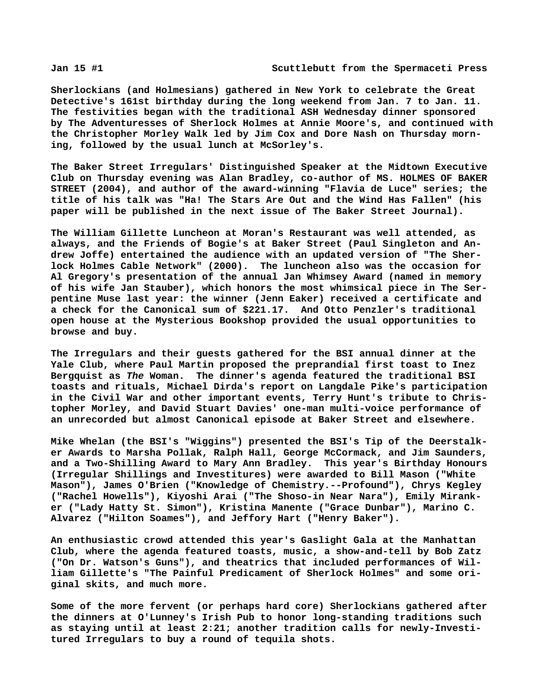**Sherlockians (and Holmesians) gathered in New York to celebrate the Great Detective's 161st birthday during the long weekend from Jan. 7 to Jan. 11. The festivities began with the traditional ASH Wednesday dinner sponsored by The Adventuresses of Sherlock Holmes at Annie Moore's, and continued with the Christopher Morley Walk led by Jim Cox and Dore Nash on Thursday morning, followed by the usual lunch at McSorley's.**

**The Baker Street Irregulars' Distinguished Speaker at the Midtown Executive Club on Thursday evening was Alan Bradley, co-author of MS. HOLMES OF BAKER STREET (2004), and author of the award-winning "Flavia de Luce" series; the title of his talk was "Ha! The Stars Are Out and the Wind Has Fallen" (his paper will be published in the next issue of The Baker Street Journal).**

**The William Gillette Luncheon at Moran's Restaurant was well attended, as always, and the Friends of Bogie's at Baker Street (Paul Singleton and Andrew Joffe) entertained the audience with an updated version of "The Sherlock Holmes Cable Network" (2000). The luncheon also was the occasion for Al Gregory's presentation of the annual Jan Whimsey Award (named in memory of his wife Jan Stauber), which honors the most whimsical piece in The Serpentine Muse last year: the winner (Jenn Eaker) received a certificate and a check for the Canonical sum of \$221.17. And Otto Penzler's traditional open house at the Mysterious Bookshop provided the usual opportunities to browse and buy.**

**The Irregulars and their guests gathered for the BSI annual dinner at the Yale Club, where Paul Martin proposed the preprandial first toast to Inez Bergquist as** *The* **Woman. The dinner's agenda featured the traditional BSI toasts and rituals, Michael Dirda's report on Langdale Pike's participation in the Civil War and other important events, Terry Hunt's tribute to Christopher Morley, and David Stuart Davies' one-man multi-voice performance of an unrecorded but almost Canonical episode at Baker Street and elsewhere.**

**Mike Whelan (the BSI's "Wiggins") presented the BSI's Tip of the Deerstalker Awards to Marsha Pollak, Ralph Hall, George McCormack, and Jim Saunders, and a Two-Shilling Award to Mary Ann Bradley. This year's Birthday Honours (Irregular Shillings and Investitures) were awarded to Bill Mason ("White Mason"), James O'Brien ("Knowledge of Chemistry.--Profound"), Chrys Kegley ("Rachel Howells"), Kiyoshi Arai ("The Shoso-in Near Nara"), Emily Miranker ("Lady Hatty St. Simon"), Kristina Manente ("Grace Dunbar"), Marino C. Alvarez ("Hilton Soames"), and Jeffory Hart ("Henry Baker").**

**An enthusiastic crowd attended this year's Gaslight Gala at the Manhattan Club, where the agenda featured toasts, music, a show-and-tell by Bob Zatz ("On Dr. Watson's Guns"), and theatrics that included performances of William Gillette's "The Painful Predicament of Sherlock Holmes" and some original skits, and much more.**

**Some of the more fervent (or perhaps hard core) Sherlockians gathered after the dinners at O'Lunney's Irish Pub to honor long-standing traditions such as staying until at least 2:21; another tradition calls for newly-Investitured Irregulars to buy a round of tequila shots.**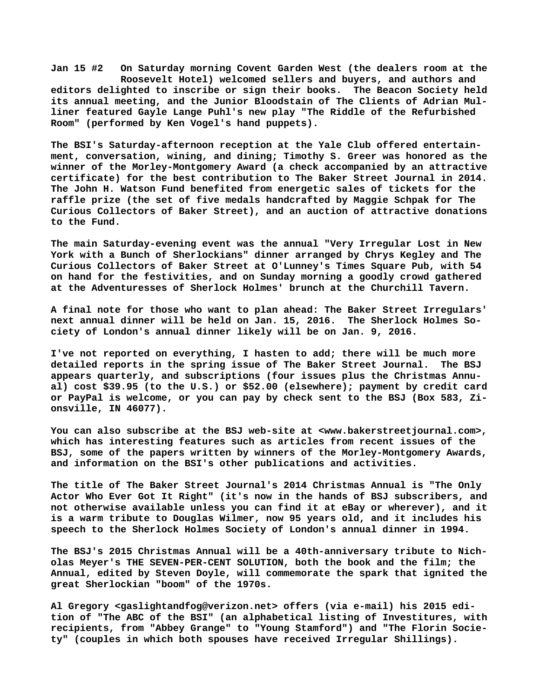**Jan 15 #2 On Saturday morning Covent Garden West (the dealers room at the Roosevelt Hotel) welcomed sellers and buyers, and authors and editors delighted to inscribe or sign their books. The Beacon Society held its annual meeting, and the Junior Bloodstain of The Clients of Adrian Mulliner featured Gayle Lange Puhl's new play "The Riddle of the Refurbished Room" (performed by Ken Vogel's hand puppets).**

**The BSI's Saturday-afternoon reception at the Yale Club offered entertainment, conversation, wining, and dining; Timothy S. Greer was honored as the winner of the Morley-Montgomery Award (a check accompanied by an attractive certificate) for the best contribution to The Baker Street Journal in 2014. The John H. Watson Fund benefited from energetic sales of tickets for the raffle prize (the set of five medals handcrafted by Maggie Schpak for The Curious Collectors of Baker Street), and an auction of attractive donations to the Fund.**

**The main Saturday-evening event was the annual "Very Irregular Lost in New York with a Bunch of Sherlockians" dinner arranged by Chrys Kegley and The Curious Collectors of Baker Street at O'Lunney's Times Square Pub, with 54 on hand for the festivities, and on Sunday morning a goodly crowd gathered at the Adventuresses of Sherlock Holmes' brunch at the Churchill Tavern.**

**A final note for those who want to plan ahead: The Baker Street Irregulars' next annual dinner will be held on Jan. 15, 2016. The Sherlock Holmes Society of London's annual dinner likely will be on Jan. 9, 2016.**

**I've not reported on everything, I hasten to add; there will be much more detailed reports in the spring issue of The Baker Street Journal. The BSJ appears quarterly, and subscriptions (four issues plus the Christmas Annual) cost \$39.95 (to the U.S.) or \$52.00 (elsewhere); payment by credit card or PayPal is welcome, or you can pay by check sent to the BSJ (Box 583, Zionsville, IN 46077).**

**You can also subscribe at the BSJ web-site at <[www.bakerstreetjournal.com>,](http://www.bakerstreetjournal.com) which has interesting features such as articles from recent issues of the BSJ, some of the papers written by winners of the Morley-Montgomery Awards, and information on the BSI's other publications and activities.**

**The title of The Baker Street Journal's 2014 Christmas Annual is "The Only Actor Who Ever Got It Right" (it's now in the hands of BSJ subscribers, and not otherwise available unless you can find it at eBay or wherever), and it is a warm tribute to Douglas Wilmer, now 95 years old, and it includes his speech to the Sherlock Holmes Society of London's annual dinner in 1994.**

**The BSJ's 2015 Christmas Annual will be a 40th-anniversary tribute to Nicholas Meyer's THE SEVEN-PER-CENT SOLUTION, both the book and the film; the Annual, edited by Steven Doyle, will commemorate the spark that ignited the great Sherlockian "boom" of the 1970s.**

**Al Gregory <[gaslightandfog@verizon.net> o](mailto:gaslightandfog@verizon.net)ffers (via e-mail) his 2015 edition of "The ABC of the BSI" (an alphabetical listing of Investitures, with recipients, from "Abbey Grange" to "Young Stamford") and "The Florin Society" (couples in which both spouses have received Irregular Shillings).**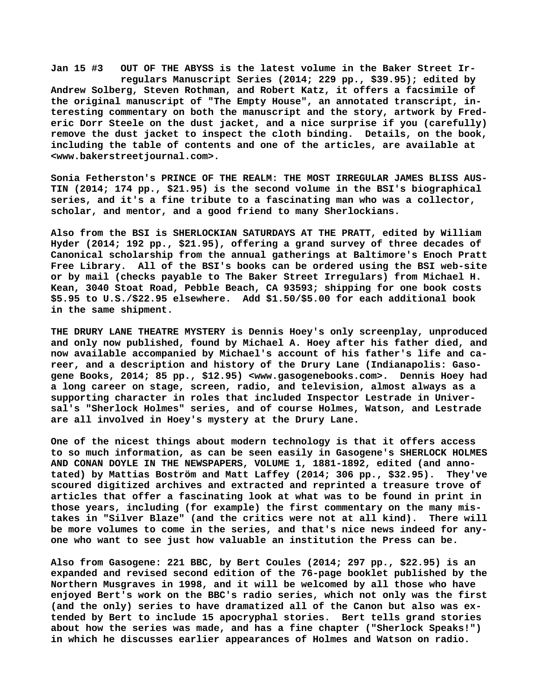**Jan 15 #3 OUT OF THE ABYSS is the latest volume in the Baker Street Ir regulars Manuscript Series (2014; 229 pp., \$39.95); edited by Andrew Solberg, Steven Rothman, and Robert Katz, it offers a facsimile of the original manuscript of "The Empty House", an annotated transcript, interesting commentary on both the manuscript and the story, artwork by Frederic Dorr Steele on the dust jacket, and a nice surprise if you (carefully) remove the dust jacket to inspect the cloth binding. Details, on the book, including the table of contents and one of the articles, are available at [<www.bakerstreetjournal.com>.](http://www.bakerstreetjournal.com)**

**Sonia Fetherston's PRINCE OF THE REALM: THE MOST IRREGULAR JAMES BLISS AUS-TIN (2014; 174 pp., \$21.95) is the second volume in the BSI's biographical series, and it's a fine tribute to a fascinating man who was a collector, scholar, and mentor, and a good friend to many Sherlockians.**

**Also from the BSI is SHERLOCKIAN SATURDAYS AT THE PRATT, edited by William Hyder (2014; 192 pp., \$21.95), offering a grand survey of three decades of Canonical scholarship from the annual gatherings at Baltimore's Enoch Pratt Free Library. All of the BSI's books can be ordered using the BSI web-site or by mail (checks payable to The Baker Street Irregulars) from Michael H. Kean, 3040 Stoat Road, Pebble Beach, CA 93593; shipping for one book costs \$5.95 to U.S./\$22.95 elsewhere. Add \$1.50/\$5.00 for each additional book in the same shipment.**

**THE DRURY LANE THEATRE MYSTERY is Dennis Hoey's only screenplay, unproduced and only now published, found by Michael A. Hoey after his father died, and now available accompanied by Michael's account of his father's life and career, and a description and history of the Drury Lane (Indianapolis: Gasogene Books, 2014; 85 pp., \$12.95) <[www.gasogenebooks.com>.](http://www.gasogenebooks.com) Dennis Hoey had a long career on stage, screen, radio, and television, almost always as a supporting character in roles that included Inspector Lestrade in Universal's "Sherlock Holmes" series, and of course Holmes, Watson, and Lestrade are all involved in Hoey's mystery at the Drury Lane.**

**One of the nicest things about modern technology is that it offers access to so much information, as can be seen easily in Gasogene's SHERLOCK HOLMES AND CONAN DOYLE IN THE NEWSPAPERS, VOLUME 1, 1881-1892, edited (and annotated) by Mattias Boström and Matt Laffey (2014; 306 pp., \$32.95). They've scoured digitized archives and extracted and reprinted a treasure trove of articles that offer a fascinating look at what was to be found in print in those years, including (for example) the first commentary on the many mistakes in "Silver Blaze" (and the critics were not at all kind). There will be more volumes to come in the series, and that's nice news indeed for anyone who want to see just how valuable an institution the Press can be.**

**Also from Gasogene: 221 BBC, by Bert Coules (2014; 297 pp., \$22.95) is an expanded and revised second edition of the 76-page booklet published by the Northern Musgraves in 1998, and it will be welcomed by all those who have enjoyed Bert's work on the BBC's radio series, which not only was the first (and the only) series to have dramatized all of the Canon but also was extended by Bert to include 15 apocryphal stories. Bert tells grand stories about how the series was made, and has a fine chapter ("Sherlock Speaks!") in which he discusses earlier appearances of Holmes and Watson on radio.**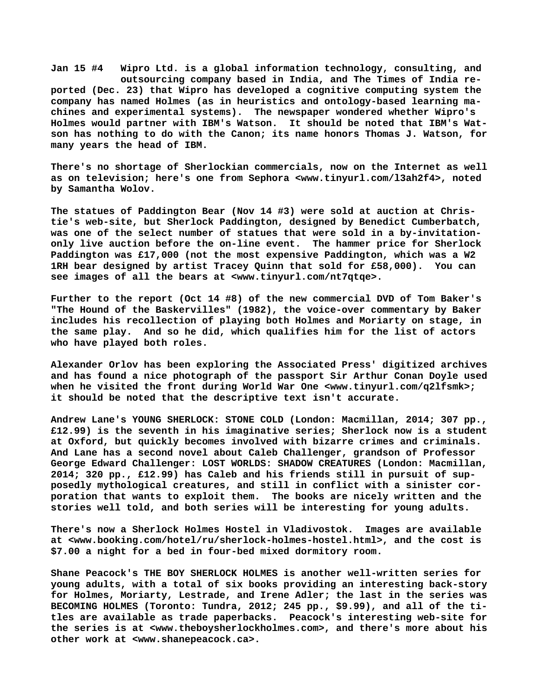**Jan 15 #4 Wipro Ltd. is a global information technology, consulting, and outsourcing company based in India, and The Times of India reported (Dec. 23) that Wipro has developed a cognitive computing system the company has named Holmes (as in heuristics and ontology-based learning machines and experimental systems). The newspaper wondered whether Wipro's Holmes would partner with IBM's Watson. It should be noted that IBM's Watson has nothing to do with the Canon; its name honors Thomas J. Watson, for many years the head of IBM.**

**There's no shortage of Sherlockian commercials, now on the Internet as well as on television; here's one from Sephora [<www.tinyurl.com/l3ah2f4>, n](http://www.tinyurl.com/l3ah2f4)oted by Samantha Wolov.**

**The statues of Paddington Bear (Nov 14 #3) were sold at auction at Christie's web-site, but Sherlock Paddington, designed by Benedict Cumberbatch, was one of the select number of statues that were sold in a by-invitationonly live auction before the on-line event. The hammer price for Sherlock Paddington was £17,000 (not the most expensive Paddington, which was a W2 1RH bear designed by artist Tracey Quinn that sold for £58,000). You can see images of all the bears at <[www.tinyurl.com/nt7qtqe>.](http://www.tinyurl.com/nt7qtqe)**

**Further to the report (Oct 14 #8) of the new commercial DVD of Tom Baker's "The Hound of the Baskervilles" (1982), the voice-over commentary by Baker includes his recollection of playing both Holmes and Moriarty on stage, in the same play. And so he did, which qualifies him for the list of actors who have played both roles.**

**Alexander Orlov has been exploring the Associated Press' digitized archives and has found a nice photograph of the passport Sir Arthur Conan Doyle used when he visited the front during World War One [<www.tinyurl.com/q2lfsmk>;](http://www.tinyurl.com/q2lfsmk) it should be noted that the descriptive text isn't accurate.**

**Andrew Lane's YOUNG SHERLOCK: STONE COLD (London: Macmillan, 2014; 307 pp., £12.99) is the seventh in his imaginative series; Sherlock now is a student at Oxford, but quickly becomes involved with bizarre crimes and criminals. And Lane has a second novel about Caleb Challenger, grandson of Professor George Edward Challenger: LOST WORLDS: SHADOW CREATURES (London: Macmillan, 2014; 320 pp., £12.99) has Caleb and his friends still in pursuit of supposedly mythological creatures, and still in conflict with a sinister corporation that wants to exploit them. The books are nicely written and the stories well told, and both series will be interesting for young adults.**

**There's now a Sherlock Holmes Hostel in Vladivostok. Images are available at [<www.booking.com/hotel/ru/sherlock-holmes-hostel.html>, a](http://www.booking.com/hotel/ru/sherlock-holmes-hostel.html)nd the cost is \$7.00 a night for a bed in four-bed mixed dormitory room.**

**Shane Peacock's THE BOY SHERLOCK HOLMES is another well-written series for young adults, with a total of six books providing an interesting back-story for Holmes, Moriarty, Lestrade, and Irene Adler; the last in the series was BECOMING HOLMES (Toronto: Tundra, 2012; 245 pp., \$9.99), and all of the titles are available as trade paperbacks. Peacock's interesting web-site for the series is at [<www.theboysherlockholmes.com>, a](http://www.theboysherlockholmes.com)nd there's more about his other work at <[www.shanepeacock.ca>.](http://www.shanepeacock.ca)**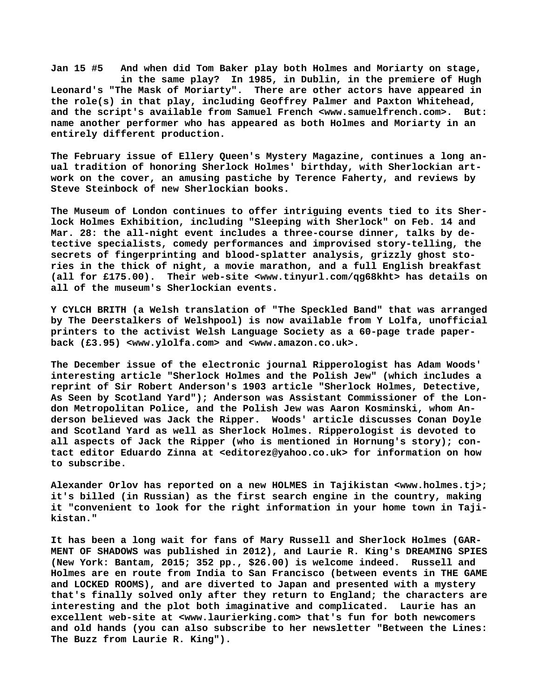**Jan 15 #5 And when did Tom Baker play both Holmes and Moriarty on stage, in the same play? In 1985, in Dublin, in the premiere of Hugh Leonard's "The Mask of Moriarty". There are other actors have appeared in the role(s) in that play, including Geoffrey Palmer and Paxton Whitehead, and the script's available from Samuel French <[www.samuelfrench.com>.](http://www.samuelfrench.com) But: name another performer who has appeared as both Holmes and Moriarty in an entirely different production.**

**The February issue of Ellery Queen's Mystery Magazine, continues a long anual tradition of honoring Sherlock Holmes' birthday, with Sherlockian artwork on the cover, an amusing pastiche by Terence Faherty, and reviews by Steve Steinbock of new Sherlockian books.**

**The Museum of London continues to offer intriguing events tied to its Sherlock Holmes Exhibition, including "Sleeping with Sherlock" on Feb. 14 and Mar. 28: the all-night event includes a three-course dinner, talks by detective specialists, comedy performances and improvised story-telling, the secrets of fingerprinting and blood-splatter analysis, grizzly ghost stories in the thick of night, a movie marathon, and a full English breakfast (all for £175.00). Their web-site [<www.tinyurl.com/qg68kht> h](http://www.tinyurl.com/qg68kht)as details on all of the museum's Sherlockian events.**

**Y CYLCH BRITH (a Welsh translation of "The Speckled Band" that was arranged by The Deerstalkers of Welshpool) is now available from Y Lolfa, unofficial printers to the activist Welsh Language Society as a 60-page trade paperback (£3.95) [<www.ylolfa.com> a](http://www.ylolfa.com)nd <[www.amazon.co.uk>.](http://www.amazon.co.uk)**

**The December issue of the electronic journal Ripperologist has Adam Woods' interesting article "Sherlock Holmes and the Polish Jew" (which includes a reprint of Sir Robert Anderson's 1903 article "Sherlock Holmes, Detective, As Seen by Scotland Yard"); Anderson was Assistant Commissioner of the London Metropolitan Police, and the Polish Jew was Aaron Kosminski, whom Anderson believed was Jack the Ripper. Woods' article discusses Conan Doyle and Scotland Yard as well as Sherlock Holmes. Ripperologist is devoted to all aspects of Jack the Ripper (who is mentioned in Hornung's story); contact editor Eduardo Zinna at <[editorez@yahoo.co.uk> f](mailto:editorez@yahoo.co.uk)or information on how to subscribe.**

**Alexander Orlov has reported on a new HOLMES in Tajikistan <[www.holmes.tj>;](http://www.holmes.tj) it's billed (in Russian) as the first search engine in the country, making it "convenient to look for the right information in your home town in Tajikistan."**

**It has been a long wait for fans of Mary Russell and Sherlock Holmes (GAR-MENT OF SHADOWS was published in 2012), and Laurie R. King's DREAMING SPIES (New York: Bantam, 2015; 352 pp., \$26.00) is welcome indeed. Russell and Holmes are en route from India to San Francisco (between events in THE GAME and LOCKED ROOMS), and are diverted to Japan and presented with a mystery that's finally solved only after they return to England; the characters are interesting and the plot both imaginative and complicated. Laurie has an excellent web-site at [<www.laurierking.com> t](http://www.laurierking.com)hat's fun for both newcomers and old hands (you can also subscribe to her newsletter "Between the Lines: The Buzz from Laurie R. King").**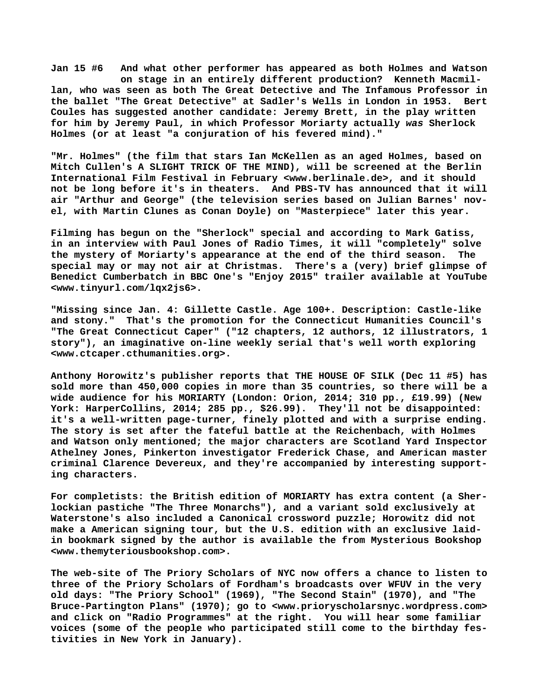**Jan 15 #6 And what other performer has appeared as both Holmes and Watson on stage in an entirely different production? Kenneth Macmillan, who was seen as both The Great Detective and The Infamous Professor in the ballet "The Great Detective" at Sadler's Wells in London in 1953. Bert Coules has suggested another candidate: Jeremy Brett, in the play written for him by Jeremy Paul, in which Professor Moriarty actually** *was* **Sherlock Holmes (or at least "a conjuration of his fevered mind)."**

**"Mr. Holmes" (the film that stars Ian McKellen as an aged Holmes, based on Mitch Cullen's A SLIGHT TRICK OF THE MIND), will be screened at the Berlin International Film Festival in February [<www.berlinale.de>, a](http://www.berlinale.de)nd it should not be long before it's in theaters. And PBS-TV has announced that it will air "Arthur and George" (the television series based on Julian Barnes' novel, with Martin Clunes as Conan Doyle) on "Masterpiece" later this year.**

**Filming has begun on the "Sherlock" special and according to Mark Gatiss, in an interview with Paul Jones of Radio Times, it will "completely" solve the mystery of Moriarty's appearance at the end of the third season. The special may or may not air at Christmas. There's a (very) brief glimpse of Benedict Cumberbatch in BBC One's "Enjoy 2015" trailer available at YouTube [<www.tinyurl.com/lqx2js6>.](http://www.tinyurl.com/lqx2js6)**

**"Missing since Jan. 4: Gillette Castle. Age 100+. Description: Castle-like and stony." That's the promotion for the Connecticut Humanities Council's "The Great Connecticut Caper" ("12 chapters, 12 authors, 12 illustrators, 1 story"), an imaginative on-line weekly serial that's well worth exploring [<www.ctcaper.cthumanities.org>.](http://www.ctcaper.cthumanities.org)**

**Anthony Horowitz's publisher reports that THE HOUSE OF SILK (Dec 11 #5) has sold more than 450,000 copies in more than 35 countries, so there will be a wide audience for his MORIARTY (London: Orion, 2014; 310 pp., £19.99) (New York: HarperCollins, 2014; 285 pp., \$26.99). They'll not be disappointed: it's a well-written page-turner, finely plotted and with a surprise ending. The story is set after the fateful battle at the Reichenbach, with Holmes and Watson only mentioned; the major characters are Scotland Yard Inspector Athelney Jones, Pinkerton investigator Frederick Chase, and American master criminal Clarence Devereux, and they're accompanied by interesting supporting characters.**

**For completists: the British edition of MORIARTY has extra content (a Sherlockian pastiche "The Three Monarchs"), and a variant sold exclusively at Waterstone's also included a Canonical crossword puzzle; Horowitz did not make a American signing tour, but the U.S. edition with an exclusive laidin bookmark signed by the author is available the from Mysterious Bookshop [<www.themyteriousbookshop.com>.](http://www.themyteriousbookshop.com)**

**The web-site of The Priory Scholars of NYC now offers a chance to listen to three of the Priory Scholars of Fordham's broadcasts over WFUV in the very old days: "The Priory School" (1969), "The Second Stain" (1970), and "The Bruce-Partington Plans" (1970); go to [<www.prioryscholarsnyc.wordpress.com>](http://www.prioryscholarsnyc.wordpress.com) and click on "Radio Programmes" at the right. You will hear some familiar voices (some of the people who participated still come to the birthday festivities in New York in January).**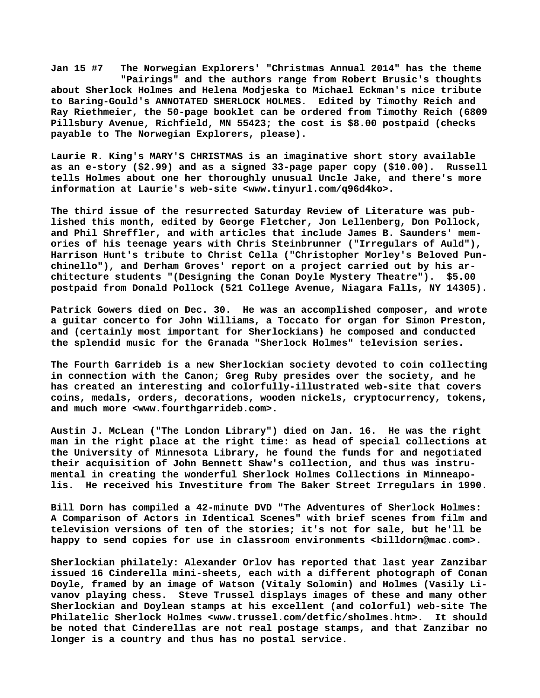**Jan 15 #7 The Norwegian Explorers' "Christmas Annual 2014" has the theme "Pairings" and the authors range from Robert Brusic's thoughts about Sherlock Holmes and Helena Modjeska to Michael Eckman's nice tribute to Baring-Gould's ANNOTATED SHERLOCK HOLMES. Edited by Timothy Reich and Ray Riethmeier, the 50-page booklet can be ordered from Timothy Reich (6809 Pillsbury Avenue, Richfield, MN 55423; the cost is \$8.00 postpaid (checks payable to The Norwegian Explorers, please).**

**Laurie R. King's MARY'S CHRISTMAS is an imaginative short story available as an e-story (\$2.99) and as a signed 33-page paper copy (\$10.00). Russell tells Holmes about one her thoroughly unusual Uncle Jake, and there's more information at Laurie's web-site [<www.tinyurl.com/q96d4ko>.](http://www.tinyurl.com/q96d4ko)**

**The third issue of the resurrected Saturday Review of Literature was published this month, edited by George Fletcher, Jon Lellenberg, Don Pollock, and Phil Shreffler, and with articles that include James B. Saunders' memories of his teenage years with Chris Steinbrunner ("Irregulars of Auld"), Harrison Hunt's tribute to Christ Cella ("Christopher Morley's Beloved Punchinello"), and Derham Groves' report on a project carried out by his architecture students "(Designing the Conan Doyle Mystery Theatre"). \$5.00 postpaid from Donald Pollock (521 College Avenue, Niagara Falls, NY 14305).**

**Patrick Gowers died on Dec. 30. He was an accomplished composer, and wrote a guitar concerto for John Williams, a Toccato for organ for Simon Preston, and (certainly most important for Sherlockians) he composed and conducted the splendid music for the Granada "Sherlock Holmes" television series.**

**The Fourth Garrideb is a new Sherlockian society devoted to coin collecting in connection with the Canon; Greg Ruby presides over the society, and he has created an interesting and colorfully-illustrated web-site that covers coins, medals, orders, decorations, wooden nickels, cryptocurrency, tokens, and much more <[www.fourthgarrideb.com>.](http://www.fourthgarrideb.com)**

**Austin J. McLean ("The London Library") died on Jan. 16. He was the right man in the right place at the right time: as head of special collections at the University of Minnesota Library, he found the funds for and negotiated their acquisition of John Bennett Shaw's collection, and thus was instrumental in creating the wonderful Sherlock Holmes Collections in Minneapolis. He received his Investiture from The Baker Street Irregulars in 1990.**

**Bill Dorn has compiled a 42-minute DVD "The Adventures of Sherlock Holmes: A Comparison of Actors in Identical Scenes" with brief scenes from film and television versions of ten of the stories; it's not for sale, but he'll be happy to send copies for use in classroom environments [<billdorn@mac.com>.](mailto:billdorn@mac.com)**

**Sherlockian philately: Alexander Orlov has reported that last year Zanzibar issued 16 Cinderella mini-sheets, each with a different photograph of Conan Doyle, framed by an image of Watson (Vitaly Solomin) and Holmes (Vasily Livanov playing chess. Steve Trussel displays images of these and many other Sherlockian and Doylean stamps at his excellent (and colorful) web-site The Philatelic Sherlock Holmes [<www.trussel.com/detfic/sholmes.htm>.](http://www.trussel.com/detfic/sholmes.htm) It should be noted that Cinderellas are not real postage stamps, and that Zanzibar no longer is a country and thus has no postal service.**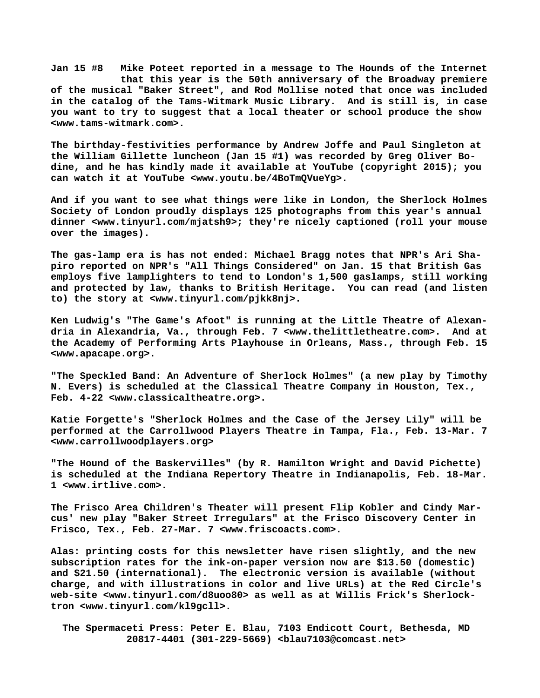**Jan 15 #8 Mike Poteet reported in a message to The Hounds of the Internet that this year is the 50th anniversary of the Broadway premiere of the musical "Baker Street", and Rod Mollise noted that once was included in the catalog of the Tams-Witmark Music Library. And is still is, in case you want to try to suggest that a local theater or school produce the show [<www.tams-witmark.com>.](http://www.tams-witmark.com)**

**The birthday-festivities performance by Andrew Joffe and Paul Singleton at the William Gillette luncheon (Jan 15 #1) was recorded by Greg Oliver Bodine, and he has kindly made it available at YouTube (copyright 2015); you can watch it at YouTube <[www.youtu.be/4BoTmQVueYg>.](http://www.youtu.be/4BoTmQVueYg)**

**And if you want to see what things were like in London, the Sherlock Holmes Society of London proudly displays 125 photographs from this year's annual dinner [<www.tinyurl.com/mjatsh9>; t](http://www.tinyurl.com/mjatsh9)hey're nicely captioned (roll your mouse over the images).**

**The gas-lamp era is has not ended: Michael Bragg notes that NPR's Ari Shapiro reported on NPR's "All Things Considered" on Jan. 15 that British Gas employs five lamplighters to tend to London's 1,500 gaslamps, still working and protected by law, thanks to British Heritage. You can read (and listen to) the story at [<www.tinyurl.com/pjkk8nj>.](http://www.tinyurl.com/pjkk8nj)**

**Ken Ludwig's "The Game's Afoot" is running at the Little Theatre of Alexandria in Alexandria, Va., through Feb. 7 [<www.thelittletheatre.com>.](http://www.thelittletheatre.com) And at the Academy of Performing Arts Playhouse in Orleans, Mass., through Feb. 15 [<www.apacape.org>.](http://www.apacape.org)**

**"The Speckled Band: An Adventure of Sherlock Holmes" (a new play by Timothy N. Evers) is scheduled at the Classical Theatre Company in Houston, Tex., Feb. 4-22 [<www.classicaltheatre.org>.](http://www.classicaltheatre.org)**

**Katie Forgette's "Sherlock Holmes and the Case of the Jersey Lily" will be performed at the Carrollwood Players Theatre in Tampa, Fla., Feb. 13-Mar. 7 [<www.carrollwoodplayers.org>](http://www.carrollwoodplayers.org)**

**"The Hound of the Baskervilles" (by R. Hamilton Wright and David Pichette) is scheduled at the Indiana Repertory Theatre in Indianapolis, Feb. 18-Mar. 1 [<www.irtlive.com>.](http://www.irtlive.com)**

**The Frisco Area Children's Theater will present Flip Kobler and Cindy Marcus' new play "Baker Street Irregulars" at the Frisco Discovery Center in Frisco, Tex., Feb. 27-Mar. 7 <[www.friscoacts.com>.](http://www.friscoacts.com)**

**Alas: printing costs for this newsletter have risen slightly, and the new subscription rates for the ink-on-paper version now are \$13.50 (domestic) and \$21.50 (international). The electronic version is available (without charge, and with illustrations in color and live URLs) at the Red Circle's web-site <[www.tinyurl.com/d8uoo80> a](http://www.tinyurl.com/d8uoo80)s well as at Willis Frick's Sherlocktron [<www.tinyurl.com/kl9gcll>.](http://www.tinyurl.com/kl9gcll)**

 **The Spermaceti Press: Peter E. Blau, 7103 Endicott Court, Bethesda, MD 20817-4401 (301-229-5669) <[blau7103@comcast.net>](mailto:blau7103@comcast.net)**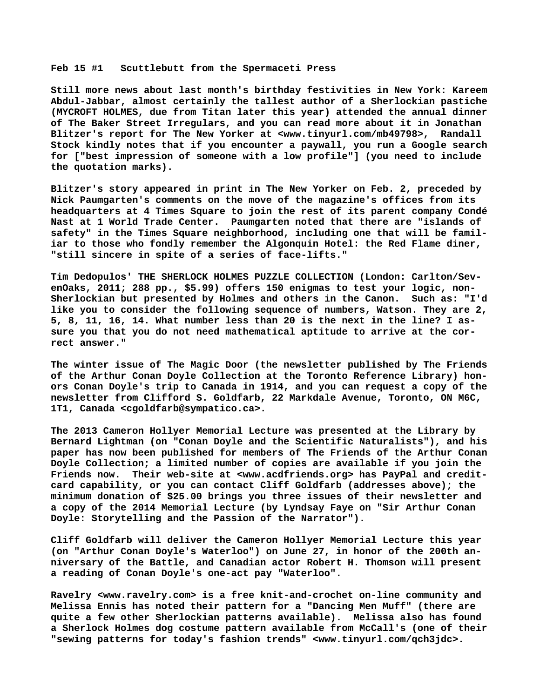## **Feb 15 #1 Scuttlebutt from the Spermaceti Press**

**Still more news about last month's birthday festivities in New York: Kareem Abdul-Jabbar, almost certainly the tallest author of a Sherlockian pastiche (MYCROFT HOLMES, due from Titan later this year) attended the annual dinner of The Baker Street Irregulars, and you can read more about it in Jonathan Blitzer's report for The New Yorker at <[www.tinyurl.com/mb49798>,](http://www.tinyurl.com/mb49798) Randall Stock kindly notes that if you encounter a paywall, you run a Google search for ["best impression of someone with a low profile"] (you need to include the quotation marks).**

**Blitzer's story appeared in print in The New Yorker on Feb. 2, preceded by Nick Paumgarten's comments on the move of the magazine's offices from its headquarters at 4 Times Square to join the rest of its parent company Condé Nast at 1 World Trade Center. Paumgarten noted that there are "islands of safety" in the Times Square neighborhood, including one that will be familiar to those who fondly remember the Algonquin Hotel: the Red Flame diner, "still sincere in spite of a series of face-lifts."**

**Tim Dedopulos' THE SHERLOCK HOLMES PUZZLE COLLECTION (London: Carlton/SevenOaks, 2011; 288 pp., \$5.99) offers 150 enigmas to test your logic, non-Sherlockian but presented by Holmes and others in the Canon. Such as: "I'd like you to consider the following sequence of numbers, Watson. They are 2, 5, 8, 11, 16, 14. What number less than 20 is the next in the line? I assure you that you do not need mathematical aptitude to arrive at the correct answer."**

**The winter issue of The Magic Door (the newsletter published by The Friends of the Arthur Conan Doyle Collection at the Toronto Reference Library) honors Conan Doyle's trip to Canada in 1914, and you can request a copy of the newsletter from Clifford S. Goldfarb, 22 Markdale Avenue, Toronto, ON M6C, 1T1, Canada [<cgoldfarb@sympatico.ca>.](mailto:cgoldfarb@sympatico.ca)**

**The 2013 Cameron Hollyer Memorial Lecture was presented at the Library by Bernard Lightman (on "Conan Doyle and the Scientific Naturalists"), and his paper has now been published for members of The Friends of the Arthur Conan Doyle Collection; a limited number of copies are available if you join the Friends now. Their web-site at [<www.acdfriends.org> h](http://www.acdfriends.org)as PayPal and creditcard capability, or you can contact Cliff Goldfarb (addresses above); the minimum donation of \$25.00 brings you three issues of their newsletter and a copy of the 2014 Memorial Lecture (by Lyndsay Faye on "Sir Arthur Conan Doyle: Storytelling and the Passion of the Narrator").**

**Cliff Goldfarb will deliver the Cameron Hollyer Memorial Lecture this year (on "Arthur Conan Doyle's Waterloo") on June 27, in honor of the 200th anniversary of the Battle, and Canadian actor Robert H. Thomson will present a reading of Conan Doyle's one-act pay "Waterloo".**

**Ravelry [<www.ravelry.com> i](http://www.ravelry.com)s a free knit-and-crochet on-line community and Melissa Ennis has noted their pattern for a "Dancing Men Muff" (there are quite a few other Sherlockian patterns available). Melissa also has found a Sherlock Holmes dog costume pattern available from McCall's (one of their "sewing patterns for today's fashion trends" [<www.tinyurl.com/qch3jdc>.](http://www.tinyurl.com/qch3jdc)**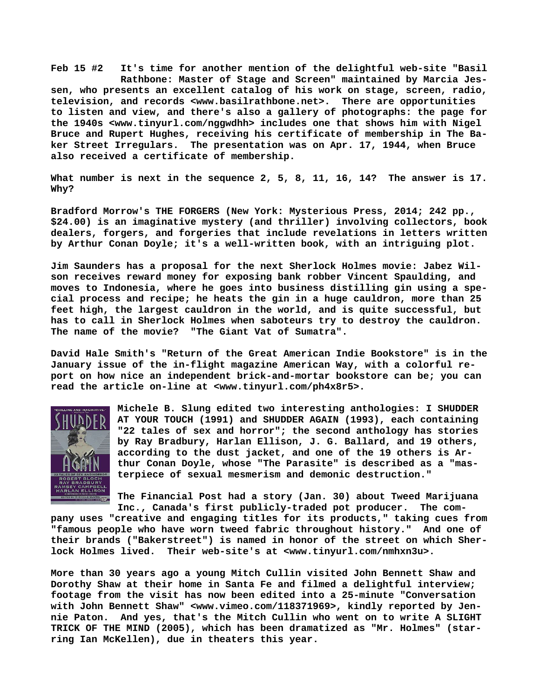**Feb 15 #2 It's time for another mention of the delightful web-site "Basil Rathbone: Master of Stage and Screen" maintained by Marcia Jessen, who presents an excellent catalog of his work on stage, screen, radio, television, and records <[www.basilrathbone.net>.](http://www.basilrathbone.net) There are opportunities to listen and view, and there's also a gallery of photographs: the page for the 1940s [<www.tinyurl.com/nggwdhh> i](http://www.tinyurl.com/nggwdhh)ncludes one that shows him with Nigel Bruce and Rupert Hughes, receiving his certificate of membership in The Baker Street Irregulars. The presentation was on Apr. 17, 1944, when Bruce also received a certificate of membership.**

**What number is next in the sequence 2, 5, 8, 11, 16, 14? The answer is 17. Why?**

**Bradford Morrow's THE FORGERS (New York: Mysterious Press, 2014; 242 pp., \$24.00) is an imaginative mystery (and thriller) involving collectors, book dealers, forgers, and forgeries that include revelations in letters written by Arthur Conan Doyle; it's a well-written book, with an intriguing plot.**

**Jim Saunders has a proposal for the next Sherlock Holmes movie: Jabez Wilson receives reward money for exposing bank robber Vincent Spaulding, and moves to Indonesia, where he goes into business distilling gin using a special process and recipe; he heats the gin in a huge cauldron, more than 25 feet high, the largest cauldron in the world, and is quite successful, but has to call in Sherlock Holmes when saboteurs try to destroy the cauldron. The name of the movie? "The Giant Vat of Sumatra".**

**David Hale Smith's "Return of the Great American Indie Bookstore" is in the January issue of the in-flight magazine American Way, with a colorful report on how nice an independent brick-and-mortar bookstore can be; you can read the article on-line at [<www.tinyurl.com/ph4x8r5>.](http://www.tinyurl.com/ph4x8r5)**



**Michele B. Slung edited two interesting anthologies: I SHUDDER AT YOUR TOUCH (1991) and SHUDDER AGAIN (1993), each containing "22 tales of sex and horror"; the second anthology has stories by Ray Bradbury, Harlan Ellison, J. G. Ballard, and 19 others, according to the dust jacket, and one of the 19 others is Arthur Conan Doyle, whose "The Parasite" is described as a "masterpiece of sexual mesmerism and demonic destruction."**

**The Financial Post had a story (Jan. 30) about Tweed Marijuana** Inc., Canada's first publicly-traded pot producer.

**pany uses "creative and engaging titles for its products," taking cues from "famous people who have worn tweed fabric throughout history." And one of their brands ("Bakerstreet") is named in honor of the street on which Sherlock Holmes lived. Their web-site's at [<www.tinyurl.com/nmhxn3u>.](http://www.tinyurl.com/nmhxn3u)**

**More than 30 years ago a young Mitch Cullin visited John Bennett Shaw and Dorothy Shaw at their home in Santa Fe and filmed a delightful interview; footage from the visit has now been edited into a 25-minute "Conversation with John Bennett Shaw" <[www.vimeo.com/118371969>, k](http://www.vimeo.com/118371969)indly reported by Jennie Paton. And yes, that's the Mitch Cullin who went on to write A SLIGHT TRICK OF THE MIND (2005), which has been dramatized as "Mr. Holmes" (starring Ian McKellen), due in theaters this year.**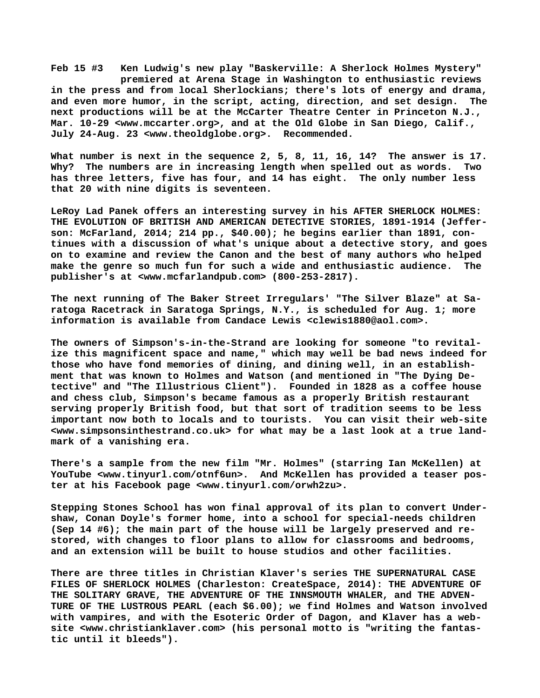**Feb 15 #3 Ken Ludwig's new play "Baskerville: A Sherlock Holmes Mystery" premiered at Arena Stage in Washington to enthusiastic reviews in the press and from local Sherlockians; there's lots of energy and drama, and even more humor, in the script, acting, direction, and set design. The next productions will be at the McCarter Theatre Center in Princeton N.J., Mar. 10-29 <[www.mccarter.org>, a](http://www.mccarter.org)nd at the Old Globe in San Diego, Calif., July 24-Aug. 23 <[www.theoldglobe.org>.](http://www.theoldglobe.org) Recommended.**

**What number is next in the sequence 2, 5, 8, 11, 16, 14? The answer is 17. Why? The numbers are in increasing length when spelled out as words. Two has three letters, five has four, and 14 has eight. The only number less that 20 with nine digits is seventeen.**

**LeRoy Lad Panek offers an interesting survey in his AFTER SHERLOCK HOLMES: THE EVOLUTION OF BRITISH AND AMERICAN DETECTIVE STORIES, 1891-1914 (Jefferson: McFarland, 2014; 214 pp., \$40.00); he begins earlier than 1891, continues with a discussion of what's unique about a detective story, and goes on to examine and review the Canon and the best of many authors who helped make the genre so much fun for such a wide and enthusiastic audience. The publisher's at [<www.mcfarlandpub.com> \(](http://www.mcfarlandpub.com)800-253-2817).**

**The next running of The Baker Street Irregulars' "The Silver Blaze" at Saratoga Racetrack in Saratoga Springs, N.Y., is scheduled for Aug. 1; more information is available from Candace Lewis <[clewis1880@aol.com>.](mailto:clewis1880@aol.com)**

**The owners of Simpson's-in-the-Strand are looking for someone "to revitalize this magnificent space and name," which may well be bad news indeed for those who have fond memories of dining, and dining well, in an establishment that was known to Holmes and Watson (and mentioned in "The Dying Detective" and "The Illustrious Client"). Founded in 1828 as a coffee house and chess club, Simpson's became famous as a properly British restaurant serving properly British food, but that sort of tradition seems to be less important now both to locals and to tourists. You can visit their web-site [<www.simpsonsinthestrand.co.uk> f](http://www.simpsonsinthestrand.co.uk)or what may be a last look at a true landmark of a vanishing era.**

**There's a sample from the new film "Mr. Holmes" (starring Ian McKellen) at YouTube [<www.tinyurl.com/otnf6un>.](http://www.tinyurl.com/otnf6un) And McKellen has provided a teaser poster at his Facebook page [<www.tinyurl.com/orwh2zu>.](http://www.tinyurl.com/orwh2zu)**

**Stepping Stones School has won final approval of its plan to convert Undershaw, Conan Doyle's former home, into a school for special-needs children (Sep 14 #6); the main part of the house will be largely preserved and restored, with changes to floor plans to allow for classrooms and bedrooms, and an extension will be built to house studios and other facilities.**

**There are three titles in Christian Klaver's series THE SUPERNATURAL CASE FILES OF SHERLOCK HOLMES (Charleston: CreateSpace, 2014): THE ADVENTURE OF THE SOLITARY GRAVE, THE ADVENTURE OF THE INNSMOUTH WHALER, and THE ADVEN-TURE OF THE LUSTROUS PEARL (each \$6.00); we find Holmes and Watson involved with vampires, and with the Esoteric Order of Dagon, and Klaver has a website [<www.christianklaver.com> \(](http://www.christianklaver.com)his personal motto is "writing the fantastic until it bleeds").**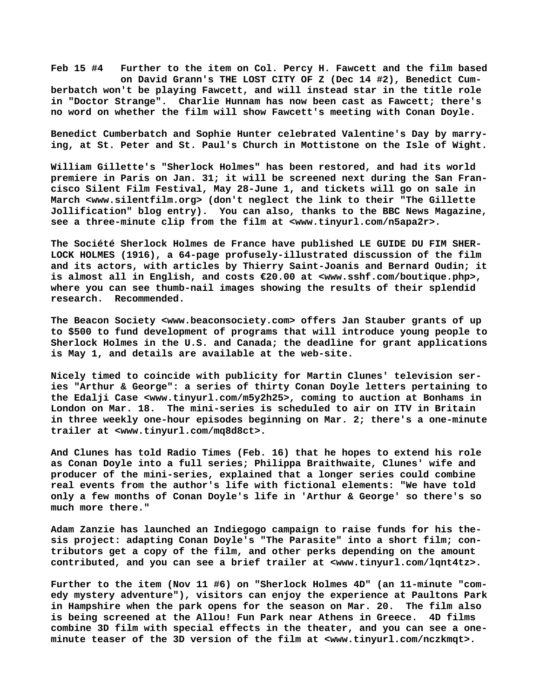**Feb 15 #4 Further to the item on Col. Percy H. Fawcett and the film based on David Grann's THE LOST CITY OF Z (Dec 14 #2), Benedict Cumberbatch won't be playing Fawcett, and will instead star in the title role in "Doctor Strange". Charlie Hunnam has now been cast as Fawcett; there's no word on whether the film will show Fawcett's meeting with Conan Doyle.**

**Benedict Cumberbatch and Sophie Hunter celebrated Valentine's Day by marrying, at St. Peter and St. Paul's Church in Mottistone on the Isle of Wight.**

**William Gillette's "Sherlock Holmes" has been restored, and had its world premiere in Paris on Jan. 31; it will be screened next during the San Francisco Silent Film Festival, May 28-June 1, and tickets will go on sale in March <[www.silentfilm.org> \(](http://www.silentfilm.org)don't neglect the link to their "The Gillette Jollification" blog entry). You can also, thanks to the BBC News Magazine, see a three-minute clip from the film at <[www.tinyurl.com/n5apa2r>.](http://www.tinyurl.com/n5apa2r)**

**The Société Sherlock Holmes de France have published LE GUIDE DU FIM SHER-LOCK HOLMES (1916), a 64-page profusely-illustrated discussion of the film and its actors, with articles by Thierry Saint-Joanis and Bernard Oudin; it is almost all in English, and costs €20.00 at <[www.sshf.com/boutique.php>,](http://www.sshf.com/boutique.php) where you can see thumb-nail images showing the results of their splendid research. Recommended.**

**The Beacon Society <[www.beaconsociety.com> o](http://www.beaconsociety.com)ffers Jan Stauber grants of up to \$500 to fund development of programs that will introduce young people to Sherlock Holmes in the U.S. and Canada; the deadline for grant applications is May 1, and details are available at the web-site.**

**Nicely timed to coincide with publicity for Martin Clunes' television series "Arthur & George": a series of thirty Conan Doyle letters pertaining to the Edalji Case <[www.tinyurl.com/m5y2h25>, c](http://www.tinyurl.com/m5y2h25)oming to auction at Bonhams in London on Mar. 18. The mini-series is scheduled to air on ITV in Britain in three weekly one-hour episodes beginning on Mar. 2; there's a one-minute trailer at <[www.tinyurl.com/mq8d8ct>.](http://www.tinyurl.com/mq8d8ct)**

**And Clunes has told Radio Times (Feb. 16) that he hopes to extend his role as Conan Doyle into a full series; Philippa Braithwaite, Clunes' wife and producer of the mini-series, explained that a longer series could combine real events from the author's life with fictional elements: "We have told only a few months of Conan Doyle's life in 'Arthur & George' so there's so much more there."**

**Adam Zanzie has launched an Indiegogo campaign to raise funds for his thesis project: adapting Conan Doyle's "The Parasite" into a short film; contributors get a copy of the film, and other perks depending on the amount contributed, and you can see a brief trailer at [<www.tinyurl.com/lqnt4tz>.](http://www.tinyurl.com/lqnt4tz)**

**Further to the item (Nov 11 #6) on "Sherlock Holmes 4D" (an 11-minute "comedy mystery adventure"), visitors can enjoy the experience at Paultons Park in Hampshire when the park opens for the season on Mar. 20. The film also is being screened at the Allou! Fun Park near Athens in Greece. 4D films combine 3D film with special effects in the theater, and you can see a oneminute teaser of the 3D version of the film at [<www.tinyurl.com/nczkmqt>.](http://www.tinyurl.com/nczkmqt)**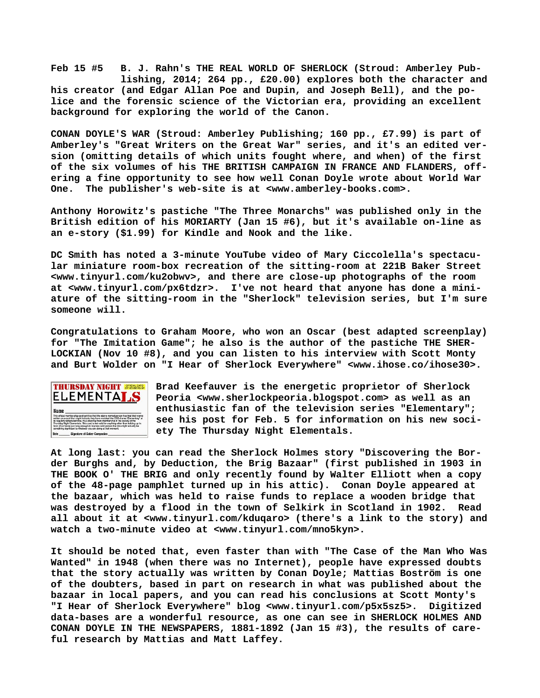**Feb 15 #5 B. J. Rahn's THE REAL WORLD OF SHERLOCK (Stroud: Amberley Pub lishing, 2014; 264 pp., £20.00) explores both the character and his creator (and Edgar Allan Poe and Dupin, and Joseph Bell), and the police and the forensic science of the Victorian era, providing an excellent background for exploring the world of the Canon.**

**CONAN DOYLE'S WAR (Stroud: Amberley Publishing; 160 pp., £7.99) is part of Amberley's "Great Writers on the Great War" series, and it's an edited version (omitting details of which units fought where, and when) of the first of the six volumes of his THE BRITISH CAMPAIGN IN FRANCE AND FLANDERS, offering a fine opportunity to see how well Conan Doyle wrote about World War One. The publisher's web-site is at [<www.amberley-books.com>.](http://www.amberley-books.com)**

**Anthony Horowitz's pastiche "The Three Monarchs" was published only in the British edition of his MORIARTY (Jan 15 #6), but it's available on-line as an e-story (\$1.99) for Kindle and Nook and the like.**

**DC Smith has noted a 3-minute YouTube video of Mary Ciccolella's spectacular miniature room-box recreation of the sitting-room at 221B Baker Street [<www.tinyurl.com/ku2obwv>, a](http://www.tinyurl.com/ku2obwv)nd there are close-up photographs of the room at [<www.tinyurl.com/px6tdzr>.](http://www.tinyurl.com/px6tdzr) I've not heard that anyone has done a miniature of the sitting-room in the "Sherlock" television series, but I'm sure someone will.**

**Congratulations to Graham Moore, who won an Oscar (best adapted screenplay) for "The Imitation Game"; he also is the author of the pastiche THE SHER-LOCKIAN (Nov 10 #8), and you can listen to his interview with Scott Monty and Burt Wolder on "I Hear of Sherlock Everywhere" <[www.ihose.co/ihose30>.](http://www.ihose.co/ihose30)**



**Brad Keefauver is the energetic proprietor of Sherlock Peoria <[www.sherlockpeoria.blogspot.com> a](http://www.sherlockpeoria.blogspot.com)s well as an enthusiastic fan of the television series "Elementary"; see his post for Feb. 5 for information on his new society The Thursday Night Elementals.**

**At long last: you can read the Sherlock Holmes story "Discovering the Border Burghs and, by Deduction, the Brig Bazaar" (first published in 1903 in THE BOOK O' THE BRIG and only recently found by Walter Elliott when a copy of the 48-page pamphlet turned up in his attic). Conan Doyle appeared at the bazaar, which was held to raise funds to replace a wooden bridge that was destroyed by a flood in the town of Selkirk in Scotland in 1902. Read all about it at <[www.tinyurl.com/kduqaro> \(](http://www.tinyurl.com/kduqaro)there's a link to the story) and watch a two-minute video at [<www.tinyurl.com/mno5kyn>.](http://www.tinyurl.com/mno5kyn)**

**It should be noted that, even faster than with "The Case of the Man Who Was Wanted" in 1948 (when there was no Internet), people have expressed doubts that the story actually was written by Conan Doyle; Mattias Boström is one of the doubters, based in part on research in what was published about the bazaar in local papers, and you can read his conclusions at Scott Monty's "I Hear of Sherlock Everywhere" blog [<www.tinyurl.com/p5x5sz5>.](http://www.tinyurl.com/p5x5sz5) Digitized data-bases are a wonderful resource, as one can see in SHERLOCK HOLMES AND CONAN DOYLE IN THE NEWSPAPERS, 1881-1892 (Jan 15 #3), the results of careful research by Mattias and Matt Laffey.**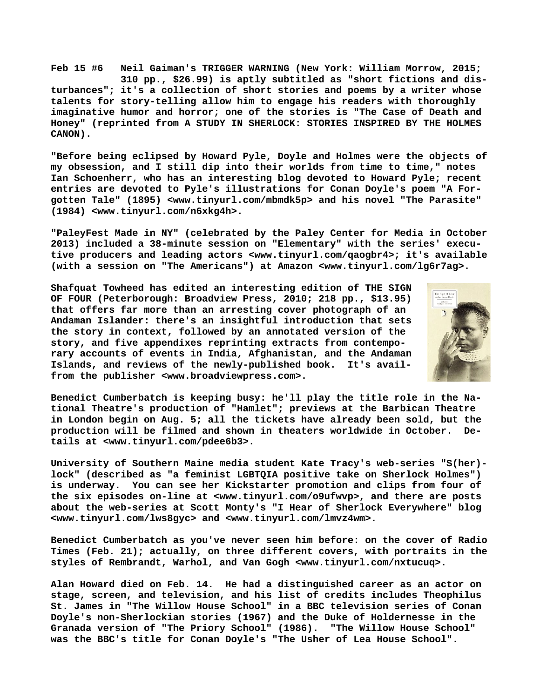**Feb 15 #6 Neil Gaiman's TRIGGER WARNING (New York: William Morrow, 2015; 310 pp., \$26.99) is aptly subtitled as "short fictions and disturbances"; it's a collection of short stories and poems by a writer whose talents for story-telling allow him to engage his readers with thoroughly imaginative humor and horror; one of the stories is "The Case of Death and Honey" (reprinted from A STUDY IN SHERLOCK: STORIES INSPIRED BY THE HOLMES CANON).**

**"Before being eclipsed by Howard Pyle, Doyle and Holmes were the objects of my obsession, and I still dip into their worlds from time to time," notes Ian Schoenherr, who has an interesting blog devoted to Howard Pyle; recent entries are devoted to Pyle's illustrations for Conan Doyle's poem "A Forgotten Tale" (1895) [<www.tinyurl.com/mbmdk5p> a](http://www.tinyurl.com/mbmdk5p)nd his novel "The Parasite" (1984) [<www.tinyurl.com/n6xkg4h>.](http://www.tinyurl.com/n6xkg4h)**

**"PaleyFest Made in NY" (celebrated by the Paley Center for Media in October 2013) included a 38-minute session on "Elementary" with the series' executive producers and leading actors <[www.tinyurl.com/qaogbr4>; i](http://www.tinyurl.com/qaogbr4)t's available (with a session on "The Americans") at Amazon <[www.tinyurl.com/lg6r7ag>.](http://www.tinyurl.com/lg6r7ag)**

**Shafquat Towheed has edited an interesting edition of THE SIGN OF FOUR (Peterborough: Broadview Press, 2010; 218 pp., \$13.95) that offers far more than an arresting cover photograph of an Andaman Islander: there's an insightful introduction that sets the story in context, followed by an annotated version of the story, and five appendixes reprinting extracts from contemporary accounts of events in India, Afghanistan, and the Andaman Islands, and reviews of the newly-published book. It's availfrom the publisher <[www.broadviewpress.com>.](http://www.broadviewpress.com)**



**Benedict Cumberbatch is keeping busy: he'll play the title role in the National Theatre's production of "Hamlet"; previews at the Barbican Theatre in London begin on Aug. 5; all the tickets have already been sold, but the production will be filmed and shown in theaters worldwide in October. Details at <[www.tinyurl.com/pdee6b3>.](http://www.tinyurl.com/pdee6b3)**

**University of Southern Maine media student Kate Tracy's web-series "S(her) lock" (described as "a feminist LGBTQIA positive take on Sherlock Holmes") is underway. You can see her Kickstarter promotion and clips from four of the six episodes on-line at [<www.tinyurl.com/o9ufwvp>, a](http://www.tinyurl.com/o9ufwvp)nd there are posts about the web-series at Scott Monty's "I Hear of Sherlock Everywhere" blog [<www.tinyurl.com/lws8gyc> a](http://www.tinyurl.com/lws8gyc)nd [<www.tinyurl.com/lmvz4wm>.](http://www.tinyurl.com/lmvz4wm)**

**Benedict Cumberbatch as you've never seen him before: on the cover of Radio Times (Feb. 21); actually, on three different covers, with portraits in the styles of Rembrandt, Warhol, and Van Gogh [<www.tinyurl.com/nxtucuq>.](http://www.tinyurl.com/nxtucuq)**

**Alan Howard died on Feb. 14. He had a distinguished career as an actor on stage, screen, and television, and his list of credits includes Theophilus St. James in "The Willow House School" in a BBC television series of Conan Doyle's non-Sherlockian stories (1967) and the Duke of Holdernesse in the Granada version of "The Priory School" (1986). "The Willow House School" was the BBC's title for Conan Doyle's "The Usher of Lea House School".**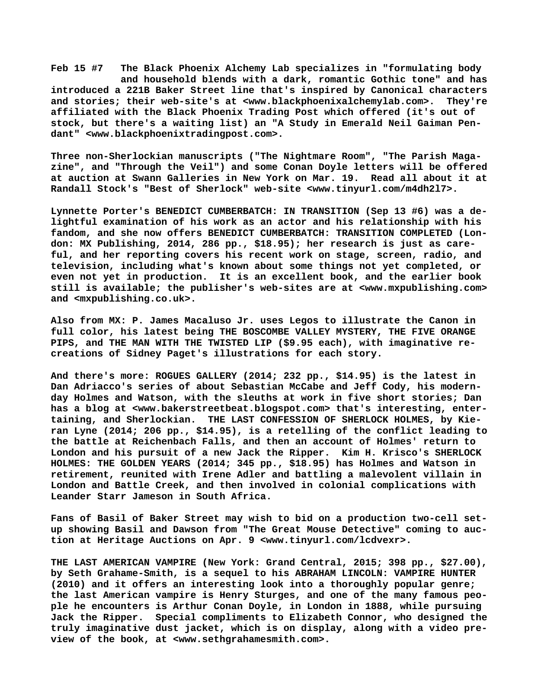**Feb 15 #7 The Black Phoenix Alchemy Lab specializes in "formulating body and household blends with a dark, romantic Gothic tone" and has introduced a 221B Baker Street line that's inspired by Canonical characters and stories; their web-site's at [<www.blackphoenixalchemylab.com>.](http://www.blackphoenixalchemylab.com) They're affiliated with the Black Phoenix Trading Post which offered (it's out of stock, but there's a waiting list) an "A Study in Emerald Neil Gaiman Pendant" <[www.blackphoenixtradingpost.com>.](http://www.blackphoenixtradingpost.com)**

**Three non-Sherlockian manuscripts ("The Nightmare Room", "The Parish Magazine", and "Through the Veil") and some Conan Doyle letters will be offered at auction at Swann Galleries in New York on Mar. 19. Read all about it at Randall Stock's "Best of Sherlock" web-site <[www.tinyurl.com/m4dh2l7>.](http://www.tinyurl.com/m4dh2l7)**

**Lynnette Porter's BENEDICT CUMBERBATCH: IN TRANSITION (Sep 13 #6) was a delightful examination of his work as an actor and his relationship with his fandom, and she now offers BENEDICT CUMBERBATCH: TRANSITION COMPLETED (London: MX Publishing, 2014, 286 pp., \$18.95); her research is just as careful, and her reporting covers his recent work on stage, screen, radio, and television, including what's known about some things not yet completed, or even not yet in production. It is an excellent book, and the earlier book still is available; the publisher's web-sites are at [<www.mxpublishing.com>](http://www.mxpublishing.com) and <mxpublishing.co.uk>.**

**Also from MX: P. James Macaluso Jr. uses Legos to illustrate the Canon in full color, his latest being THE BOSCOMBE VALLEY MYSTERY, THE FIVE ORANGE PIPS, and THE MAN WITH THE TWISTED LIP (\$9.95 each), with imaginative recreations of Sidney Paget's illustrations for each story.**

**And there's more: ROGUES GALLERY (2014; 232 pp., \$14.95) is the latest in Dan Adriacco's series of about Sebastian McCabe and Jeff Cody, his modernday Holmes and Watson, with the sleuths at work in five short stories; Dan has a blog at <[www.bakerstreetbeat.blogspot.com> t](http://www.bakerstreetbeat.blogspot.com)hat's interesting, entertaining, and Sherlockian. THE LAST CONFESSION OF SHERLOCK HOLMES, by Kieran Lyne (2014; 206 pp., \$14.95), is a retelling of the conflict leading to the battle at Reichenbach Falls, and then an account of Holmes' return to London and his pursuit of a new Jack the Ripper. Kim H. Krisco's SHERLOCK HOLMES: THE GOLDEN YEARS (2014; 345 pp., \$18.95) has Holmes and Watson in retirement, reunited with Irene Adler and battling a malevolent villain in London and Battle Creek, and then involved in colonial complications with Leander Starr Jameson in South Africa.**

**Fans of Basil of Baker Street may wish to bid on a production two-cell setup showing Basil and Dawson from "The Great Mouse Detective" coming to auction at Heritage Auctions on Apr. 9 <[www.tinyurl.com/lcdvexr>.](http://www.tinyurl.com/lcdvexr)**

**THE LAST AMERICAN VAMPIRE (New York: Grand Central, 2015; 398 pp., \$27.00), by Seth Grahame-Smith, is a sequel to his ABRAHAM LINCOLN: VAMPIRE HUNTER (2010) and it offers an interesting look into a thoroughly popular genre; the last American vampire is Henry Sturges, and one of the many famous people he encounters is Arthur Conan Doyle, in London in 1888, while pursuing Jack the Ripper. Special compliments to Elizabeth Connor, who designed the truly imaginative dust jacket, which is on display, along with a video preview of the book, at <[www.sethgrahamesmith.com>.](http://www.sethgrahamesmith.com)**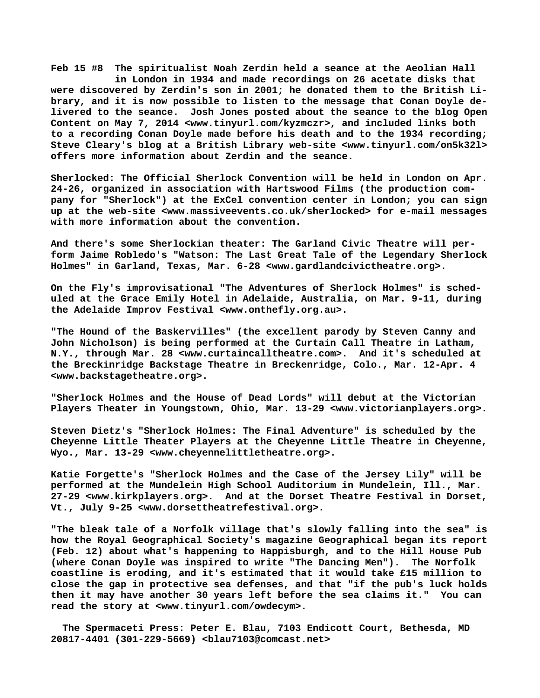**Feb 15 #8 The spiritualist Noah Zerdin held a seance at the Aeolian Hall in London in 1934 and made recordings on 26 acetate disks that were discovered by Zerdin's son in 2001; he donated them to the British Library, and it is now possible to listen to the message that Conan Doyle delivered to the seance. Josh Jones posted about the seance to the blog Open Content on May 7, 2014 [<www.tinyurl.com/kyzmczr>, a](http://www.tinyurl.com/kyzmczr)nd included links both to a recording Conan Doyle made before his death and to the 1934 recording; Steve Cleary's blog at a British Library web-site [<www.tinyurl.com/on5k32l>](http://www.tinyurl.com/on5k32l) offers more information about Zerdin and the seance.**

**Sherlocked: The Official Sherlock Convention will be held in London on Apr. 24-26, organized in association with Hartswood Films (the production company for "Sherlock") at the ExCel convention center in London; you can sign up at the web-site <[www.massiveevents.co.uk/sherlocked> f](http://www.massiveevents.co.uk/sherlocked)or e-mail messages with more information about the convention.**

**And there's some Sherlockian theater: The Garland Civic Theatre will perform Jaime Robledo's "Watson: The Last Great Tale of the Legendary Sherlock Holmes" in Garland, Texas, Mar. 6-28 [<www.gardlandcivictheatre.org>.](http://www.gardlandcivictheatre.org)**

**On the Fly's improvisational "The Adventures of Sherlock Holmes" is scheduled at the Grace Emily Hotel in Adelaide, Australia, on Mar. 9-11, during the Adelaide Improv Festival <[www.onthefly.org.au>.](http://www.onthefly.org.au)**

**"The Hound of the Baskervilles" (the excellent parody by Steven Canny and John Nicholson) is being performed at the Curtain Call Theatre in Latham, N.Y., through Mar. 28 [<www.curtaincalltheatre.com>.](http://www.curtaincalltheatre.com) And it's scheduled at the Breckinridge Backstage Theatre in Breckenridge, Colo., Mar. 12-Apr. 4 [<www.backstagetheatre.org>.](http://www.backstagetheatre.org)**

**"Sherlock Holmes and the House of Dead Lords" will debut at the Victorian Players Theater in Youngstown, Ohio, Mar. 13-29 [<www.victorianplayers.org>.](http://www.victorianplayers.org)**

**Steven Dietz's "Sherlock Holmes: The Final Adventure" is scheduled by the Cheyenne Little Theater Players at the Cheyenne Little Theatre in Cheyenne, Wyo., Mar. 13-29 [<www.cheyennelittletheatre.org>.](http://www.cheyennelittletheatre.org)**

**Katie Forgette's "Sherlock Holmes and the Case of the Jersey Lily" will be performed at the Mundelein High School Auditorium in Mundelein, Ill., Mar. 27-29 <[www.kirkplayers.org>.](http://www.kirkplayers.org) And at the Dorset Theatre Festival in Dorset, Vt., July 9-25 [<www.dorsettheatrefestival.org>.](http://www.dorsettheatrefestival.org)**

**"The bleak tale of a Norfolk village that's slowly falling into the sea" is how the Royal Geographical Society's magazine Geographical began its report (Feb. 12) about what's happening to Happisburgh, and to the Hill House Pub (where Conan Doyle was inspired to write "The Dancing Men"). The Norfolk coastline is eroding, and it's estimated that it would take £15 million to close the gap in protective sea defenses, and that "if the pub's luck holds then it may have another 30 years left before the sea claims it." You can read the story at [<www.tinyurl.com/owdecym>.](http://www.tinyurl.com/owdecym)**

 **The Spermaceti Press: Peter E. Blau, 7103 Endicott Court, Bethesda, MD 20817-4401 (301-229-5669) <[blau7103@comcast.net>](mailto:blau7103@comcast.net)**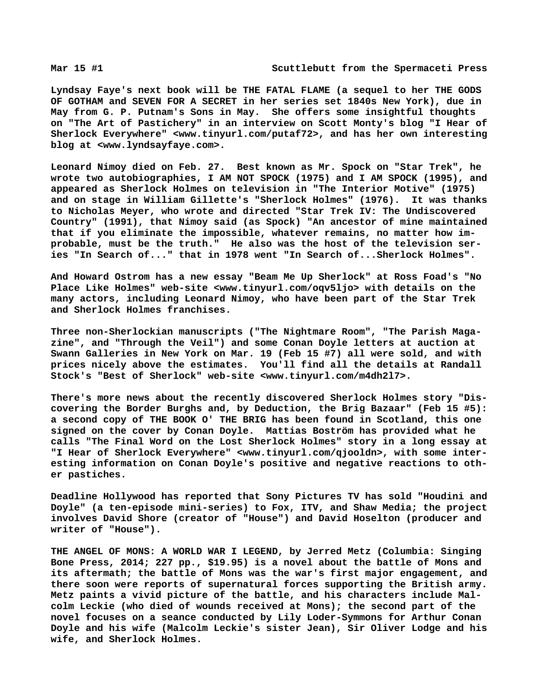**Lyndsay Faye's next book will be THE FATAL FLAME (a sequel to her THE GODS OF GOTHAM and SEVEN FOR A SECRET in her series set 1840s New York), due in May from G. P. Putnam's Sons in May. She offers some insightful thoughts on "The Art of Pastichery" in an interview on Scott Monty's blog "I Hear of Sherlock Everywhere" <[www.tinyurl.com/putaf72>, a](http://www.tinyurl.com/putaf72)nd has her own interesting blog at [<www.lyndsayfaye.com>.](http://www.lyndsayfaye.com)**

**Leonard Nimoy died on Feb. 27. Best known as Mr. Spock on "Star Trek", he wrote two autobiographies, I AM NOT SPOCK (1975) and I AM SPOCK (1995), and appeared as Sherlock Holmes on television in "The Interior Motive" (1975) and on stage in William Gillette's "Sherlock Holmes" (1976). It was thanks to Nicholas Meyer, who wrote and directed "Star Trek IV: The Undiscovered Country" (1991), that Nimoy said (as Spock) "An ancestor of mine maintained that if you eliminate the impossible, whatever remains, no matter how improbable, must be the truth." He also was the host of the television series "In Search of..." that in 1978 went "In Search of...Sherlock Holmes".**

**And Howard Ostrom has a new essay "Beam Me Up Sherlock" at Ross Foad's "No Place Like Holmes" web-site [<www.tinyurl.com/oqv5ljo> w](http://www.tinyurl.com/oqv5ljo)ith details on the many actors, including Leonard Nimoy, who have been part of the Star Trek and Sherlock Holmes franchises.**

**Three non-Sherlockian manuscripts ("The Nightmare Room", "The Parish Magazine", and "Through the Veil") and some Conan Doyle letters at auction at Swann Galleries in New York on Mar. 19 (Feb 15 #7) all were sold, and with prices nicely above the estimates. You'll find all the details at Randall Stock's "Best of Sherlock" web-site <[www.tinyurl.com/m4dh2l7>.](http://www.tinyurl.com/m4dh2l7)**

**There's more news about the recently discovered Sherlock Holmes story "Discovering the Border Burghs and, by Deduction, the Brig Bazaar" (Feb 15 #5): a second copy of THE BOOK O' THE BRIG has been found in Scotland, this one signed on the cover by Conan Doyle. Mattias Boström has provided what he calls "The Final Word on the Lost Sherlock Holmes" story in a long essay at "I Hear of Sherlock Everywhere" [<www.tinyurl.com/qjooldn>, w](http://www.tinyurl.com/qjooldn)ith some interesting information on Conan Doyle's positive and negative reactions to other pastiches.**

**Deadline Hollywood has reported that Sony Pictures TV has sold "Houdini and Doyle" (a ten-episode mini-series) to Fox, ITV, and Shaw Media; the project involves David Shore (creator of "House") and David Hoselton (producer and writer of "House").**

**THE ANGEL OF MONS: A WORLD WAR I LEGEND, by Jerred Metz (Columbia: Singing Bone Press, 2014; 227 pp., \$19.95) is a novel about the battle of Mons and its aftermath; the battle of Mons was the war's first major engagement, and there soon were reports of supernatural forces supporting the British army. Metz paints a vivid picture of the battle, and his characters include Malcolm Leckie (who died of wounds received at Mons); the second part of the novel focuses on a seance conducted by Lily Loder-Symmons for Arthur Conan Doyle and his wife (Malcolm Leckie's sister Jean), Sir Oliver Lodge and his wife, and Sherlock Holmes.**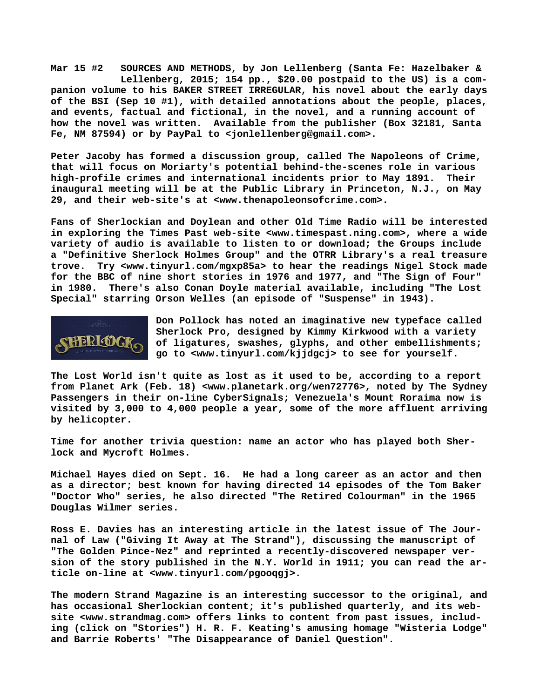**Mar 15 #2 SOURCES AND METHODS, by Jon Lellenberg (Santa Fe: Hazelbaker & Lellenberg, 2015; 154 pp., \$20.00 postpaid to the US) is a companion volume to his BAKER STREET IRREGULAR, his novel about the early days of the BSI (Sep 10 #1), with detailed annotations about the people, places, and events, factual and fictional, in the novel, and a running account of how the novel was written. Available from the publisher (Box 32181, Santa Fe, NM 87594) or by PayPal to [<jonlellenberg@gmail.com>.](mailto:jonlellenberg@gmail.com)**

**Peter Jacoby has formed a discussion group, called The Napoleons of Crime, that will focus on Moriarty's potential behind-the-scenes role in various high-profile crimes and international incidents prior to May 1891. Their inaugural meeting will be at the Public Library in Princeton, N.J., on May 29, and their web-site's at [<www.thenapoleonsofcrime.com>.](http://www.thenapoleonsofcrime.com)**

**Fans of Sherlockian and Doylean and other Old Time Radio will be interested in exploring the Times Past web-site [<www.timespast.ning.com>, w](http://www.timespast.ning.com)here a wide variety of audio is available to listen to or download; the Groups include a "Definitive Sherlock Holmes Group" and the OTRR Library's a real treasure trove. Try [<www.tinyurl.com/mgxp85a> t](http://www.tinyurl.com/mgxp85a)o hear the readings Nigel Stock made for the BBC of nine short stories in 1976 and 1977, and "The Sign of Four" in 1980. There's also Conan Doyle material available, including "The Lost Special" starring Orson Welles (an episode of "Suspense" in 1943).**



**Don Pollock has noted an imaginative new typeface called Sherlock Pro, designed by Kimmy Kirkwood with a variety of ligatures, swashes, glyphs, and other embellishments; go to [<www.tinyurl.com/kjjdgcj> t](http://www.tinyurl.com/kjjdgcj)o see for yourself.**

**The Lost World isn't quite as lost as it used to be, according to a report from Planet Ark (Feb. 18) <[www.planetark.org/wen72776>, n](http://www.planetark.org/wen72776)oted by The Sydney Passengers in their on-line CyberSignals; Venezuela's Mount Roraima now is visited by 3,000 to 4,000 people a year, some of the more affluent arriving by helicopter.**

**Time for another trivia question: name an actor who has played both Sherlock and Mycroft Holmes.**

**Michael Hayes died on Sept. 16. He had a long career as an actor and then as a director; best known for having directed 14 episodes of the Tom Baker "Doctor Who" series, he also directed "The Retired Colourman" in the 1965 Douglas Wilmer series.**

**Ross E. Davies has an interesting article in the latest issue of The Journal of Law ("Giving It Away at The Strand"), discussing the manuscript of "The Golden Pince-Nez" and reprinted a recently-discovered newspaper version of the story published in the N.Y. World in 1911; you can read the article on-line at [<www.tinyurl.com/pgooqgj>.](http://www.tinyurl.com/pgooqgj)**

**The modern Strand Magazine is an interesting successor to the original, and has occasional Sherlockian content; it's published quarterly, and its website [<www.strandmag.com> o](http://www.strandmag.com)ffers links to content from past issues, including (click on "Stories") H. R. F. Keating's amusing homage "Wisteria Lodge" and Barrie Roberts' "The Disappearance of Daniel Question".**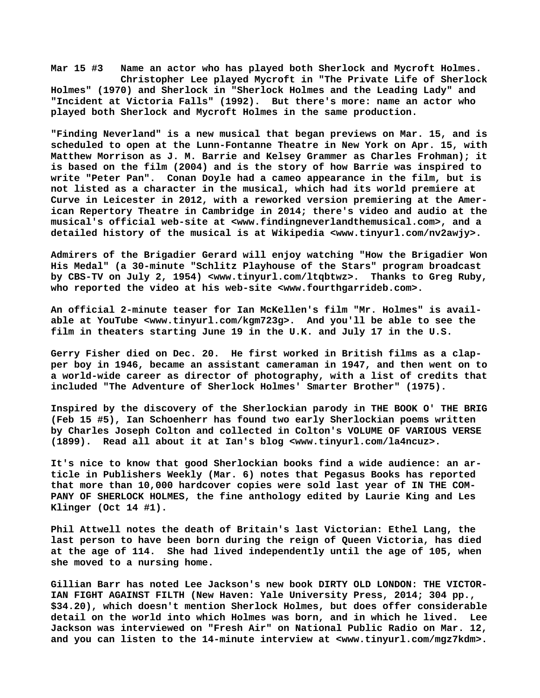**Mar 15 #3 Name an actor who has played both Sherlock and Mycroft Holmes. Christopher Lee played Mycroft in "The Private Life of Sherlock Holmes" (1970) and Sherlock in "Sherlock Holmes and the Leading Lady" and "Incident at Victoria Falls" (1992). But there's more: name an actor who played both Sherlock and Mycroft Holmes in the same production.**

**"Finding Neverland" is a new musical that began previews on Mar. 15, and is scheduled to open at the Lunn-Fontanne Theatre in New York on Apr. 15, with Matthew Morrison as J. M. Barrie and Kelsey Grammer as Charles Frohman); it is based on the film (2004) and is the story of how Barrie was inspired to write "Peter Pan". Conan Doyle had a cameo appearance in the film, but is not listed as a character in the musical, which had its world premiere at Curve in Leicester in 2012, with a reworked version premiering at the American Repertory Theatre in Cambridge in 2014; there's video and audio at the musical's official web-site at <[www.findingneverlandthemusical.com>, a](http://www.findingneverlandthemusical.com)nd a detailed history of the musical is at Wikipedia [<www.tinyurl.com/nv2awjy>.](http://www.tinyurl.com/nv2awjy)**

**Admirers of the Brigadier Gerard will enjoy watching "How the Brigadier Won His Medal" (a 30-minute "Schlitz Playhouse of the Stars" program broadcast by CBS-TV on July 2, 1954) [<www.tinyurl.com/ltqbtwz>.](http://www.tinyurl.com/ltqbtwz) Thanks to Greg Ruby, who reported the video at his web-site <[www.fourthgarrideb.com>.](http://www.fourthgarrideb.com)**

**An official 2-minute teaser for Ian McKellen's film "Mr. Holmes" is available at YouTube <[www.tinyurl.com/kgm723g>.](http://www.tinyurl.com/kgm723g) And you'll be able to see the film in theaters starting June 19 in the U.K. and July 17 in the U.S.**

**Gerry Fisher died on Dec. 20. He first worked in British films as a clapper boy in 1946, became an assistant cameraman in 1947, and then went on to a world-wide career as director of photography, with a list of credits that included "The Adventure of Sherlock Holmes' Smarter Brother" (1975).**

**Inspired by the discovery of the Sherlockian parody in THE BOOK O' THE BRIG (Feb 15 #5), Ian Schoenherr has found two early Sherlockian poems written by Charles Joseph Colton and collected in Colton's VOLUME OF VARIOUS VERSE (1899). Read all about it at Ian's blog <[www.tinyurl.com/la4ncuz>.](http://www.tinyurl.com/la4ncuz)**

**It's nice to know that good Sherlockian books find a wide audience: an article in Publishers Weekly (Mar. 6) notes that Pegasus Books has reported that more than 10,000 hardcover copies were sold last year of IN THE COM-PANY OF SHERLOCK HOLMES, the fine anthology edited by Laurie King and Les Klinger (Oct 14 #1).**

**Phil Attwell notes the death of Britain's last Victorian: Ethel Lang, the last person to have been born during the reign of Queen Victoria, has died at the age of 114. She had lived independently until the age of 105, when she moved to a nursing home.**

**Gillian Barr has noted Lee Jackson's new book DIRTY OLD LONDON: THE VICTOR-IAN FIGHT AGAINST FILTH (New Haven: Yale University Press, 2014; 304 pp., \$34.20), which doesn't mention Sherlock Holmes, but does offer considerable detail on the world into which Holmes was born, and in which he lived. Lee Jackson was interviewed on "Fresh Air" on National Public Radio on Mar. 12, and you can listen to the 14-minute interview at <[www.tinyurl.com/mgz7kdm>.](http://www.tinyurl.com/mgz7kdm)**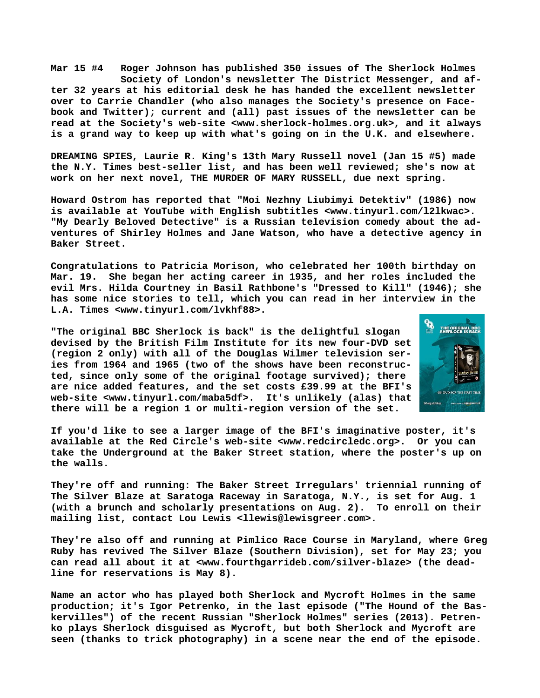**Mar 15 #4 Roger Johnson has published 350 issues of The Sherlock Holmes Society of London's newsletter The District Messenger, and after 32 years at his editorial desk he has handed the excellent newsletter over to Carrie Chandler (who also manages the Society's presence on Facebook and Twitter); current and (all) past issues of the newsletter can be read at the Society's web-site <[www.sherlock-holmes.org.uk>, a](http://www.sherlock-holmes.org.uk)nd it always is a grand way to keep up with what's going on in the U.K. and elsewhere.**

**DREAMING SPIES, Laurie R. King's 13th Mary Russell novel (Jan 15 #5) made the N.Y. Times best-seller list, and has been well reviewed; she's now at work on her next novel, THE MURDER OF MARY RUSSELL, due next spring.**

**Howard Ostrom has reported that "Moi Nezhny Liubimyi Detektiv" (1986) now is available at YouTube with English subtitles [<www.tinyurl.com/l2lkwac>.](http://www.tinyurl.com/l2lkwac) "My Dearly Beloved Detective" is a Russian television comedy about the adventures of Shirley Holmes and Jane Watson, who have a detective agency in Baker Street.**

**Congratulations to Patricia Morison, who celebrated her 100th birthday on Mar. 19. She began her acting career in 1935, and her roles included the evil Mrs. Hilda Courtney in Basil Rathbone's "Dressed to Kill" (1946); she has some nice stories to tell, which you can read in her interview in the L.A. Times <[www.tinyurl.com/lvkhf88>.](http://www.tinyurl.com/lvkhf88)**

**"The original BBC Sherlock is back" is the delightful slogan devised by the British Film Institute for its new four-DVD set (region 2 only) with all of the Douglas Wilmer television series from 1964 and 1965 (two of the shows have been reconstructed, since only some of the original footage survived); there are nice added features, and the set costs £39.99 at the BFI's web-site <[www.tinyurl.com/maba5df>.](http://www.tinyurl.com/maba5df) It's unlikely (alas) that there will be a region 1 or multi-region version of the set.**



**If you'd like to see a larger image of the BFI's imaginative poster, it's available at the Red Circle's web-site <[www.redcircledc.org>.](http://www.redcircledc.org) Or you can take the Underground at the Baker Street station, where the poster's up on the walls.**

**They're off and running: The Baker Street Irregulars' triennial running of The Silver Blaze at Saratoga Raceway in Saratoga, N.Y., is set for Aug. 1 (with a brunch and scholarly presentations on Aug. 2). To enroll on their mailing list, contact Lou Lewis [<llewis@lewisgreer.com>.](mailto:llewis@lewisgreer.com)**

**They're also off and running at Pimlico Race Course in Maryland, where Greg Ruby has revived The Silver Blaze (Southern Division), set for May 23; you can read all about it at [<www.fourthgarrideb.com/silver-blaze> \(](http://www.fourthgarrideb.com/silver-blaze)the deadline for reservations is May 8).**

**Name an actor who has played both Sherlock and Mycroft Holmes in the same production; it's Igor Petrenko, in the last episode ("The Hound of the Baskervilles") of the recent Russian "Sherlock Holmes" series (2013). Petrenko plays Sherlock disguised as Mycroft, but both Sherlock and Mycroft are seen (thanks to trick photography) in a scene near the end of the episode.**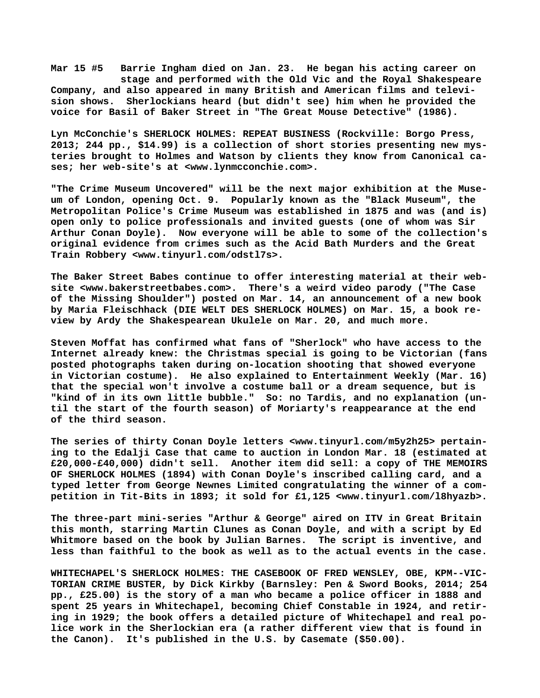**Mar 15 #5 Barrie Ingham died on Jan. 23. He began his acting career on stage and performed with the Old Vic and the Royal Shakespeare Company, and also appeared in many British and American films and television shows. Sherlockians heard (but didn't see) him when he provided the voice for Basil of Baker Street in "The Great Mouse Detective" (1986).**

**Lyn McConchie's SHERLOCK HOLMES: REPEAT BUSINESS (Rockville: Borgo Press, 2013; 244 pp., \$14.99) is a collection of short stories presenting new mysteries brought to Holmes and Watson by clients they know from Canonical cases; her web-site's at [<www.lynmcconchie.com>.](http://www.lynmcconchie.com)**

**"The Crime Museum Uncovered" will be the next major exhibition at the Museum of London, opening Oct. 9. Popularly known as the "Black Museum", the Metropolitan Police's Crime Museum was established in 1875 and was (and is) open only to police professionals and invited guests (one of whom was Sir Arthur Conan Doyle). Now everyone will be able to some of the collection's original evidence from crimes such as the Acid Bath Murders and the Great Train Robbery <[www.tinyurl.com/odstl7s>.](http://www.tinyurl.com/odstl7s)**

**The Baker Street Babes continue to offer interesting material at their website [<www.bakerstreetbabes.com>.](http://www.bakerstreetbabes.com) There's a weird video parody ("The Case of the Missing Shoulder") posted on Mar. 14, an announcement of a new book by Maria Fleischhack (DIE WELT DES SHERLOCK HOLMES) on Mar. 15, a book review by Ardy the Shakespearean Ukulele on Mar. 20, and much more.**

**Steven Moffat has confirmed what fans of "Sherlock" who have access to the Internet already knew: the Christmas special is going to be Victorian (fans posted photographs taken during on-location shooting that showed everyone in Victorian costume). He also explained to Entertainment Weekly (Mar. 16) that the special won't involve a costume ball or a dream sequence, but is "kind of in its own little bubble." So: no Tardis, and no explanation (until the start of the fourth season) of Moriarty's reappearance at the end of the third season.**

**The series of thirty Conan Doyle letters <[www.tinyurl.com/m5y2h25> p](http://www.tinyurl.com/m5y2h25)ertaining to the Edalji Case that came to auction in London Mar. 18 (estimated at £20,000-£40,000) didn't sell. Another item did sell: a copy of THE MEMOIRS OF SHERLOCK HOLMES (1894) with Conan Doyle's inscribed calling card, and a typed letter from George Newnes Limited congratulating the winner of a competition in Tit-Bits in 1893; it sold for £1,125 <[www.tinyurl.com/l8hyazb>.](http://www.tinyurl.com/l8hyazb)**

**The three-part mini-series "Arthur & George" aired on ITV in Great Britain this month, starring Martin Clunes as Conan Doyle, and with a script by Ed Whitmore based on the book by Julian Barnes. The script is inventive, and less than faithful to the book as well as to the actual events in the case.**

**WHITECHAPEL'S SHERLOCK HOLMES: THE CASEBOOK OF FRED WENSLEY, OBE, KPM--VIC-TORIAN CRIME BUSTER, by Dick Kirkby (Barnsley: Pen & Sword Books, 2014; 254 pp., £25.00) is the story of a man who became a police officer in 1888 and spent 25 years in Whitechapel, becoming Chief Constable in 1924, and retiring in 1929; the book offers a detailed picture of Whitechapel and real police work in the Sherlockian era (a rather different view that is found in the Canon). It's published in the U.S. by Casemate (\$50.00).**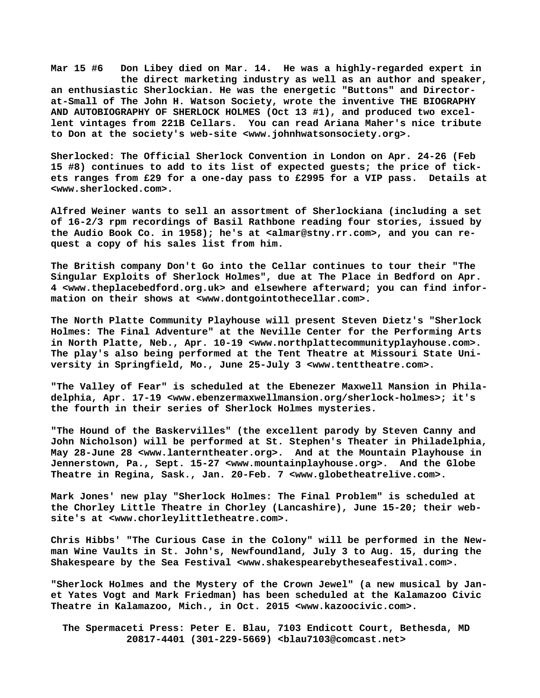**Mar 15 #6 Don Libey died on Mar. 14. He was a highly-regarded expert in the direct marketing industry as well as an author and speaker, an enthusiastic Sherlockian. He was the energetic "Buttons" and Directorat-Small of The John H. Watson Society, wrote the inventive THE BIOGRAPHY AND AUTOBIOGRAPHY OF SHERLOCK HOLMES (Oct 13 #1), and produced two excellent vintages from 221B Cellars. You can read Ariana Maher's nice tribute to Don at the society's web-site [<www.johnhwatsonsociety.org>.](http://www.johnhwatsonsociety.org)**

**Sherlocked: The Official Sherlock Convention in London on Apr. 24-26 (Feb 15 #8) continues to add to its list of expected guests; the price of tickets ranges from £29 for a one-day pass to £2995 for a VIP pass. Details at [<www.sherlocked.com>.](http://www.sherlocked.com)**

**Alfred Weiner wants to sell an assortment of Sherlockiana (including a set of 16-2/3 rpm recordings of Basil Rathbone reading four stories, issued by the Audio Book Co. in 1958); he's at [<almar@stny.rr.com>, a](mailto:almar@stny.rr.com)nd you can request a copy of his sales list from him.**

**The British company Don't Go into the Cellar continues to tour their "The Singular Exploits of Sherlock Holmes", due at The Place in Bedford on Apr. 4 [<www.theplacebedford.org.uk> a](http://www.theplacebedford.org.uk)nd elsewhere afterward; you can find information on their shows at [<www.dontgointothecellar.com>.](http://www.dontgointothecellar.com)**

**The North Platte Community Playhouse will present Steven Dietz's "Sherlock Holmes: The Final Adventure" at the Neville Center for the Performing Arts in North Platte, Neb., Apr. 10-19 <[www.northplattecommunityplayhouse.com>.](http://www.northplattecommunityplayhouse.com) The play's also being performed at the Tent Theatre at Missouri State University in Springfield, Mo., June 25-July 3 <[www.tenttheatre.com>.](http://www.tenttheatre.com)**

**"The Valley of Fear" is scheduled at the Ebenezer Maxwell Mansion in Philadelphia, Apr. 17-19 [<www.ebenzermaxwellmansion.org/sherlock-holmes>; i](http://www.ebenzermaxwellmansion.org/sherlock-holmes)t's the fourth in their series of Sherlock Holmes mysteries.**

**"The Hound of the Baskervilles" (the excellent parody by Steven Canny and John Nicholson) will be performed at St. Stephen's Theater in Philadelphia, May 28-June 28 [<www.lanterntheater.org>.](http://www.lanterntheater.org) And at the Mountain Playhouse in Jennerstown, Pa., Sept. 15-27 [<www.mountainplayhouse.org>.](http://www.mountainplayhouse.org) And the Globe Theatre in Regina, Sask., Jan. 20-Feb. 7 <[www.globetheatrelive.com>.](http://www.globetheatrelive.com)**

**Mark Jones' new play "Sherlock Holmes: The Final Problem" is scheduled at the Chorley Little Theatre in Chorley (Lancashire), June 15-20; their website's at [<www.chorleylittletheatre.com>.](http://www.chorleylittletheatre.com)**

**Chris Hibbs' "The Curious Case in the Colony" will be performed in the Newman Wine Vaults in St. John's, Newfoundland, July 3 to Aug. 15, during the** Shakespeare by the Sea Festival [<www.shakespearebytheseafestival.com>.](http://www.shakespearebytheseafestival.com)

**"Sherlock Holmes and the Mystery of the Crown Jewel" (a new musical by Janet Yates Vogt and Mark Friedman) has been scheduled at the Kalamazoo Civic Theatre in Kalamazoo, Mich., in Oct. 2015 [<www.kazoocivic.com>.](http://www.kazoocivic.com)**

 **The Spermaceti Press: Peter E. Blau, 7103 Endicott Court, Bethesda, MD 20817-4401 (301-229-5669) <[blau7103@comcast.net>](mailto:blau7103@comcast.net)**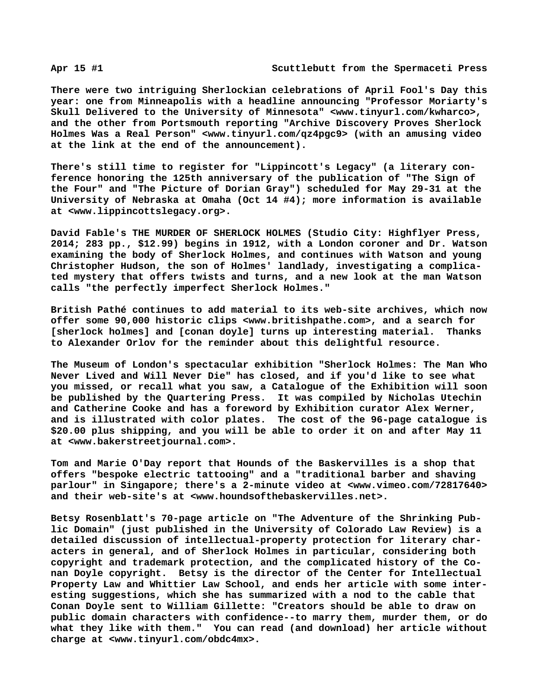**There were two intriguing Sherlockian celebrations of April Fool's Day this year: one from Minneapolis with a headline announcing "Professor Moriarty's Skull Delivered to the University of Minnesota" [<www.tinyurl.com/kwharco>,](http://www.tinyurl.com/kwharco) and the other from Portsmouth reporting "Archive Discovery Proves Sherlock Holmes Was a Real Person" <[www.tinyurl.com/qz4pgc9> \(](http://www.tinyurl.com/qz4pgc9)with an amusing video at the link at the end of the announcement).**

**There's still time to register for "Lippincott's Legacy" (a literary conference honoring the 125th anniversary of the publication of "The Sign of the Four" and "The Picture of Dorian Gray") scheduled for May 29-31 at the University of Nebraska at Omaha (Oct 14 #4); more information is available at [<www.lippincottslegacy.org>.](http://www.lippincottslegacy.org)**

**David Fable's THE MURDER OF SHERLOCK HOLMES (Studio City: Highflyer Press, 2014; 283 pp., \$12.99) begins in 1912, with a London coroner and Dr. Watson examining the body of Sherlock Holmes, and continues with Watson and young Christopher Hudson, the son of Holmes' landlady, investigating a complicated mystery that offers twists and turns, and a new look at the man Watson calls "the perfectly imperfect Sherlock Holmes."**

**British Pathé continues to add material to its web-site archives, which now offer some 90,000 historic clips [<www.britishpathe.com>, a](http://www.britishpathe.com)nd a search for [sherlock holmes] and [conan doyle] turns up interesting material. Thanks to Alexander Orlov for the reminder about this delightful resource.**

**The Museum of London's spectacular exhibition "Sherlock Holmes: The Man Who Never Lived and Will Never Die" has closed, and if you'd like to see what you missed, or recall what you saw, a Catalogue of the Exhibition will soon be published by the Quartering Press. It was compiled by Nicholas Utechin and Catherine Cooke and has a foreword by Exhibition curator Alex Werner, and is illustrated with color plates. The cost of the 96-page catalogue is \$20.00 plus shipping, and you will be able to order it on and after May 11 at [<www.bakerstreetjournal.com>.](http://www.bakerstreetjournal.com)**

**Tom and Marie O'Day report that Hounds of the Baskervilles is a shop that offers "bespoke electric tattooing" and a "traditional barber and shaving parlour" in Singapore; there's a 2-minute video at <[www.vimeo.com/72817640>](http://www.vimeo.com/72817640) and their web-site's at <[www.houndsofthebaskervilles.net>.](http://www.houndsofthebaskervilles.net)**

**Betsy Rosenblatt's 70-page article on "The Adventure of the Shrinking Public Domain" (just published in the University of Colorado Law Review) is a detailed discussion of intellectual-property protection for literary characters in general, and of Sherlock Holmes in particular, considering both copyright and trademark protection, and the complicated history of the Conan Doyle copyright. Betsy is the director of the Center for Intellectual Property Law and Whittier Law School, and ends her article with some interesting suggestions, which she has summarized with a nod to the cable that Conan Doyle sent to William Gillette: "Creators should be able to draw on public domain characters with confidence--to marry them, murder them, or do what they like with them." You can read (and download) her article without charge at [<www.tinyurl.com/obdc4mx>.](http://www.tinyurl.com/obdc4mx)**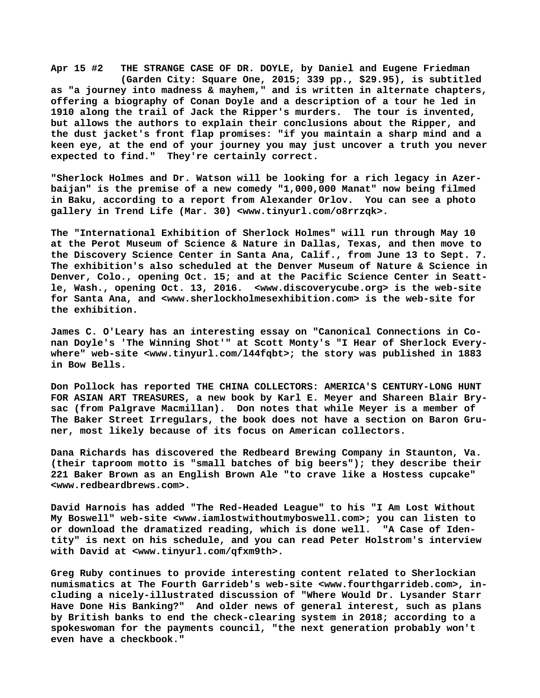**Apr 15 #2 THE STRANGE CASE OF DR. DOYLE, by Daniel and Eugene Friedman (Garden City: Square One, 2015; 339 pp., \$29.95), is subtitled as "a journey into madness & mayhem," and is written in alternate chapters, offering a biography of Conan Doyle and a description of a tour he led in 1910 along the trail of Jack the Ripper's murders. The tour is invented, but allows the authors to explain their conclusions about the Ripper, and the dust jacket's front flap promises: "if you maintain a sharp mind and a keen eye, at the end of your journey you may just uncover a truth you never expected to find." They're certainly correct.**

**"Sherlock Holmes and Dr. Watson will be looking for a rich legacy in Azerbaijan" is the premise of a new comedy "1,000,000 Manat" now being filmed in Baku, according to a report from Alexander Orlov. You can see a photo gallery in Trend Life (Mar. 30) [<www.tinyurl.com/o8rrzqk>.](http://www.tinyurl.com/o8rrzqk)**

**The "International Exhibition of Sherlock Holmes" will run through May 10 at the Perot Museum of Science & Nature in Dallas, Texas, and then move to the Discovery Science Center in Santa Ana, Calif., from June 13 to Sept. 7. The exhibition's also scheduled at the Denver Museum of Nature & Science in Denver, Colo., opening Oct. 15; and at the Pacific Science Center in Seattle, Wash., opening Oct. 13, 2016. [<www.discoverycube.org> i](http://www.discoverycube.org)s the web-site for Santa Ana, and <[www.sherlockholmesexhibition.com> i](http://www.sherlockholmesexhibition.com)s the web-site for the exhibition.**

**James C. O'Leary has an interesting essay on "Canonical Connections in Conan Doyle's 'The Winning Shot'" at Scott Monty's "I Hear of Sherlock Everywhere" web-site <[www.tinyurl.com/l44fqbt>; t](http://www.tinyurl.com/l44fqbt)he story was published in 1883 in Bow Bells.**

**Don Pollock has reported THE CHINA COLLECTORS: AMERICA'S CENTURY-LONG HUNT FOR ASIAN ART TREASURES, a new book by Karl E. Meyer and Shareen Blair Brysac (from Palgrave Macmillan). Don notes that while Meyer is a member of The Baker Street Irregulars, the book does not have a section on Baron Gruner, most likely because of its focus on American collectors.**

**Dana Richards has discovered the Redbeard Brewing Company in Staunton, Va. (their taproom motto is "small batches of big beers"); they describe their 221 Baker Brown as an English Brown Ale "to crave like a Hostess cupcake" [<www.redbeardbrews.com>.](http://www.redbeardbrews.com)**

**David Harnois has added "The Red-Headed League" to his "I Am Lost Without My Boswell" web-site <[www.iamlostwithoutmyboswell.com>; y](http://www.iamlostwithoutmyboswell.com)ou can listen to or download the dramatized reading, which is done well. "A Case of Identity" is next on his schedule, and you can read Peter Holstrom's interview with David at <[www.tinyurl.com/qfxm9th>.](http://www.tinyurl.com/qfxm9th)**

**Greg Ruby continues to provide interesting content related to Sherlockian numismatics at The Fourth Garrideb's web-site <[www.fourthgarrideb.com>, i](http://www.fourthgarrideb.com)ncluding a nicely-illustrated discussion of "Where Would Dr. Lysander Starr Have Done His Banking?" And older news of general interest, such as plans by British banks to end the check-clearing system in 2018; according to a spokeswoman for the payments council, "the next generation probably won't even have a checkbook."**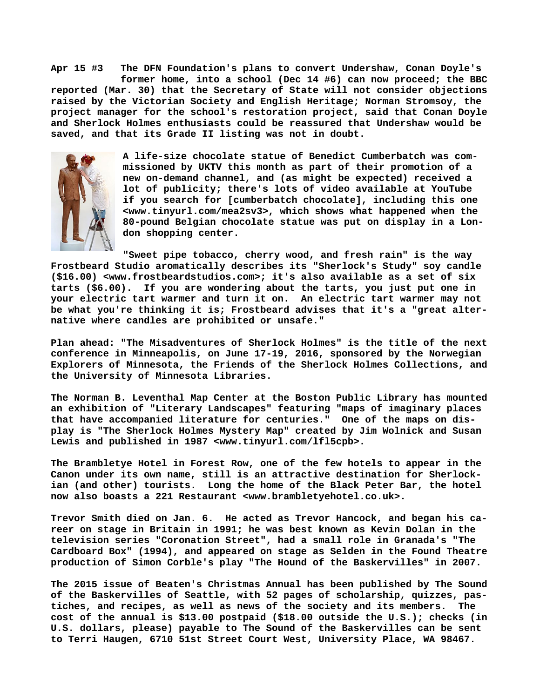**Apr 15 #3 The DFN Foundation's plans to convert Undershaw, Conan Doyle's former home, into a school (Dec 14 #6) can now proceed; the BBC reported (Mar. 30) that the Secretary of State will not consider objections raised by the Victorian Society and English Heritage; Norman Stromsoy, the project manager for the school's restoration project, said that Conan Doyle and Sherlock Holmes enthusiasts could be reassured that Undershaw would be saved, and that its Grade II listing was not in doubt.**



**A life-size chocolate statue of Benedict Cumberbatch was commissioned by UKTV this month as part of their promotion of a new on-demand channel, and (as might be expected) received a lot of publicity; there's lots of video available at YouTube if you search for [cumberbatch chocolate], including this one <[www.tinyurl.com/mea2sv3>, w](http://www.tinyurl.com/mea2sv3)hich shows what happened when the 80-pound Belgian chocolate statue was put on display in a London shopping center.**

**"Sweet pipe tobacco, cherry wood, and fresh rain" is the way Frostbeard Studio aromatically describes its "Sherlock's Study" soy candle (\$16.00) <[www.frostbeardstudios.com>; i](http://www.frostbeardstudios.com)t's also available as a set of six tarts (\$6.00). If you are wondering about the tarts, you just put one in your electric tart warmer and turn it on. An electric tart warmer may not be what you're thinking it is; Frostbeard advises that it's a "great alternative where candles are prohibited or unsafe."**

**Plan ahead: "The Misadventures of Sherlock Holmes" is the title of the next conference in Minneapolis, on June 17-19, 2016, sponsored by the Norwegian Explorers of Minnesota, the Friends of the Sherlock Holmes Collections, and the University of Minnesota Libraries.**

**The Norman B. Leventhal Map Center at the Boston Public Library has mounted an exhibition of "Literary Landscapes" featuring "maps of imaginary places that have accompanied literature for centuries." One of the maps on display is "The Sherlock Holmes Mystery Map" created by Jim Wolnick and Susan** Lewis and published in 1987 [<www.tinyurl.com/lfl5cpb>.](http://www.tinyurl.com/lfl5cpb)

**The Brambletye Hotel in Forest Row, one of the few hotels to appear in the Canon under its own name, still is an attractive destination for Sherlockian (and other) tourists. Long the home of the Black Peter Bar, the hotel now also boasts a 221 Restaurant [<www.brambletyehotel.co.uk>.](http://www.brambletyehotel.co.uk)**

**Trevor Smith died on Jan. 6. He acted as Trevor Hancock, and began his career on stage in Britain in 1991; he was best known as Kevin Dolan in the television series "Coronation Street", had a small role in Granada's "The Cardboard Box" (1994), and appeared on stage as Selden in the Found Theatre production of Simon Corble's play "The Hound of the Baskervilles" in 2007.**

**The 2015 issue of Beaten's Christmas Annual has been published by The Sound of the Baskervilles of Seattle, with 52 pages of scholarship, quizzes, pastiches, and recipes, as well as news of the society and its members. The cost of the annual is \$13.00 postpaid (\$18.00 outside the U.S.); checks (in U.S. dollars, please) payable to The Sound of the Baskervilles can be sent to Terri Haugen, 6710 51st Street Court West, University Place, WA 98467.**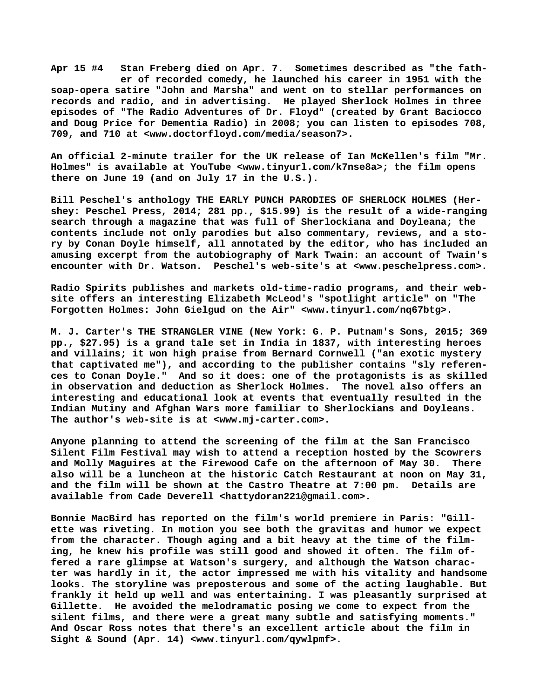**Apr 15 #4 Stan Freberg died on Apr. 7. Sometimes described as "the fath er of recorded comedy, he launched his career in 1951 with the soap-opera satire "John and Marsha" and went on to stellar performances on records and radio, and in advertising. He played Sherlock Holmes in three episodes of "The Radio Adventures of Dr. Floyd" (created by Grant Baciocco and Doug Price for Dementia Radio) in 2008; you can listen to episodes 708, 709, and 710 at <[www.doctorfloyd.com/media/season7>.](http://www.doctorfloyd.com/media/season7)**

**An official 2-minute trailer for the UK release of Ian McKellen's film "Mr. Holmes" is available at YouTube [<www.tinyurl.com/k7nse8a>; t](http://www.tinyurl.com/k7nse8a)he film opens there on June 19 (and on July 17 in the U.S.).**

**Bill Peschel's anthology THE EARLY PUNCH PARODIES OF SHERLOCK HOLMES (Hershey: Peschel Press, 2014; 281 pp., \$15.99) is the result of a wide-ranging search through a magazine that was full of Sherlockiana and Doyleana; the contents include not only parodies but also commentary, reviews, and a story by Conan Doyle himself, all annotated by the editor, who has included an amusing excerpt from the autobiography of Mark Twain: an account of Twain's encounter with Dr. Watson. Peschel's web-site's at [<www.peschelpress.com>.](http://www.peschelpress.com)**

**Radio Spirits publishes and markets old-time-radio programs, and their website offers an interesting Elizabeth McLeod's "spotlight article" on "The Forgotten Holmes: John Gielgud on the Air" [<www.tinyurl.com/nq67btg>.](http://www.tinyurl.com/nq67btg)**

**M. J. Carter's THE STRANGLER VINE (New York: G. P. Putnam's Sons, 2015; 369 pp., \$27.95) is a grand tale set in India in 1837, with interesting heroes and villains; it won high praise from Bernard Cornwell ("an exotic mystery that captivated me"), and according to the publisher contains "sly references to Conan Doyle." And so it does: one of the protagonists is as skilled in observation and deduction as Sherlock Holmes. The novel also offers an interesting and educational look at events that eventually resulted in the Indian Mutiny and Afghan Wars more familiar to Sherlockians and Doyleans. The author's web-site is at [<www.mj-carter.com>.](http://www.mj-carter.com)**

**Anyone planning to attend the screening of the film at the San Francisco Silent Film Festival may wish to attend a reception hosted by the Scowrers and Molly Maguires at the Firewood Cafe on the afternoon of May 30. There also will be a luncheon at the historic Catch Restaurant at noon on May 31, and the film will be shown at the Castro Theatre at 7:00 pm. Details are available from Cade Deverell <[hattydoran221@gmail.com>.](mailto:hattydoran221@gmail.com)**

**Bonnie MacBird has reported on the film's world premiere in Paris: "Gillette was riveting. In motion you see both the gravitas and humor we expect from the character. Though aging and a bit heavy at the time of the filming, he knew his profile was still good and showed it often. The film offered a rare glimpse at Watson's surgery, and although the Watson character was hardly in it, the actor impressed me with his vitality and handsome looks. The storyline was preposterous and some of the acting laughable. But frankly it held up well and was entertaining. I was pleasantly surprised at Gillette. He avoided the melodramatic posing we come to expect from the silent films, and there were a great many subtle and satisfying moments." And Oscar Ross notes that there's an excellent article about the film in Sight & Sound (Apr. 14) <[www.tinyurl.com/qywlpmf>.](http://www.tinyurl.com/qywlpmf)**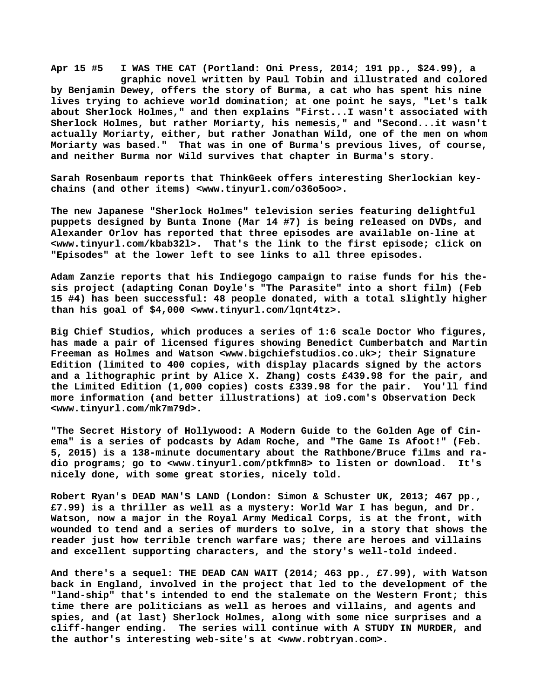**Apr 15 #5 I WAS THE CAT (Portland: Oni Press, 2014; 191 pp., \$24.99), a graphic novel written by Paul Tobin and illustrated and colored by Benjamin Dewey, offers the story of Burma, a cat who has spent his nine lives trying to achieve world domination; at one point he says, "Let's talk about Sherlock Holmes," and then explains "First...I wasn't associated with Sherlock Holmes, but rather Moriarty, his nemesis," and "Second...it wasn't actually Moriarty, either, but rather Jonathan Wild, one of the men on whom Moriarty was based." That was in one of Burma's previous lives, of course, and neither Burma nor Wild survives that chapter in Burma's story.**

**Sarah Rosenbaum reports that ThinkGeek offers interesting Sherlockian keychains (and other items) [<www.tinyurl.com/o36o5oo>.](http://www.tinyurl.com/o36o5oo)**

**The new Japanese "Sherlock Holmes" television series featuring delightful puppets designed by Bunta Inone (Mar 14 #7) is being released on DVDs, and Alexander Orlov has reported that three episodes are available on-line at [<www.tinyurl.com/kbab32l>.](http://www.tinyurl.com/kbab32l) That's the link to the first episode; click on "Episodes" at the lower left to see links to all three episodes.**

**Adam Zanzie reports that his Indiegogo campaign to raise funds for his thesis project (adapting Conan Doyle's "The Parasite" into a short film) (Feb 15 #4) has been successful: 48 people donated, with a total slightly higher than his goal of \$4,000 <[www.tinyurl.com/lqnt4tz>.](http://www.tinyurl.com/lqnt4tz)**

**Big Chief Studios, which produces a series of 1:6 scale Doctor Who figures, has made a pair of licensed figures showing Benedict Cumberbatch and Martin Freeman as Holmes and Watson <[www.bigchiefstudios.co.uk>; t](http://www.bigchiefstudios.co.uk)heir Signature Edition (limited to 400 copies, with display placards signed by the actors and a lithographic print by Alice X. Zhang) costs £439.98 for the pair, and the Limited Edition (1,000 copies) costs £339.98 for the pair. You'll find more information (and better illustrations) at io9.com's Observation Deck [<www.tinyurl.com/mk7m79d>.](http://www.tinyurl.com/mk7m79d)**

**"The Secret History of Hollywood: A Modern Guide to the Golden Age of Cinema" is a series of podcasts by Adam Roche, and "The Game Is Afoot!" (Feb. 5, 2015) is a 138-minute documentary about the Rathbone/Bruce films and radio programs; go to [<www.tinyurl.com/ptkfmn8> t](http://www.tinyurl.com/ptkfmn8)o listen or download. It's nicely done, with some great stories, nicely told.**

**Robert Ryan's DEAD MAN'S LAND (London: Simon & Schuster UK, 2013; 467 pp., £7.99) is a thriller as well as a mystery: World War I has begun, and Dr. Watson, now a major in the Royal Army Medical Corps, is at the front, with wounded to tend and a series of murders to solve, in a story that shows the reader just how terrible trench warfare was; there are heroes and villains and excellent supporting characters, and the story's well-told indeed.**

**And there's a sequel: THE DEAD CAN WAIT (2014; 463 pp., £7.99), with Watson back in England, involved in the project that led to the development of the "land-ship" that's intended to end the stalemate on the Western Front; this time there are politicians as well as heroes and villains, and agents and spies, and (at last) Sherlock Holmes, along with some nice surprises and a cliff-hanger ending. The series will continue with A STUDY IN MURDER, and the author's interesting web-site's at <[www.robtryan.com>.](http://www.robtryan.com)**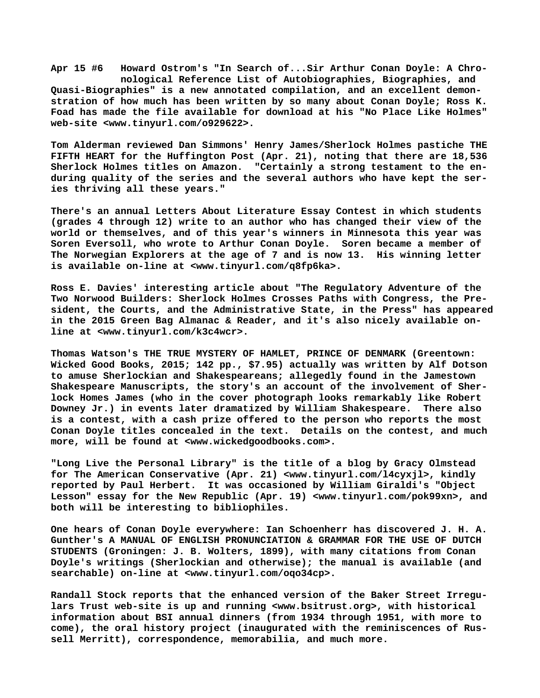**Apr 15 #6 Howard Ostrom's "In Search of...Sir Arthur Conan Doyle: A Chro nological Reference List of Autobiographies, Biographies, and Quasi-Biographies" is a new annotated compilation, and an excellent demonstration of how much has been written by so many about Conan Doyle; Ross K. Foad has made the file available for download at his "No Place Like Holmes" web-site <[www.tinyurl.com/o929622>.](http://www.tinyurl.com/o929622)**

**Tom Alderman reviewed Dan Simmons' Henry James/Sherlock Holmes pastiche THE FIFTH HEART for the Huffington Post (Apr. 21), noting that there are 18,536 Sherlock Holmes titles on Amazon. "Certainly a strong testament to the enduring quality of the series and the several authors who have kept the series thriving all these years."**

**There's an annual Letters About Literature Essay Contest in which students (grades 4 through 12) write to an author who has changed their view of the world or themselves, and of this year's winners in Minnesota this year was Soren Eversoll, who wrote to Arthur Conan Doyle. Soren became a member of The Norwegian Explorers at the age of 7 and is now 13. His winning letter is available on-line at <[www.tinyurl.com/q8fp6ka>.](http://www.tinyurl.com/q8fp6ka)**

**Ross E. Davies' interesting article about "The Regulatory Adventure of the Two Norwood Builders: Sherlock Holmes Crosses Paths with Congress, the President, the Courts, and the Administrative State, in the Press" has appeared in the 2015 Green Bag Almanac & Reader, and it's also nicely available online at [<www.tinyurl.com/k3c4wcr>.](http://www.tinyurl.com/k3c4wcr)**

**Thomas Watson's THE TRUE MYSTERY OF HAMLET, PRINCE OF DENMARK (Greentown: Wicked Good Books, 2015; 142 pp., \$7.95) actually was written by Alf Dotson to amuse Sherlockian and Shakespeareans; allegedly found in the Jamestown Shakespeare Manuscripts, the story's an account of the involvement of Sherlock Homes James (who in the cover photograph looks remarkably like Robert Downey Jr.) in events later dramatized by William Shakespeare. There also is a contest, with a cash prize offered to the person who reports the most Conan Doyle titles concealed in the text. Details on the contest, and much more, will be found at [<www.wickedgoodbooks.com>.](http://www.wickedgoodbooks.com)**

**"Long Live the Personal Library" is the title of a blog by Gracy Olmstead for The American Conservative (Apr. 21) [<www.tinyurl.com/l4cyxjl>, k](http://www.tinyurl.com/l4cyxjl)indly reported by Paul Herbert. It was occasioned by William Giraldi's "Object Lesson" essay for the New Republic (Apr. 19) [<www.tinyurl.com/pok99xn>, a](http://www.tinyurl.com/pok99xn)nd both will be interesting to bibliophiles.**

**One hears of Conan Doyle everywhere: Ian Schoenherr has discovered J. H. A. Gunther's A MANUAL OF ENGLISH PRONUNCIATION & GRAMMAR FOR THE USE OF DUTCH STUDENTS (Groningen: J. B. Wolters, 1899), with many citations from Conan Doyle's writings (Sherlockian and otherwise); the manual is available (and searchable) on-line at [<www.tinyurl.com/oqo34cp>.](http://www.tinyurl.com/oqo34cp)**

**Randall Stock reports that the enhanced version of the Baker Street Irregulars Trust web-site is up and running [<www.bsitrust.org>, w](http://www.bsitrust.org)ith historical information about BSI annual dinners (from 1934 through 1951, with more to come), the oral history project (inaugurated with the reminiscences of Russell Merritt), correspondence, memorabilia, and much more.**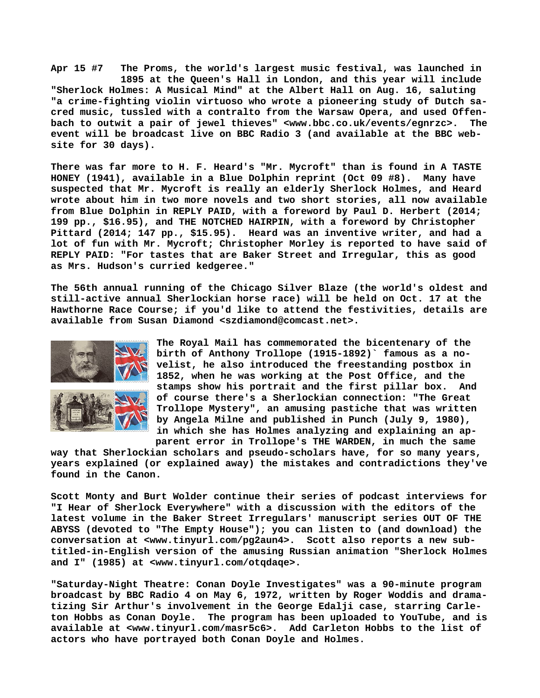**Apr 15 #7 The Proms, the world's largest music festival, was launched in 1895 at the Queen's Hall in London, and this year will include "Sherlock Holmes: A Musical Mind" at the Albert Hall on Aug. 16, saluting "a crime-fighting violin virtuoso who wrote a pioneering study of Dutch sacred music, tussled with a contralto from the Warsaw Opera, and used Offenbach to outwit a pair of jewel thieves" [<www.bbc.co.uk/events/egnrzc>.](http://www.bbc.co.uk/events/egnrzc) The event will be broadcast live on BBC Radio 3 (and available at the BBC website for 30 days).**

**There was far more to H. F. Heard's "Mr. Mycroft" than is found in A TASTE HONEY (1941), available in a Blue Dolphin reprint (Oct 09 #8). Many have suspected that Mr. Mycroft is really an elderly Sherlock Holmes, and Heard wrote about him in two more novels and two short stories, all now available from Blue Dolphin in REPLY PAID, with a foreword by Paul D. Herbert (2014; 199 pp., \$16.95), and THE NOTCHED HAIRPIN, with a foreword by Christopher Pittard (2014; 147 pp., \$15.95). Heard was an inventive writer, and had a lot of fun with Mr. Mycroft; Christopher Morley is reported to have said of REPLY PAID: "For tastes that are Baker Street and Irregular, this as good as Mrs. Hudson's curried kedgeree."**

**The 56th annual running of the Chicago Silver Blaze (the world's oldest and still-active annual Sherlockian horse race) will be held on Oct. 17 at the Hawthorne Race Course; if you'd like to attend the festivities, details are available from Susan Diamond <[szdiamond@comcast.net>.](mailto:szdiamond@comcast.net)**



**The Royal Mail has commemorated the bicentenary of the birth of Anthony Trollope (1915-1892)` famous as a novelist, he also introduced the freestanding postbox in 1852, when he was working at the Post Office, and the stamps show his portrait and the first pillar box. And of course there's a Sherlockian connection: "The Great Trollope Mystery", an amusing pastiche that was written by Angela Milne and published in Punch (July 9, 1980), in which she has Holmes analyzing and explaining an ap parent error in Trollope's THE WARDEN, in much the same**

**way that Sherlockian scholars and pseudo-scholars have, for so many years, years explained (or explained away) the mistakes and contradictions they've found in the Canon.**

**Scott Monty and Burt Wolder continue their series of podcast interviews for "I Hear of Sherlock Everywhere" with a discussion with the editors of the latest volume in the Baker Street Irregulars' manuscript series OUT OF THE ABYSS (devoted to "The Empty House"); you can listen to (and download) the conversation at <[www.tinyurl.com/pg2aun4>.](http://www.tinyurl.com/pg2aun4) Scott also reports a new subtitled-in-English version of the amusing Russian animation "Sherlock Holmes and I" (1985) at [<www.tinyurl.com/otqdaqe>.](http://www.tinyurl.com/otqdaqe)**

**"Saturday-Night Theatre: Conan Doyle Investigates" was a 90-minute program broadcast by BBC Radio 4 on May 6, 1972, written by Roger Woddis and dramatizing Sir Arthur's involvement in the George Edalji case, starring Carleton Hobbs as Conan Doyle. The program has been uploaded to YouTube, and is available at [<www.tinyurl.com/masr5c6>.](http://www.tinyurl.com/masr5c6) Add Carleton Hobbs to the list of actors who have portrayed both Conan Doyle and Holmes.**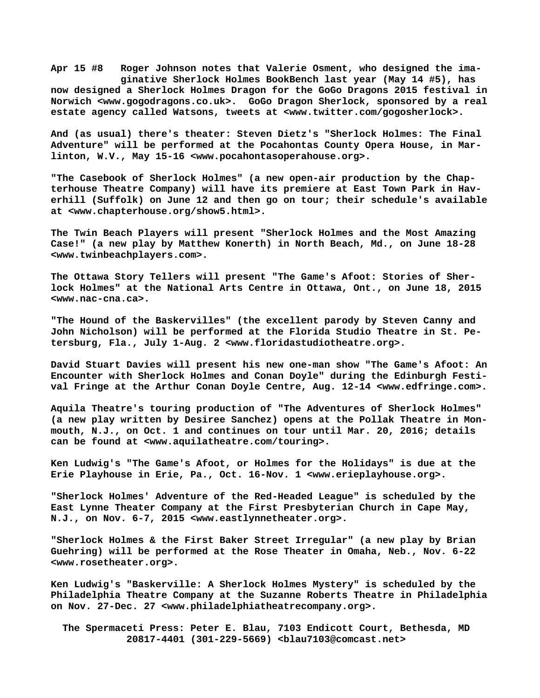**Apr 15 #8 Roger Johnson notes that Valerie Osment, who designed the ima ginative Sherlock Holmes BookBench last year (May 14 #5), has now designed a Sherlock Holmes Dragon for the GoGo Dragons 2015 festival in Norwich [<www.gogodragons.co.uk>.](http://www.gogodragons.co.uk) GoGo Dragon Sherlock, sponsored by a real estate agency called Watsons, tweets at [<www.twitter.com/gogosherlock>.](http://www.twitter.com/gogosherlock)**

**And (as usual) there's theater: Steven Dietz's "Sherlock Holmes: The Final Adventure" will be performed at the Pocahontas County Opera House, in Marlinton, W.V., May 15-16 <[www.pocahontasoperahouse.org>.](http://www.pocahontasoperahouse.org)**

**"The Casebook of Sherlock Holmes" (a new open-air production by the Chapterhouse Theatre Company) will have its premiere at East Town Park in Haverhill (Suffolk) on June 12 and then go on tour; their schedule's available at [<www.chapterhouse.org/show5.html>.](http://www.chapterhouse.org/show5.html)**

**The Twin Beach Players will present "Sherlock Holmes and the Most Amazing Case!" (a new play by Matthew Konerth) in North Beach, Md., on June 18-28 [<www.twinbeachplayers.com>.](http://www.twinbeachplayers.com)**

**The Ottawa Story Tellers will present "The Game's Afoot: Stories of Sherlock Holmes" at the National Arts Centre in Ottawa, Ont., on June 18, 2015 [<www.nac-cna.ca>.](http://www.nac-cna.ca)**

**"The Hound of the Baskervilles" (the excellent parody by Steven Canny and John Nicholson) will be performed at the Florida Studio Theatre in St. Petersburg, Fla., July 1-Aug. 2 [<www.floridastudiotheatre.org>.](http://www.floridastudiotheatre.org)**

**David Stuart Davies will present his new one-man show "The Game's Afoot: An Encounter with Sherlock Holmes and Conan Doyle" during the Edinburgh Festival Fringe at the Arthur Conan Doyle Centre, Aug. 12-14 <[www.edfringe.com>.](http://www.edfringe.com)**

**Aquila Theatre's touring production of "The Adventures of Sherlock Holmes" (a new play written by Desiree Sanchez) opens at the Pollak Theatre in Monmouth, N.J., on Oct. 1 and continues on tour until Mar. 20, 2016; details can be found at <[www.aquilatheatre.com/touring>.](http://www.aquilatheatre.com/touring)**

**Ken Ludwig's "The Game's Afoot, or Holmes for the Holidays" is due at the Erie Playhouse in Erie, Pa., Oct. 16-Nov. 1 <[www.erieplayhouse.org>.](http://www.erieplayhouse.org)**

**"Sherlock Holmes' Adventure of the Red-Headed League" is scheduled by the East Lynne Theater Company at the First Presbyterian Church in Cape May, N.J., on Nov. 6-7, 2015 <[www.eastlynnetheater.org>.](http://www.eastlynnetheater.org)**

**"Sherlock Holmes & the First Baker Street Irregular" (a new play by Brian Guehring) will be performed at the Rose Theater in Omaha, Neb., Nov. 6-22 [<www.rosetheater.org>.](http://www.rosetheater.org)**

**Ken Ludwig's "Baskerville: A Sherlock Holmes Mystery" is scheduled by the Philadelphia Theatre Company at the Suzanne Roberts Theatre in Philadelphia on Nov. 27-Dec. 27 <[www.philadelphiatheatrecompany.org>.](http://www.philadelphiatheatrecompany.org)**

 **The Spermaceti Press: Peter E. Blau, 7103 Endicott Court, Bethesda, MD 20817-4401 (301-229-5669) <[blau7103@comcast.net>](mailto:blau7103@comcast.net)**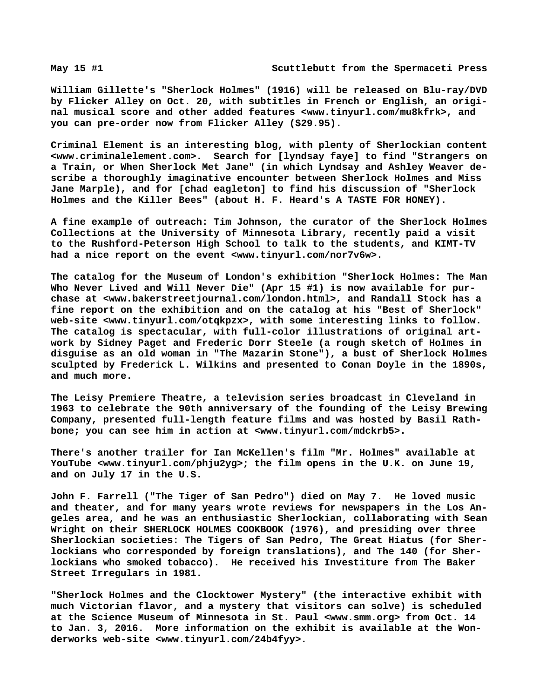**William Gillette's "Sherlock Holmes" (1916) will be released on Blu-ray/DVD by Flicker Alley on Oct. 20, with subtitles in French or English, an original musical score and other added features [<www.tinyurl.com/mu8kfrk>, a](http://www.tinyurl.com/mu8kfrk)nd you can pre-order now from Flicker Alley (\$29.95).**

**Criminal Element is an interesting blog, with plenty of Sherlockian content [<www.criminalelement.com>.](http://www.criminalelement.com) Search for [lyndsay faye] to find "Strangers on a Train, or When Sherlock Met Jane" (in which Lyndsay and Ashley Weaver describe a thoroughly imaginative encounter between Sherlock Holmes and Miss Jane Marple), and for [chad eagleton] to find his discussion of "Sherlock Holmes and the Killer Bees" (about H. F. Heard's A TASTE FOR HONEY).**

**A fine example of outreach: Tim Johnson, the curator of the Sherlock Holmes Collections at the University of Minnesota Library, recently paid a visit to the Rushford-Peterson High School to talk to the students, and KIMT-TV had a nice report on the event <[www.tinyurl.com/nor7v6w>.](http://www.tinyurl.com/nor7v6w)**

**The catalog for the Museum of London's exhibition "Sherlock Holmes: The Man Who Never Lived and Will Never Die" (Apr 15 #1) is now available for purchase at <[www.bakerstreetjournal.com/london.html>, a](http://www.bakerstreetjournal.com/london.html)nd Randall Stock has a fine report on the exhibition and on the catalog at his "Best of Sherlock" web-site <[www.tinyurl.com/otqkpzx>, w](http://www.tinyurl.com/otqkpzx)ith some interesting links to follow. The catalog is spectacular, with full-color illustrations of original artwork by Sidney Paget and Frederic Dorr Steele (a rough sketch of Holmes in disguise as an old woman in "The Mazarin Stone"), a bust of Sherlock Holmes sculpted by Frederick L. Wilkins and presented to Conan Doyle in the 1890s, and much more.**

**The Leisy Premiere Theatre, a television series broadcast in Cleveland in 1963 to celebrate the 90th anniversary of the founding of the Leisy Brewing Company, presented full-length feature films and was hosted by Basil Rathbone; you can see him in action at [<www.tinyurl.com/mdckrb5>.](http://www.tinyurl.com/mdckrb5)**

**There's another trailer for Ian McKellen's film "Mr. Holmes" available at YouTube [<www.tinyurl.com/phju2yg>; t](http://www.tinyurl.com/phju2yg)he film opens in the U.K. on June 19, and on July 17 in the U.S.**

**John F. Farrell ("The Tiger of San Pedro") died on May 7. He loved music and theater, and for many years wrote reviews for newspapers in the Los Angeles area, and he was an enthusiastic Sherlockian, collaborating with Sean Wright on their SHERLOCK HOLMES COOKBOOK (1976), and presiding over three Sherlockian societies: The Tigers of San Pedro, The Great Hiatus (for Sherlockians who corresponded by foreign translations), and The 140 (for Sherlockians who smoked tobacco). He received his Investiture from The Baker Street Irregulars in 1981.**

**"Sherlock Holmes and the Clocktower Mystery" (the interactive exhibit with much Victorian flavor, and a mystery that visitors can solve) is scheduled at the Science Museum of Minnesota in St. Paul [<www.smm.org> f](http://www.smm.org)rom Oct. 14 to Jan. 3, 2016. More information on the exhibit is available at the Wonderworks web-site [<www.tinyurl.com/24b4fyy>.](http://www.tinyurl.com/24b4fyy)**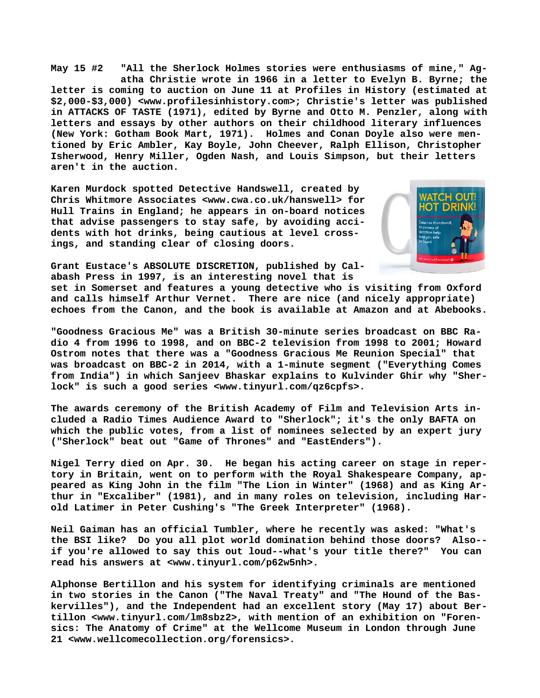**May 15 #2 "All the Sherlock Holmes stories were enthusiasms of mine," Ag atha Christie wrote in 1966 in a letter to Evelyn B. Byrne; the letter is coming to auction on June 11 at Profiles in History (estimated at \$2,000-\$3,000) [<www.profilesinhistory.com>; C](http://www.profilesinhistory.com)hristie's letter was published in ATTACKS OF TASTE (1971), edited by Byrne and Otto M. Penzler, along with letters and essays by other authors on their childhood literary influences (New York: Gotham Book Mart, 1971). Holmes and Conan Doyle also were mentioned by Eric Ambler, Kay Boyle, John Cheever, Ralph Ellison, Christopher Isherwood, Henry Miller, Ogden Nash, and Louis Simpson, but their letters aren't in the auction.**

**Karen Murdock spotted Detective Handswell, created by Chris Whitmore Associates <[www.cwa.co.uk/hanswell> f](http://www.cwa.co.uk/hanswell)or Hull Trains in England; he appears in on-board notices that advise passengers to stay safe, by avoiding accidents with hot drinks, being cautious at level crossings, and standing clear of closing doors.**



**Grant Eustace's ABSOLUTE DISCRETION, published by Calabash Press in 1997, is an interesting novel that is**

**set in Somerset and features a young detective who is visiting from Oxford and calls himself Arthur Vernet. There are nice (and nicely appropriate) echoes from the Canon, and the book is available at Amazon and at Abebooks.**

**"Goodness Gracious Me" was a British 30-minute series broadcast on BBC Radio 4 from 1996 to 1998, and on BBC-2 television from 1998 to 2001; Howard Ostrom notes that there was a "Goodness Gracious Me Reunion Special" that was broadcast on BBC-2 in 2014, with a 1-minute segment ("Everything Comes from India") in which Sanjeev Bhaskar explains to Kulvinder Ghir why "Sherlock" is such a good series [<www.tinyurl.com/qz6cpfs>.](http://www.tinyurl.com/qz6cpfs)**

**The awards ceremony of the British Academy of Film and Television Arts included a Radio Times Audience Award to "Sherlock"; it's the only BAFTA on which the public votes, from a list of nominees selected by an expert jury ("Sherlock" beat out "Game of Thrones" and "EastEnders").**

**Nigel Terry died on Apr. 30. He began his acting career on stage in repertory in Britain, went on to perform with the Royal Shakespeare Company, appeared as King John in the film "The Lion in Winter" (1968) and as King Arthur in "Excaliber" (1981), and in many roles on television, including Harold Latimer in Peter Cushing's "The Greek Interpreter" (1968).**

**Neil Gaiman has an official Tumbler, where he recently was asked: "What's the BSI like? Do you all plot world domination behind those doors? Also- if you're allowed to say this out loud--what's your title there?" You can read his answers at [<www.tinyurl.com/p62w5nh>.](http://www.tinyurl.com/p62w5nh)**

**Alphonse Bertillon and his system for identifying criminals are mentioned in two stories in the Canon ("The Naval Treaty" and "The Hound of the Baskervilles"), and the Independent had an excellent story (May 17) about Bertillon [<www.tinyurl.com/lm8sbz2>, w](http://www.tinyurl.com/lm8sbz2)ith mention of an exhibition on "Forensics: The Anatomy of Crime" at the Wellcome Museum in London through June 21 [<www.wellcomecollection.org/forensics>.](http://www.wellcomecollection.org/forensics)**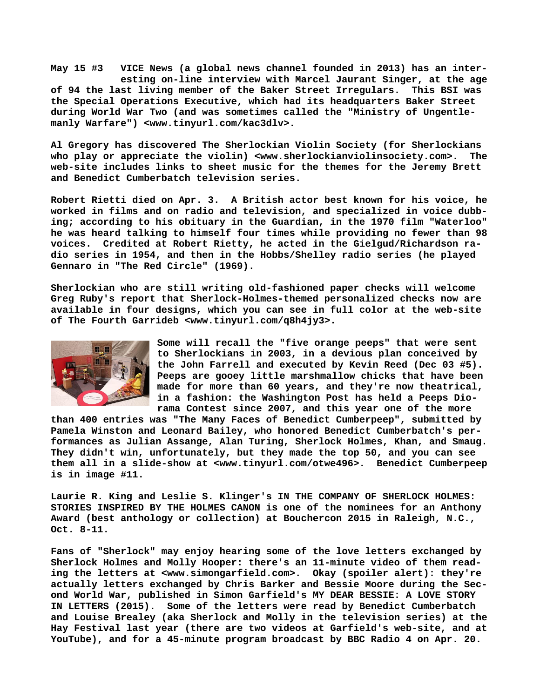**May 15 #3 VICE News (a global news channel founded in 2013) has an inter esting on-line interview with Marcel Jaurant Singer, at the age of 94 the last living member of the Baker Street Irregulars. This BSI was the Special Operations Executive, which had its headquarters Baker Street during World War Two (and was sometimes called the "Ministry of Ungentlemanly Warfare") <[www.tinyurl.com/kac3dlv>.](http://www.tinyurl.com/kac3dlv)**

**Al Gregory has discovered The Sherlockian Violin Society (for Sherlockians who play or appreciate the violin) [<www.sherlockianviolinsociety.com>.](http://www.sherlockianviolinsociety.com) The web-site includes links to sheet music for the themes for the Jeremy Brett and Benedict Cumberbatch television series.**

**Robert Rietti died on Apr. 3. A British actor best known for his voice, he worked in films and on radio and television, and specialized in voice dubbing; according to his obituary in the Guardian, in the 1970 film "Waterloo" he was heard talking to himself four times while providing no fewer than 98 voices. Credited at Robert Rietty, he acted in the Gielgud/Richardson radio series in 1954, and then in the Hobbs/Shelley radio series (he played Gennaro in "The Red Circle" (1969).**

**Sherlockian who are still writing old-fashioned paper checks will welcome Greg Ruby's report that Sherlock-Holmes-themed personalized checks now are available in four designs, which you can see in full color at the web-site of The Fourth Garrideb [<www.tinyurl.com/q8h4jy3>.](http://www.tinyurl.com/q8h4jy3)**



**Some will recall the "five orange peeps" that were sent to Sherlockians in 2003, in a devious plan conceived by the John Farrell and executed by Kevin Reed (Dec 03 #5). Peeps are gooey little marshmallow chicks that have been made for more than 60 years, and they're now theatrical, in a fashion: the Washington Post has held a Peeps Diorama Contest since 2007, and this year one of the more**

**than 400 entries was "The Many Faces of Benedict Cumberpeep", submitted by Pamela Winston and Leonard Bailey, who honored Benedict Cumberbatch's performances as Julian Assange, Alan Turing, Sherlock Holmes, Khan, and Smaug. They didn't win, unfortunately, but they made the top 50, and you can see them all in a slide-show at [<www.tinyurl.com/otwe496>.](http://www.tinyurl.com/otwe496) Benedict Cumberpeep is in image #11.**

**Laurie R. King and Leslie S. Klinger's IN THE COMPANY OF SHERLOCK HOLMES: STORIES INSPIRED BY THE HOLMES CANON is one of the nominees for an Anthony Award (best anthology or collection) at Bouchercon 2015 in Raleigh, N.C., Oct. 8-11.**

**Fans of "Sherlock" may enjoy hearing some of the love letters exchanged by Sherlock Holmes and Molly Hooper: there's an 11-minute video of them reading the letters at <[www.simongarfield.com>.](http://www.simongarfield.com) Okay (spoiler alert): they're actually letters exchanged by Chris Barker and Bessie Moore during the Second World War, published in Simon Garfield's MY DEAR BESSIE: A LOVE STORY IN LETTERS (2015). Some of the letters were read by Benedict Cumberbatch and Louise Brealey (aka Sherlock and Molly in the television series) at the Hay Festival last year (there are two videos at Garfield's web-site, and at YouTube), and for a 45-minute program broadcast by BBC Radio 4 on Apr. 20.**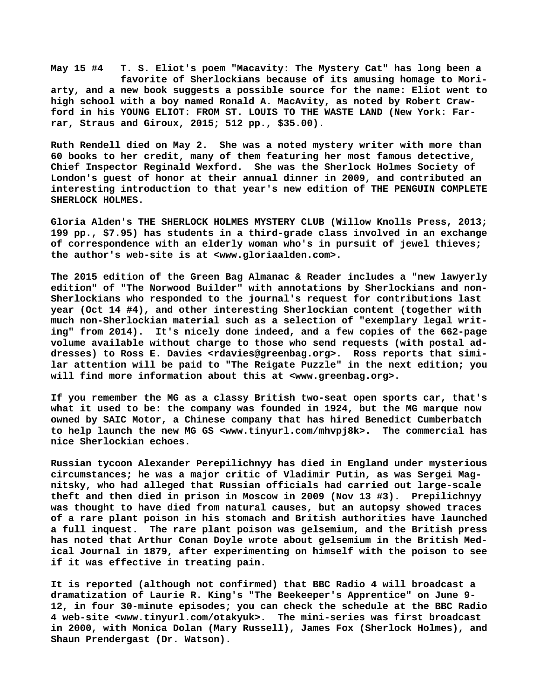**May 15 #4 T. S. Eliot's poem "Macavity: The Mystery Cat" has long been a favorite of Sherlockians because of its amusing homage to Moriarty, and a new book suggests a possible source for the name: Eliot went to high school with a boy named Ronald A. MacAvity, as noted by Robert Crawford in his YOUNG ELIOT: FROM ST. LOUIS TO THE WASTE LAND (New York: Farrar, Straus and Giroux, 2015; 512 pp., \$35.00).**

**Ruth Rendell died on May 2. She was a noted mystery writer with more than 60 books to her credit, many of them featuring her most famous detective, Chief Inspector Reginald Wexford. She was the Sherlock Holmes Society of London's guest of honor at their annual dinner in 2009, and contributed an interesting introduction to that year's new edition of THE PENGUIN COMPLETE SHERLOCK HOLMES.**

**Gloria Alden's THE SHERLOCK HOLMES MYSTERY CLUB (Willow Knolls Press, 2013; 199 pp., \$7.95) has students in a third-grade class involved in an exchange of correspondence with an elderly woman who's in pursuit of jewel thieves; the author's web-site is at [<www.gloriaalden.com>.](http://www.gloriaalden.com)**

**The 2015 edition of the Green Bag Almanac & Reader includes a "new lawyerly edition" of "The Norwood Builder" with annotations by Sherlockians and non-Sherlockians who responded to the journal's request for contributions last year (Oct 14 #4), and other interesting Sherlockian content (together with much non-Sherlockian material such as a selection of "exemplary legal writing" from 2014). It's nicely done indeed, and a few copies of the 662-page volume available without charge to those who send requests (with postal addresses) to Ross E. Davies [<rdavies@greenbag.org>.](mailto:rdavies@greenbag.org) Ross reports that similar attention will be paid to "The Reigate Puzzle" in the next edition; you will find more information about this at <[www.greenbag.org>.](http://www.greenbag.org)**

**If you remember the MG as a classy British two-seat open sports car, that's what it used to be: the company was founded in 1924, but the MG marque now owned by SAIC Motor, a Chinese company that has hired Benedict Cumberbatch to help launch the new MG GS <[www.tinyurl.com/mhvpj8k>.](http://www.tinyurl.com/mhvpj8k) The commercial has nice Sherlockian echoes.**

**Russian tycoon Alexander Perepilichnyy has died in England under mysterious circumstances; he was a major critic of Vladimir Putin, as was Sergei Magnitsky, who had alleged that Russian officials had carried out large-scale theft and then died in prison in Moscow in 2009 (Nov 13 #3). Prepilichnyy was thought to have died from natural causes, but an autopsy showed traces of a rare plant poison in his stomach and British authorities have launched a full inquest. The rare plant poison was gelsemium, and the British press has noted that Arthur Conan Doyle wrote about gelsemium in the British Medical Journal in 1879, after experimenting on himself with the poison to see if it was effective in treating pain.**

**It is reported (although not confirmed) that BBC Radio 4 will broadcast a dramatization of Laurie R. King's "The Beekeeper's Apprentice" on June 9- 12, in four 30-minute episodes; you can check the schedule at the BBC Radio 4 web-site <[www.tinyurl.com/otakyuk>.](http://www.tinyurl.com/otakyuk) The mini-series was first broadcast in 2000, with Monica Dolan (Mary Russell), James Fox (Sherlock Holmes), and Shaun Prendergast (Dr. Watson).**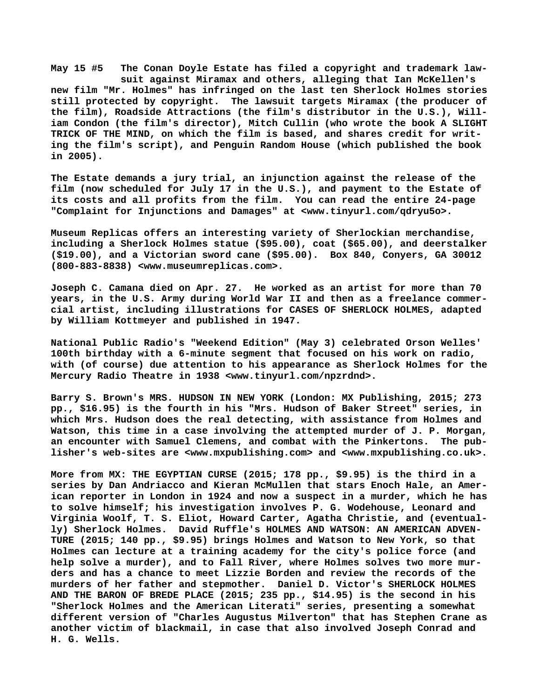**May 15 #5 The Conan Doyle Estate has filed a copyright and trademark law suit against Miramax and others, alleging that Ian McKellen's new film "Mr. Holmes" has infringed on the last ten Sherlock Holmes stories still protected by copyright. The lawsuit targets Miramax (the producer of the film), Roadside Attractions (the film's distributor in the U.S.), William Condon (the film's director), Mitch Cullin (who wrote the book A SLIGHT TRICK OF THE MIND, on which the film is based, and shares credit for writing the film's script), and Penguin Random House (which published the book in 2005).**

**The Estate demands a jury trial, an injunction against the release of the film (now scheduled for July 17 in the U.S.), and payment to the Estate of its costs and all profits from the film. You can read the entire 24-page "Complaint for Injunctions and Damages" at [<www.tinyurl.com/qdryu5o>.](http://www.tinyurl.com/qdryu5o)**

**Museum Replicas offers an interesting variety of Sherlockian merchandise, including a Sherlock Holmes statue (\$95.00), coat (\$65.00), and deerstalker (\$19.00), and a Victorian sword cane (\$95.00). Box 840, Conyers, GA 30012 (800-883-8838) [<www.museumreplicas.com>.](http://www.museumreplicas.com)**

**Joseph C. Camana died on Apr. 27. He worked as an artist for more than 70 years, in the U.S. Army during World War II and then as a freelance commercial artist, including illustrations for CASES OF SHERLOCK HOLMES, adapted by William Kottmeyer and published in 1947.**

**National Public Radio's "Weekend Edition" (May 3) celebrated Orson Welles' 100th birthday with a 6-minute segment that focused on his work on radio, with (of course) due attention to his appearance as Sherlock Holmes for the Mercury Radio Theatre in 1938 [<www.tinyurl.com/npzrdnd>.](http://www.tinyurl.com/npzrdnd)**

**Barry S. Brown's MRS. HUDSON IN NEW YORK (London: MX Publishing, 2015; 273 pp., \$16.95) is the fourth in his "Mrs. Hudson of Baker Street" series, in which Mrs. Hudson does the real detecting, with assistance from Holmes and Watson, this time in a case involving the attempted murder of J. P. Morgan, an encounter with Samuel Clemens, and combat with the Pinkertons. The publisher's web-sites are [<www.mxpublishing.com> a](http://www.mxpublishing.com)nd [<www.mxpublishing.co.uk>.](http://www.mxpublishing.co.uk)**

**More from MX: THE EGYPTIAN CURSE (2015; 178 pp., \$9.95) is the third in a series by Dan Andriacco and Kieran McMullen that stars Enoch Hale, an American reporter in London in 1924 and now a suspect in a murder, which he has to solve himself; his investigation involves P. G. Wodehouse, Leonard and Virginia Woolf, T. S. Eliot, Howard Carter, Agatha Christie, and (eventually) Sherlock Holmes. David Ruffle's HOLMES AND WATSON: AN AMERICAN ADVEN-TURE (2015; 140 pp., \$9.95) brings Holmes and Watson to New York, so that Holmes can lecture at a training academy for the city's police force (and help solve a murder), and to Fall River, where Holmes solves two more murders and has a chance to meet Lizzie Borden and review the records of the murders of her father and stepmother. Daniel D. Victor's SHERLOCK HOLMES AND THE BARON OF BREDE PLACE (2015; 235 pp., \$14.95) is the second in his "Sherlock Holmes and the American Literati" series, presenting a somewhat different version of "Charles Augustus Milverton" that has Stephen Crane as another victim of blackmail, in case that also involved Joseph Conrad and H. G. Wells.**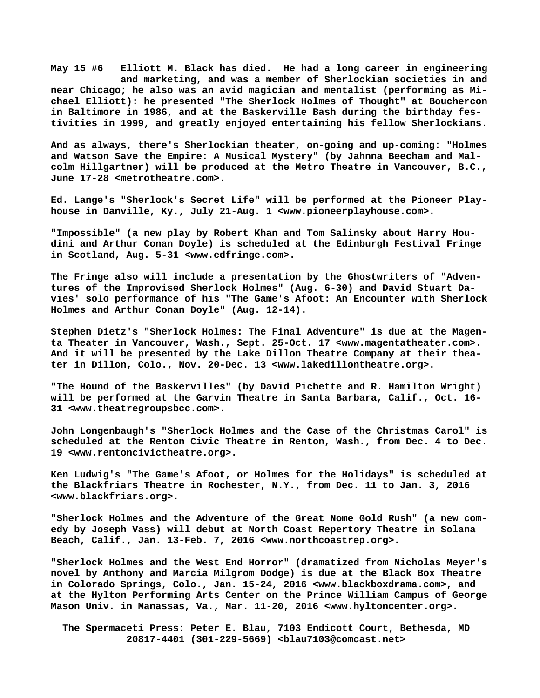**May 15 #6 Elliott M. Black has died. He had a long career in engineering and marketing, and was a member of Sherlockian societies in and near Chicago; he also was an avid magician and mentalist (performing as Michael Elliott): he presented "The Sherlock Holmes of Thought" at Bouchercon in Baltimore in 1986, and at the Baskerville Bash during the birthday festivities in 1999, and greatly enjoyed entertaining his fellow Sherlockians.**

**And as always, there's Sherlockian theater, on-going and up-coming: "Holmes and Watson Save the Empire: A Musical Mystery" (by Jahnna Beecham and Malcolm Hillgartner) will be produced at the Metro Theatre in Vancouver, B.C., June 17-28 <metrotheatre.com>.**

**Ed. Lange's "Sherlock's Secret Life" will be performed at the Pioneer Playhouse in Danville, Ky., July 21-Aug. 1 <[www.pioneerplayhouse.com>.](http://www.pioneerplayhouse.com)**

**"Impossible" (a new play by Robert Khan and Tom Salinsky about Harry Houdini and Arthur Conan Doyle) is scheduled at the Edinburgh Festival Fringe in Scotland, Aug. 5-31 [<www.edfringe.com>.](http://www.edfringe.com)**

**The Fringe also will include a presentation by the Ghostwriters of "Adventures of the Improvised Sherlock Holmes" (Aug. 6-30) and David Stuart Davies' solo performance of his "The Game's Afoot: An Encounter with Sherlock Holmes and Arthur Conan Doyle" (Aug. 12-14).**

**Stephen Dietz's "Sherlock Holmes: The Final Adventure" is due at the Magenta Theater in Vancouver, Wash., Sept. 25-Oct. 17 <[www.magentatheater.com>.](http://www.magentatheater.com) And it will be presented by the Lake Dillon Theatre Company at their theater in Dillon, Colo., Nov. 20-Dec. 13 [<www.lakedillontheatre.org>.](http://www.lakedillontheatre.org)** 

**"The Hound of the Baskervilles" (by David Pichette and R. Hamilton Wright) will be performed at the Garvin Theatre in Santa Barbara, Calif., Oct. 16- 31 [<www.theatregroupsbcc.com>.](http://www.theatregroupsbcc.com)**

**John Longenbaugh's "Sherlock Holmes and the Case of the Christmas Carol" is scheduled at the Renton Civic Theatre in Renton, Wash., from Dec. 4 to Dec. 19 [<www.rentoncivictheatre.org>.](http://www.rentoncivictheatre.org)**

**Ken Ludwig's "The Game's Afoot, or Holmes for the Holidays" is scheduled at the Blackfriars Theatre in Rochester, N.Y., from Dec. 11 to Jan. 3, 2016 [<www.blackfriars.org>.](http://www.blackfriars.org)**

**"Sherlock Holmes and the Adventure of the Great Nome Gold Rush" (a new comedy by Joseph Vass) will debut at North Coast Repertory Theatre in Solana Beach, Calif., Jan. 13-Feb. 7, 2016 <[www.northcoastrep.org>.](http://www.northcoastrep.org)**

**"Sherlock Holmes and the West End Horror" (dramatized from Nicholas Meyer's novel by Anthony and Marcia Milgrom Dodge) is due at the Black Box Theatre in Colorado Springs, Colo., Jan. 15-24, 2016 [<www.blackboxdrama.com>, a](http://www.blackboxdrama.com)nd at the Hylton Performing Arts Center on the Prince William Campus of George Mason Univ. in Manassas, Va., Mar. 11-20, 2016 [<www.hyltoncenter.org>.](http://www.hyltoncenter.org)**

 **The Spermaceti Press: Peter E. Blau, 7103 Endicott Court, Bethesda, MD 20817-4401 (301-229-5669) <[blau7103@comcast.net>](mailto:blau7103@comcast.net)**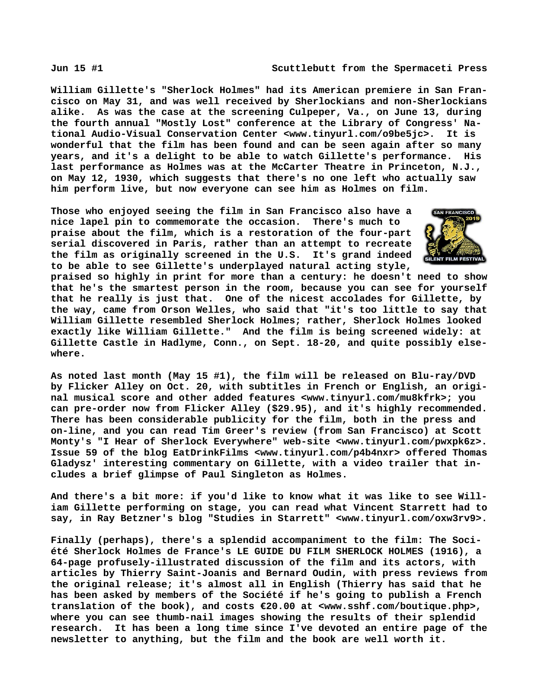**William Gillette's "Sherlock Holmes" had its American premiere in San Francisco on May 31, and was well received by Sherlockians and non-Sherlockians alike. As was the case at the screening Culpeper, Va., on June 13, during the fourth annual "Mostly Lost" conference at the Library of Congress' National Audio-Visual Conservation Center [<www.tinyurl.com/o9be5jc>.](http://www.tinyurl.com/o9be5jc) It is wonderful that the film has been found and can be seen again after so many years, and it's a delight to be able to watch Gillette's performance. His last performance as Holmes was at the McCarter Theatre in Princeton, N.J., on May 12, 1930, which suggests that there's no one left who actually saw him perform live, but now everyone can see him as Holmes on film.**

**Those who enjoyed seeing the film in San Francisco also have a nice lapel pin to commemorate the occasion. There's much to praise about the film, which is a restoration of the four-part serial discovered in Paris, rather than an attempt to recreate the film as originally screened in the U.S. It's grand indeed to be able to see Gillette's underplayed natural acting style,**



**praised so highly in print for more than a century: he doesn't need to show that he's the smartest person in the room, because you can see for yourself that he really is just that. One of the nicest accolades for Gillette, by the way, came from Orson Welles, who said that "it's too little to say that William Gillette resembled Sherlock Holmes; rather, Sherlock Holmes looked exactly like William Gillette." And the film is being screened widely: at Gillette Castle in Hadlyme, Conn., on Sept. 18-20, and quite possibly elsewhere.**

**As noted last month (May 15 #1), the film will be released on Blu-ray/DVD by Flicker Alley on Oct. 20, with subtitles in French or English, an original musical score and other added features [<www.tinyurl.com/mu8kfrk>; y](http://www.tinyurl.com/mu8kfrk)ou can pre-order now from Flicker Alley (\$29.95), and it's highly recommended. There has been considerable publicity for the film, both in the press and on-line, and you can read Tim Greer's review (from San Francisco) at Scott Monty's "I Hear of Sherlock Everywhere" web-site <[www.tinyurl.com/pwxpk6z>.](http://www.tinyurl.com/pwxpk6z) Issue 59 of the blog EatDrinkFilms [<www.tinyurl.com/p4b4nxr> o](http://www.tinyurl.com/p4b4nxr)ffered Thomas Gladysz' interesting commentary on Gillette, with a video trailer that includes a brief glimpse of Paul Singleton as Holmes.**

**And there's a bit more: if you'd like to know what it was like to see William Gillette performing on stage, you can read what Vincent Starrett had to say, in Ray Betzner's blog "Studies in Starrett" <[www.tinyurl.com/oxw3rv9>.](http://www.tinyurl.com/oxw3rv9)**

**Finally (perhaps), there's a splendid accompaniment to the film: The Société Sherlock Holmes de France's LE GUIDE DU FILM SHERLOCK HOLMES (1916), a 64-page profusely-illustrated discussion of the film and its actors, with articles by Thierry Saint-Joanis and Bernard Oudin, with press reviews from the original release; it's almost all in English (Thierry has said that he has been asked by members of the Société if he's going to publish a French translation of the book), and costs €20.00 at <[www.sshf.com/boutique.php>,](http://www.sshf.com/boutique.php) where you can see thumb-nail images showing the results of their splendid research. It has been a long time since I've devoted an entire page of the newsletter to anything, but the film and the book are well worth it.**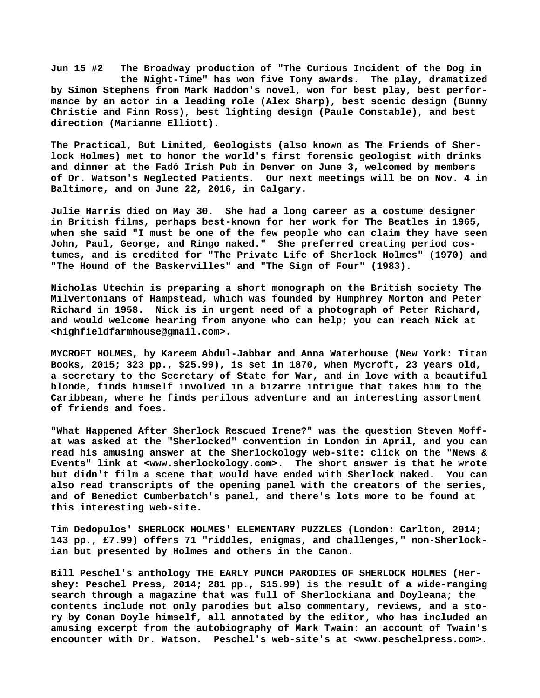**Jun 15 #2 The Broadway production of "The Curious Incident of the Dog in the Night-Time" has won five Tony awards. The play, dramatized by Simon Stephens from Mark Haddon's novel, won for best play, best performance by an actor in a leading role (Alex Sharp), best scenic design (Bunny Christie and Finn Ross), best lighting design (Paule Constable), and best direction (Marianne Elliott).**

**The Practical, But Limited, Geologists (also known as The Friends of Sherlock Holmes) met to honor the world's first forensic geologist with drinks and dinner at the Fadó Irish Pub in Denver on June 3, welcomed by members of Dr. Watson's Neglected Patients. Our next meetings will be on Nov. 4 in Baltimore, and on June 22, 2016, in Calgary.**

**Julie Harris died on May 30. She had a long career as a costume designer in British films, perhaps best-known for her work for The Beatles in 1965, when she said "I must be one of the few people who can claim they have seen John, Paul, George, and Ringo naked." She preferred creating period costumes, and is credited for "The Private Life of Sherlock Holmes" (1970) and "The Hound of the Baskervilles" and "The Sign of Four" (1983).**

**Nicholas Utechin is preparing a short monograph on the British society The Milvertonians of Hampstead, which was founded by Humphrey Morton and Peter Richard in 1958. Nick is in urgent need of a photograph of Peter Richard, and would welcome hearing from anyone who can help; you can reach Nick at [<highfieldfarmhouse@gmail.com>.](mailto:highfieldfarmhouse@gmail.com)**

**MYCROFT HOLMES, by Kareem Abdul-Jabbar and Anna Waterhouse (New York: Titan Books, 2015; 323 pp., \$25.99), is set in 1870, when Mycroft, 23 years old, a secretary to the Secretary of State for War, and in love with a beautiful blonde, finds himself involved in a bizarre intrigue that takes him to the Caribbean, where he finds perilous adventure and an interesting assortment of friends and foes.**

**"What Happened After Sherlock Rescued Irene?" was the question Steven Moffat was asked at the "Sherlocked" convention in London in April, and you can read his amusing answer at the Sherlockology web-site: click on the "News & Events" link at <[www.sherlockology.com>.](http://www.sherlockology.com) The short answer is that he wrote but didn't film a scene that would have ended with Sherlock naked. You can also read transcripts of the opening panel with the creators of the series, and of Benedict Cumberbatch's panel, and there's lots more to be found at this interesting web-site.**

**Tim Dedopulos' SHERLOCK HOLMES' ELEMENTARY PUZZLES (London: Carlton, 2014; 143 pp., £7.99) offers 71 "riddles, enigmas, and challenges," non-Sherlockian but presented by Holmes and others in the Canon.**

**Bill Peschel's anthology THE EARLY PUNCH PARODIES OF SHERLOCK HOLMES (Hershey: Peschel Press, 2014; 281 pp., \$15.99) is the result of a wide-ranging search through a magazine that was full of Sherlockiana and Doyleana; the contents include not only parodies but also commentary, reviews, and a story by Conan Doyle himself, all annotated by the editor, who has included an amusing excerpt from the autobiography of Mark Twain: an account of Twain's encounter with Dr. Watson. Peschel's web-site's at [<www.peschelpress.com>.](http://www.peschelpress.com)**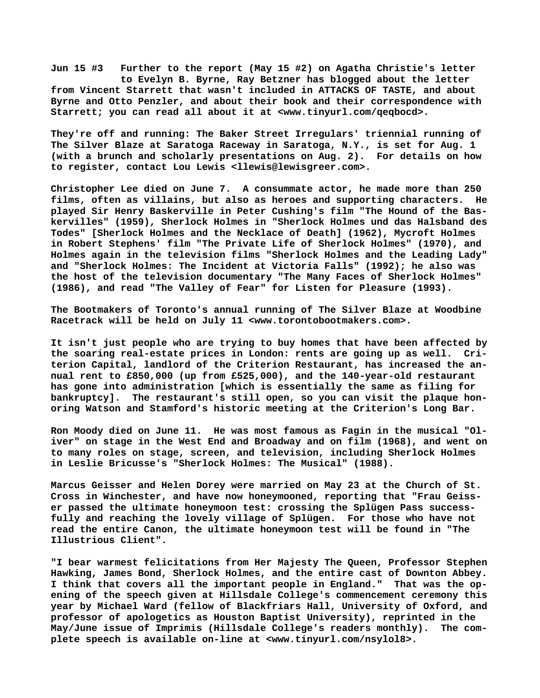**Jun 15 #3 Further to the report (May 15 #2) on Agatha Christie's letter to Evelyn B. Byrne, Ray Betzner has blogged about the letter from Vincent Starrett that wasn't included in ATTACKS OF TASTE, and about Byrne and Otto Penzler, and about their book and their correspondence with Starrett; you can read all about it at <[www.tinyurl.com/qeqbocd>.](http://www.tinyurl.com/qeqbocd)**

**They're off and running: The Baker Street Irregulars' triennial running of The Silver Blaze at Saratoga Raceway in Saratoga, N.Y., is set for Aug. 1 (with a brunch and scholarly presentations on Aug. 2). For details on how to register, contact Lou Lewis <[llewis@lewisgreer.com>.](mailto:llewis@lewisgreer.com)**

**Christopher Lee died on June 7. A consummate actor, he made more than 250 films, often as villains, but also as heroes and supporting characters. He played Sir Henry Baskerville in Peter Cushing's film "The Hound of the Baskervilles" (1959), Sherlock Holmes in "Sherlock Holmes und das Halsband des Todes" [Sherlock Holmes and the Necklace of Death] (1962), Mycroft Holmes in Robert Stephens' film "The Private Life of Sherlock Holmes" (1970), and Holmes again in the television films "Sherlock Holmes and the Leading Lady" and "Sherlock Holmes: The Incident at Victoria Falls" (1992); he also was the host of the television documentary "The Many Faces of Sherlock Holmes" (1986), and read "The Valley of Fear" for Listen for Pleasure (1993).**

**The Bootmakers of Toronto's annual running of The Silver Blaze at Woodbine Racetrack will be held on July 11 <[www.torontobootmakers.com>.](http://www.torontobootmakers.com)**

**It isn't just people who are trying to buy homes that have been affected by the soaring real-estate prices in London: rents are going up as well. Criterion Capital, landlord of the Criterion Restaurant, has increased the annual rent to £850,000 (up from £525,000), and the 140-year-old restaurant has gone into administration [which is essentially the same as filing for bankruptcy]. The restaurant's still open, so you can visit the plaque honoring Watson and Stamford's historic meeting at the Criterion's Long Bar.**

**Ron Moody died on June 11. He was most famous as Fagin in the musical "Oliver" on stage in the West End and Broadway and on film (1968), and went on to many roles on stage, screen, and television, including Sherlock Holmes in Leslie Bricusse's "Sherlock Holmes: The Musical" (1988).**

**Marcus Geisser and Helen Dorey were married on May 23 at the Church of St. Cross in Winchester, and have now honeymooned, reporting that "Frau Geisser passed the ultimate honeymoon test: crossing the Splügen Pass successfully and reaching the lovely village of Splügen. For those who have not read the entire Canon, the ultimate honeymoon test will be found in "The Illustrious Client".**

**"I bear warmest felicitations from Her Majesty The Queen, Professor Stephen Hawking, James Bond, Sherlock Holmes, and the entire cast of Downton Abbey. I think that covers all the important people in England." That was the opening of the speech given at Hillsdale College's commencement ceremony this year by Michael Ward (fellow of Blackfriars Hall, University of Oxford, and professor of apologetics as Houston Baptist University), reprinted in the May/June issue of Imprimis (Hillsdale College's readers monthly). The complete speech is available on-line at [<www.tinyurl.com/nsylol8>.](http://www.tinyurl.com/nsylol8)**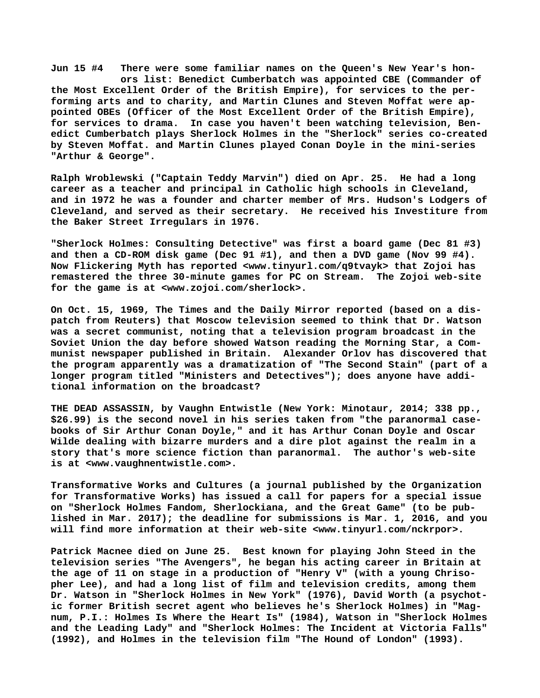**Jun 15 #4 There were some familiar names on the Queen's New Year's hon ors list: Benedict Cumberbatch was appointed CBE (Commander of the Most Excellent Order of the British Empire), for services to the performing arts and to charity, and Martin Clunes and Steven Moffat were appointed OBEs (Officer of the Most Excellent Order of the British Empire), for services to drama. In case you haven't been watching television, Benedict Cumberbatch plays Sherlock Holmes in the "Sherlock" series co-created by Steven Moffat. and Martin Clunes played Conan Doyle in the mini-series "Arthur & George".**

**Ralph Wroblewski ("Captain Teddy Marvin") died on Apr. 25. He had a long career as a teacher and principal in Catholic high schools in Cleveland, and in 1972 he was a founder and charter member of Mrs. Hudson's Lodgers of Cleveland, and served as their secretary. He received his Investiture from the Baker Street Irregulars in 1976.**

**"Sherlock Holmes: Consulting Detective" was first a board game (Dec 81 #3) and then a CD-ROM disk game (Dec 91 #1), and then a DVD game (Nov 99 #4). Now Flickering Myth has reported [<www.tinyurl.com/q9tvayk> t](http://www.tinyurl.com/q9tvayk)hat Zojoi has remastered the three 30-minute games for PC on Stream. The Zojoi web-site for the game is at <[www.zojoi.com/sherlock>.](http://www.zojoi.com/sherlock)**

**On Oct. 15, 1969, The Times and the Daily Mirror reported (based on a dispatch from Reuters) that Moscow television seemed to think that Dr. Watson was a secret communist, noting that a television program broadcast in the Soviet Union the day before showed Watson reading the Morning Star, a Communist newspaper published in Britain. Alexander Orlov has discovered that the program apparently was a dramatization of "The Second Stain" (part of a longer program titled "Ministers and Detectives"); does anyone have additional information on the broadcast?**

**THE DEAD ASSASSIN, by Vaughn Entwistle (New York: Minotaur, 2014; 338 pp., \$26.99) is the second novel in his series taken from "the paranormal casebooks of Sir Arthur Conan Doyle," and it has Arthur Conan Doyle and Oscar Wilde dealing with bizarre murders and a dire plot against the realm in a story that's more science fiction than paranormal. The author's web-site is at <[www.vaughnentwistle.com>.](http://www.vaughnentwistle.com)**

**Transformative Works and Cultures (a journal published by the Organization for Transformative Works) has issued a call for papers for a special issue on "Sherlock Holmes Fandom, Sherlockiana, and the Great Game" (to be published in Mar. 2017); the deadline for submissions is Mar. 1, 2016, and you will find more information at their web-site [<www.tinyurl.com/nckrpor>.](http://www.tinyurl.com/nckrpor)**

**Patrick Macnee died on June 25. Best known for playing John Steed in the television series "The Avengers", he began his acting career in Britain at the age of 11 on stage in a production of "Henry V" (with a young Chrisopher Lee), and had a long list of film and television credits, among them Dr. Watson in "Sherlock Holmes in New York" (1976), David Worth (a psychotic former British secret agent who believes he's Sherlock Holmes) in "Magnum, P.I.: Holmes Is Where the Heart Is" (1984), Watson in "Sherlock Holmes and the Leading Lady" and "Sherlock Holmes: The Incident at Victoria Falls" (1992), and Holmes in the television film "The Hound of London" (1993).**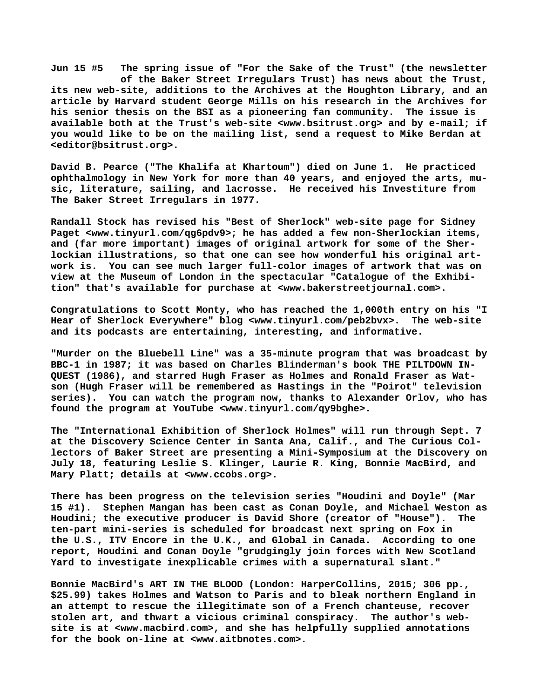**Jun 15 #5 The spring issue of "For the Sake of the Trust" (the newsletter of the Baker Street Irregulars Trust) has news about the Trust, its new web-site, additions to the Archives at the Houghton Library, and an article by Harvard student George Mills on his research in the Archives for his senior thesis on the BSI as a pioneering fan community. The issue is available both at the Trust's web-site <[www.bsitrust.org> a](http://www.bsitrust.org)nd by e-mail; if you would like to be on the mailing list, send a request to Mike Berdan at [<editor@bsitrust.org>.](mailto:editor@bsitrust.org)**

**David B. Pearce ("The Khalifa at Khartoum") died on June 1. He practiced ophthalmology in New York for more than 40 years, and enjoyed the arts, music, literature, sailing, and lacrosse. He received his Investiture from The Baker Street Irregulars in 1977.**

**Randall Stock has revised his "Best of Sherlock" web-site page for Sidney Paget <[www.tinyurl.com/qg6pdv9>; h](http://www.tinyurl.com/qg6pdv9)e has added a few non-Sherlockian items, and (far more important) images of original artwork for some of the Sherlockian illustrations, so that one can see how wonderful his original artwork is. You can see much larger full-color images of artwork that was on view at the Museum of London in the spectacular "Catalogue of the Exhibition" that's available for purchase at <[www.bakerstreetjournal.com>.](http://www.bakerstreetjournal.com)**

**Congratulations to Scott Monty, who has reached the 1,000th entry on his "I Hear of Sherlock Everywhere" blog <[www.tinyurl.com/peb2bvx>.](http://www.tinyurl.com/peb2bvx) The web-site and its podcasts are entertaining, interesting, and informative.**

**"Murder on the Bluebell Line" was a 35-minute program that was broadcast by BBC-1 in 1987; it was based on Charles Blinderman's book THE PILTDOWN IN-QUEST (1986), and starred Hugh Fraser as Holmes and Ronald Fraser as Watson (Hugh Fraser will be remembered as Hastings in the "Poirot" television series). You can watch the program now, thanks to Alexander Orlov, who has found the program at YouTube <[www.tinyurl.com/qy9bghe>.](http://www.tinyurl.com/qy9bghe)**

**The "International Exhibition of Sherlock Holmes" will run through Sept. 7 at the Discovery Science Center in Santa Ana, Calif., and The Curious Collectors of Baker Street are presenting a Mini-Symposium at the Discovery on July 18, featuring Leslie S. Klinger, Laurie R. King, Bonnie MacBird, and Mary Platt; details at [<www.ccobs.org>.](http://www.ccobs.org)**

**There has been progress on the television series "Houdini and Doyle" (Mar 15 #1). Stephen Mangan has been cast as Conan Doyle, and Michael Weston as Houdini; the executive producer is David Shore (creator of "House"). The ten-part mini-series is scheduled for broadcast next spring on Fox in the U.S., ITV Encore in the U.K., and Global in Canada. According to one report, Houdini and Conan Doyle "grudgingly join forces with New Scotland Yard to investigate inexplicable crimes with a supernatural slant."**

**Bonnie MacBird's ART IN THE BLOOD (London: HarperCollins, 2015; 306 pp., \$25.99) takes Holmes and Watson to Paris and to bleak northern England in an attempt to rescue the illegitimate son of a French chanteuse, recover stolen art, and thwart a vicious criminal conspiracy. The author's website is at <[www.macbird.com>, a](http://www.macbird.com)nd she has helpfully supplied annotations for the book on-line at <[www.aitbnotes.com>.](http://www.aitbnotes.com)**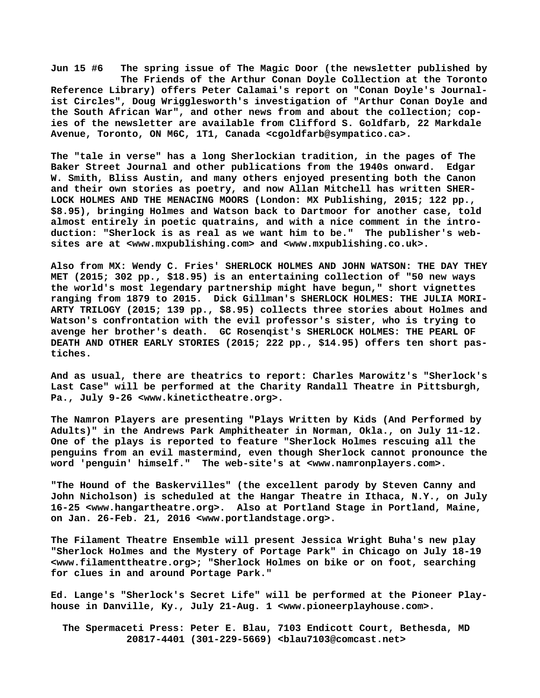**Jun 15 #6 The spring issue of The Magic Door (the newsletter published by The Friends of the Arthur Conan Doyle Collection at the Toronto Reference Library) offers Peter Calamai's report on "Conan Doyle's Journalist Circles", Doug Wrigglesworth's investigation of "Arthur Conan Doyle and the South African War", and other news from and about the collection; copies of the newsletter are available from Clifford S. Goldfarb, 22 Markdale Avenue, Toronto, ON M6C, 1T1, Canada [<cgoldfarb@sympatico.ca>.](mailto:cgoldfarb@sympatico.ca)**

**The "tale in verse" has a long Sherlockian tradition, in the pages of The Baker Street Journal and other publications from the 1940s onward. Edgar W. Smith, Bliss Austin, and many others enjoyed presenting both the Canon and their own stories as poetry, and now Allan Mitchell has written SHER-LOCK HOLMES AND THE MENACING MOORS (London: MX Publishing, 2015; 122 pp., \$8.95), bringing Holmes and Watson back to Dartmoor for another case, told almost entirely in poetic quatrains, and with a nice comment in the introduction: "Sherlock is as real as we want him to be." The publisher's websites are at [<www.mxpublishing.com> a](http://www.mxpublishing.com)nd [<www.mxpublishing.co.uk>.](http://www.mxpublishing.co.uk)**

**Also from MX: Wendy C. Fries' SHERLOCK HOLMES AND JOHN WATSON: THE DAY THEY MET (2015; 302 pp., \$18.95) is an entertaining collection of "50 new ways the world's most legendary partnership might have begun," short vignettes ranging from 1879 to 2015. Dick Gillman's SHERLOCK HOLMES: THE JULIA MORI-ARTY TRILOGY (2015; 139 pp., \$8.95) collects three stories about Holmes and Watson's confrontation with the evil professor's sister, who is trying to avenge her brother's death. GC Rosenqist's SHERLOCK HOLMES: THE PEARL OF DEATH AND OTHER EARLY STORIES (2015; 222 pp., \$14.95) offers ten short pastiches.**

**And as usual, there are theatrics to report: Charles Marowitz's "Sherlock's Last Case" will be performed at the Charity Randall Theatre in Pittsburgh, Pa., July 9-26 [<www.kinetictheatre.org>.](http://www.kinetictheatre.org)**

**The Namron Players are presenting "Plays Written by Kids (And Performed by Adults)" in the Andrews Park Amphitheater in Norman, Okla., on July 11-12. One of the plays is reported to feature "Sherlock Holmes rescuing all the penguins from an evil mastermind, even though Sherlock cannot pronounce the word 'penguin' himself." The web-site's at <[www.namronplayers.com>.](http://www.namronplayers.com)**

**"The Hound of the Baskervilles" (the excellent parody by Steven Canny and John Nicholson) is scheduled at the Hangar Theatre in Ithaca, N.Y., on July 16-25 <[www.hangartheatre.org>.](http://www.hangartheatre.org) Also at Portland Stage in Portland, Maine, on Jan. 26-Feb. 21, 2016 [<www.portlandstage.org>.](http://www.portlandstage.org)**

**The Filament Theatre Ensemble will present Jessica Wright Buha's new play "Sherlock Holmes and the Mystery of Portage Park" in Chicago on July 18-19 [<www.filamenttheatre.org>; "](http://www.filamenttheatre.org)Sherlock Holmes on bike or on foot, searching for clues in and around Portage Park."**

**Ed. Lange's "Sherlock's Secret Life" will be performed at the Pioneer Playhouse in Danville, Ky., July 21-Aug. 1 <[www.pioneerplayhouse.com>.](http://www.pioneerplayhouse.com)**

 **The Spermaceti Press: Peter E. Blau, 7103 Endicott Court, Bethesda, MD 20817-4401 (301-229-5669) <[blau7103@comcast.net>](mailto:blau7103@comcast.net)**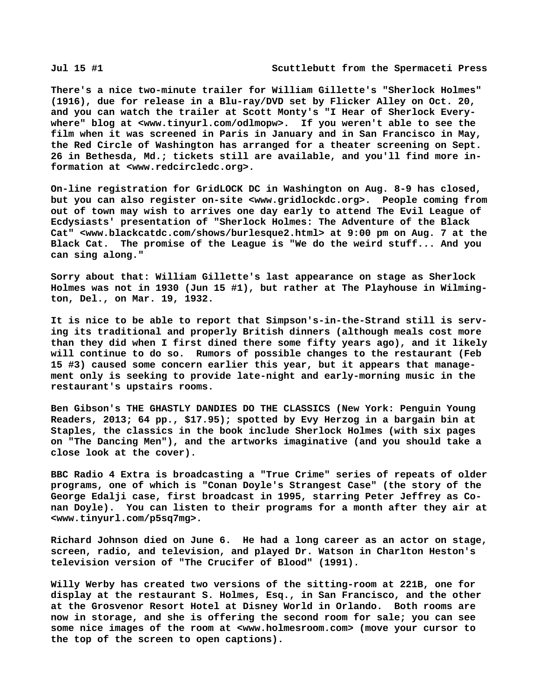**There's a nice two-minute trailer for William Gillette's "Sherlock Holmes" (1916), due for release in a Blu-ray/DVD set by Flicker Alley on Oct. 20, and you can watch the trailer at Scott Monty's "I Hear of Sherlock Everywhere" blog at [<www.tinyurl.com/odlmopw>.](http://www.tinyurl.com/odlmopw) If you weren't able to see the film when it was screened in Paris in January and in San Francisco in May, the Red Circle of Washington has arranged for a theater screening on Sept. 26 in Bethesda, Md.; tickets still are available, and you'll find more information at [<www.redcircledc.org>.](http://www.redcircledc.org)**

**On-line registration for GridLOCK DC in Washington on Aug. 8-9 has closed, but you can also register on-site <[www.gridlockdc.org>.](http://www.gridlockdc.org) People coming from out of town may wish to arrives one day early to attend The Evil League of Ecdysiasts' presentation of "Sherlock Holmes: The Adventure of the Black Cat" [<www.blackcatdc.com/shows/burlesque2.html> a](http://www.blackcatdc.com/shows/burlesque2.html)t 9:00 pm on Aug. 7 at the Black Cat. The promise of the League is "We do the weird stuff... And you can sing along."**

**Sorry about that: William Gillette's last appearance on stage as Sherlock Holmes was not in 1930 (Jun 15 #1), but rather at The Playhouse in Wilmington, Del., on Mar. 19, 1932.**

**It is nice to be able to report that Simpson's-in-the-Strand still is serving its traditional and properly British dinners (although meals cost more than they did when I first dined there some fifty years ago), and it likely will continue to do so. Rumors of possible changes to the restaurant (Feb 15 #3) caused some concern earlier this year, but it appears that management only is seeking to provide late-night and early-morning music in the restaurant's upstairs rooms.**

**Ben Gibson's THE GHASTLY DANDIES DO THE CLASSICS (New York: Penguin Young Readers, 2013; 64 pp., \$17.95); spotted by Evy Herzog in a bargain bin at Staples, the classics in the book include Sherlock Holmes (with six pages on "The Dancing Men"), and the artworks imaginative (and you should take a close look at the cover).**

**BBC Radio 4 Extra is broadcasting a "True Crime" series of repeats of older programs, one of which is "Conan Doyle's Strangest Case" (the story of the George Edalji case, first broadcast in 1995, starring Peter Jeffrey as Conan Doyle). You can listen to their programs for a month after they air at [<www.tinyurl.com/p5sq7mg>.](http://www.tinyurl.com/p5sq7mg)**

**Richard Johnson died on June 6. He had a long career as an actor on stage, screen, radio, and television, and played Dr. Watson in Charlton Heston's television version of "The Crucifer of Blood" (1991).**

**Willy Werby has created two versions of the sitting-room at 221B, one for display at the restaurant S. Holmes, Esq., in San Francisco, and the other at the Grosvenor Resort Hotel at Disney World in Orlando. Both rooms are now in storage, and she is offering the second room for sale; you can see some nice images of the room at [<www.holmesroom.com> \(](http://www.holmesroom.com)move your cursor to the top of the screen to open captions).**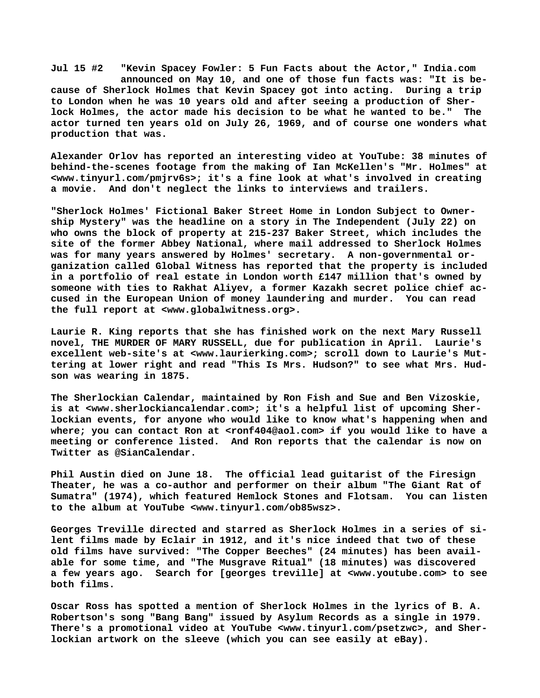**Jul 15 #2 "Kevin Spacey Fowler: 5 Fun Facts about the Actor," India.com announced on May 10, and one of those fun facts was: "It is because of Sherlock Holmes that Kevin Spacey got into acting. During a trip to London when he was 10 years old and after seeing a production of Sherlock Holmes, the actor made his decision to be what he wanted to be." The actor turned ten years old on July 26, 1969, and of course one wonders what production that was.**

**Alexander Orlov has reported an interesting video at YouTube: 38 minutes of behind-the-scenes footage from the making of Ian McKellen's "Mr. Holmes" at [<www.tinyurl.com/pmjrv6s>; i](http://www.tinyurl.com/pmjrv6s)t's a fine look at what's involved in creating a movie. And don't neglect the links to interviews and trailers.**

**"Sherlock Holmes' Fictional Baker Street Home in London Subject to Ownership Mystery" was the headline on a story in The Independent (July 22) on who owns the block of property at 215-237 Baker Street, which includes the site of the former Abbey National, where mail addressed to Sherlock Holmes was for many years answered by Holmes' secretary. A non-governmental organization called Global Witness has reported that the property is included in a portfolio of real estate in London worth £147 million that's owned by someone with ties to Rakhat Aliyev, a former Kazakh secret police chief accused in the European Union of money laundering and murder. You can read the full report at <[www.globalwitness.org>.](http://www.globalwitness.org)**

**Laurie R. King reports that she has finished work on the next Mary Russell novel, THE MURDER OF MARY RUSSELL, due for publication in April. Laurie's excellent web-site's at <[www.laurierking.com>; s](http://www.laurierking.com)croll down to Laurie's Muttering at lower right and read "This Is Mrs. Hudson?" to see what Mrs. Hudson was wearing in 1875.**

**The Sherlockian Calendar, maintained by Ron Fish and Sue and Ben Vizoskie, is at <[www.sherlockiancalendar.com>; i](http://www.sherlockiancalendar.com)t's a helpful list of upcoming Sherlockian events, for anyone who would like to know what's happening when and where; you can contact Ron at [<ronf404@aol.com> i](mailto:ronf404@aol.com)f you would like to have a meeting or conference listed. And Ron reports that the calendar is now on Twitter as @SianCalendar.**

**Phil Austin died on June 18. The official lead guitarist of the Firesign Theater, he was a co-author and performer on their album "The Giant Rat of Sumatra" (1974), which featured Hemlock Stones and Flotsam. You can listen to the album at YouTube <[www.tinyurl.com/ob85wsz>.](http://www.tinyurl.com/ob85wsz)**

**Georges Treville directed and starred as Sherlock Holmes in a series of silent films made by Eclair in 1912, and it's nice indeed that two of these old films have survived: "The Copper Beeches" (24 minutes) has been available for some time, and "The Musgrave Ritual" (18 minutes) was discovered a few years ago. Search for [georges treville] at <[www.youtube.com> t](http://www.youtube.com)o see both films.**

**Oscar Ross has spotted a mention of Sherlock Holmes in the lyrics of B. A. Robertson's song "Bang Bang" issued by Asylum Records as a single in 1979. There's a promotional video at YouTube <[www.tinyurl.com/psetzwc>, a](http://www.tinyurl.com/psetzwc)nd Sherlockian artwork on the sleeve (which you can see easily at eBay).**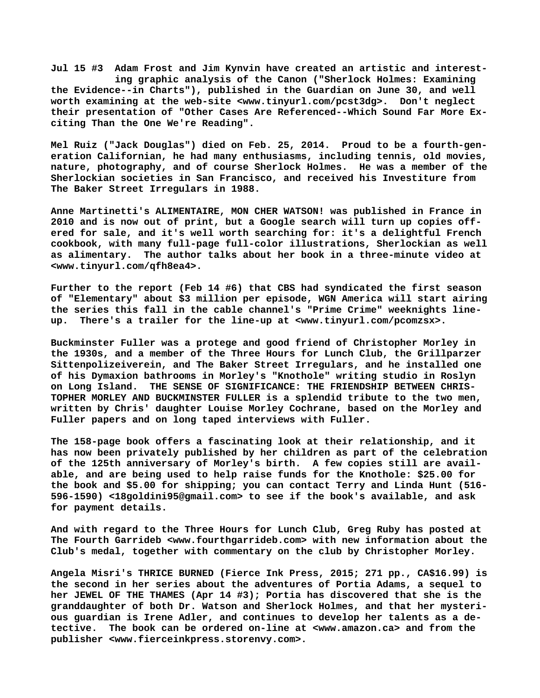**Jul 15 #3 Adam Frost and Jim Kynvin have created an artistic and interest ing graphic analysis of the Canon ("Sherlock Holmes: Examining the Evidence--in Charts"), published in the Guardian on June 30, and well worth examining at the web-site [<www.tinyurl.com/pcst3dg>.](http://www.tinyurl.com/pcst3dg) Don't neglect their presentation of "Other Cases Are Referenced--Which Sound Far More Exciting Than the One We're Reading".**

**Mel Ruiz ("Jack Douglas") died on Feb. 25, 2014. Proud to be a fourth-generation Californian, he had many enthusiasms, including tennis, old movies, nature, photography, and of course Sherlock Holmes. He was a member of the Sherlockian societies in San Francisco, and received his Investiture from The Baker Street Irregulars in 1988.**

**Anne Martinetti's ALIMENTAIRE, MON CHER WATSON! was published in France in 2010 and is now out of print, but a Google search will turn up copies offered for sale, and it's well worth searching for: it's a delightful French cookbook, with many full-page full-color illustrations, Sherlockian as well as alimentary. The author talks about her book in a three-minute video at [<www.tinyurl.com/qfh8ea4>.](http://www.tinyurl.com/qfh8ea4)**

**Further to the report (Feb 14 #6) that CBS had syndicated the first season of "Elementary" about \$3 million per episode, WGN America will start airing the series this fall in the cable channel's "Prime Crime" weeknights lineup. There's a trailer for the line-up at [<www.tinyurl.com/pcomzsx>.](http://www.tinyurl.com/pcomzsx)**

**Buckminster Fuller was a protege and good friend of Christopher Morley in the 1930s, and a member of the Three Hours for Lunch Club, the Grillparzer Sittenpolizeiverein, and The Baker Street Irregulars, and he installed one of his Dymaxion bathrooms in Morley's "Knothole" writing studio in Roslyn on Long Island. THE SENSE OF SIGNIFICANCE: THE FRIENDSHIP BETWEEN CHRIS-TOPHER MORLEY AND BUCKMINSTER FULLER is a splendid tribute to the two men, written by Chris' daughter Louise Morley Cochrane, based on the Morley and Fuller papers and on long taped interviews with Fuller.**

**The 158-page book offers a fascinating look at their relationship, and it has now been privately published by her children as part of the celebration of the 125th anniversary of Morley's birth. A few copies still are available, and are being used to help raise funds for the Knothole: \$25.00 for the book and \$5.00 for shipping; you can contact Terry and Linda Hunt (516- 596-1590) [<18goldini95@gmail.com> t](mailto:18goldini95@gmail.com)o see if the book's available, and ask for payment details.**

**And with regard to the Three Hours for Lunch Club, Greg Ruby has posted at The Fourth Garrideb [<www.fourthgarrideb.com> w](http://www.fourthgarrideb.com)ith new information about the Club's medal, together with commentary on the club by Christopher Morley.**

**Angela Misri's THRICE BURNED (Fierce Ink Press, 2015; 271 pp., CA\$16.99) is the second in her series about the adventures of Portia Adams, a sequel to her JEWEL OF THE THAMES (Apr 14 #3); Portia has discovered that she is the granddaughter of both Dr. Watson and Sherlock Holmes, and that her mysterious guardian is Irene Adler, and continues to develop her talents as a detective. The book can be ordered on-line at [<www.amazon.ca> a](http://www.amazon.ca)nd from the publisher [<www.fierceinkpress.storenvy.com>.](http://www.fierceinkpress.storenvy.com)**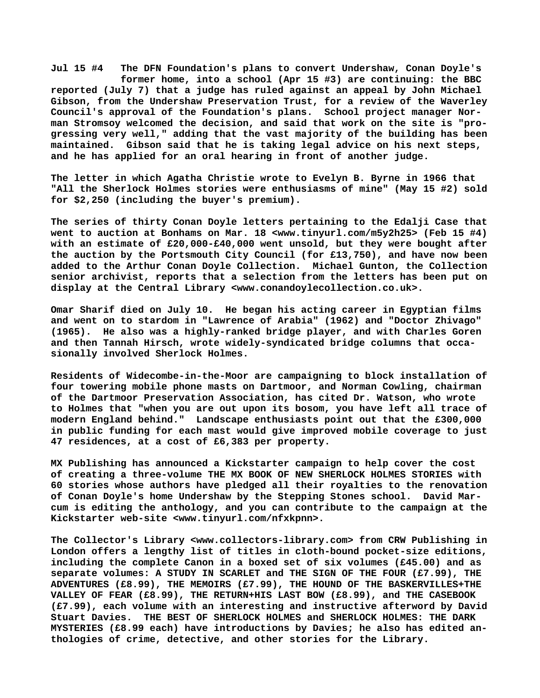**Jul 15 #4 The DFN Foundation's plans to convert Undershaw, Conan Doyle's former home, into a school (Apr 15 #3) are continuing: the BBC reported (July 7) that a judge has ruled against an appeal by John Michael Gibson, from the Undershaw Preservation Trust, for a review of the Waverley Council's approval of the Foundation's plans. School project manager Norman Stromsoy welcomed the decision, and said that work on the site is "progressing very well," adding that the vast majority of the building has been maintained. Gibson said that he is taking legal advice on his next steps, and he has applied for an oral hearing in front of another judge.**

**The letter in which Agatha Christie wrote to Evelyn B. Byrne in 1966 that "All the Sherlock Holmes stories were enthusiasms of mine" (May 15 #2) sold for \$2,250 (including the buyer's premium).**

**The series of thirty Conan Doyle letters pertaining to the Edalji Case that went to auction at Bonhams on Mar. 18 [<www.tinyurl.com/m5y2h25> \(](http://www.tinyurl.com/m5y2h25)Feb 15 #4) with an estimate of £20,000-£40,000 went unsold, but they were bought after the auction by the Portsmouth City Council (for £13,750), and have now been added to the Arthur Conan Doyle Collection. Michael Gunton, the Collection senior archivist, reports that a selection from the letters has been put on display at the Central Library <[www.conandoylecollection.co.uk>.](http://www.conandoylecollection.co.uk)**

**Omar Sharif died on July 10. He began his acting career in Egyptian films and went on to stardom in "Lawrence of Arabia" (1962) and "Doctor Zhivago" (1965). He also was a highly-ranked bridge player, and with Charles Goren and then Tannah Hirsch, wrote widely-syndicated bridge columns that occasionally involved Sherlock Holmes.**

**Residents of Widecombe-in-the-Moor are campaigning to block installation of four towering mobile phone masts on Dartmoor, and Norman Cowling, chairman of the Dartmoor Preservation Association, has cited Dr. Watson, who wrote to Holmes that "when you are out upon its bosom, you have left all trace of modern England behind." Landscape enthusiasts point out that the £300,000 in public funding for each mast would give improved mobile coverage to just 47 residences, at a cost of £6,383 per property.**

**MX Publishing has announced a Kickstarter campaign to help cover the cost of creating a three-volume THE MX BOOK OF NEW SHERLOCK HOLMES STORIES with 60 stories whose authors have pledged all their royalties to the renovation of Conan Doyle's home Undershaw by the Stepping Stones school. David Marcum is editing the anthology, and you can contribute to the campaign at the Kickstarter web-site <[www.tinyurl.com/nfxkpnn>.](http://www.tinyurl.com/nfxkpnn)**

**The Collector's Library <[www.collectors-library.com> f](http://www.collectors-library.com)rom CRW Publishing in London offers a lengthy list of titles in cloth-bound pocket-size editions, including the complete Canon in a boxed set of six volumes (£45.00) and as separate volumes: A STUDY IN SCARLET and THE SIGN OF THE FOUR (£7.99), THE ADVENTURES (£8.99), THE MEMOIRS (£7.99), THE HOUND OF THE BASKERVILLES+THE VALLEY OF FEAR (£8.99), THE RETURN+HIS LAST BOW (£8.99), and THE CASEBOOK (£7.99), each volume with an interesting and instructive afterword by David Stuart Davies. THE BEST OF SHERLOCK HOLMES and SHERLOCK HOLMES: THE DARK MYSTERIES (£8.99 each) have introductions by Davies; he also has edited anthologies of crime, detective, and other stories for the Library.**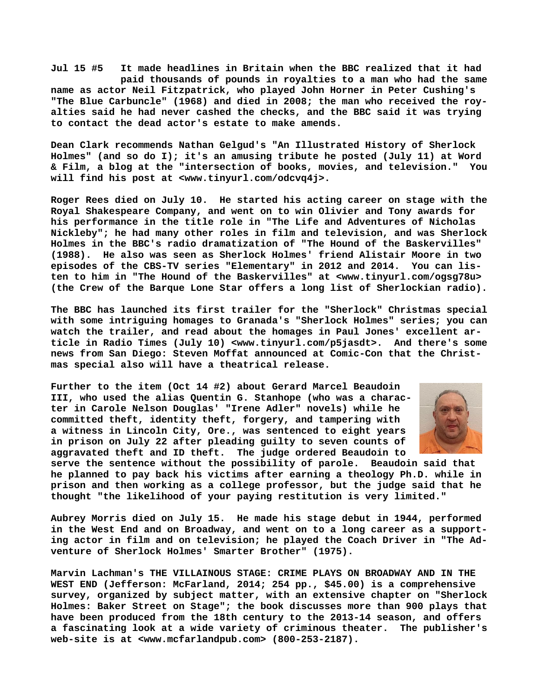**Jul 15 #5 It made headlines in Britain when the BBC realized that it had paid thousands of pounds in royalties to a man who had the same name as actor Neil Fitzpatrick, who played John Horner in Peter Cushing's "The Blue Carbuncle" (1968) and died in 2008; the man who received the royalties said he had never cashed the checks, and the BBC said it was trying to contact the dead actor's estate to make amends.**

**Dean Clark recommends Nathan Gelgud's "An Illustrated History of Sherlock Holmes" (and so do I); it's an amusing tribute he posted (July 11) at Word & Film, a blog at the "intersection of books, movies, and television." You will find his post at [<www.tinyurl.com/odcvq4j>.](http://www.tinyurl.com/odcvq4j)**

**Roger Rees died on July 10. He started his acting career on stage with the Royal Shakespeare Company, and went on to win Olivier and Tony awards for his performance in the title role in "The Life and Adventures of Nicholas Nickleby"; he had many other roles in film and television, and was Sherlock Holmes in the BBC's radio dramatization of "The Hound of the Baskervilles" (1988). He also was seen as Sherlock Holmes' friend Alistair Moore in two episodes of the CBS-TV series "Elementary" in 2012 and 2014. You can listen to him in "The Hound of the Baskervilles" at <[www.tinyurl.com/ogsg78u>](http://www.tinyurl.com/ogsg78u) (the Crew of the Barque Lone Star offers a long list of Sherlockian radio).**

**The BBC has launched its first trailer for the "Sherlock" Christmas special with some intriguing homages to Granada's "Sherlock Holmes" series; you can watch the trailer, and read about the homages in Paul Jones' excellent article in Radio Times (July 10) <[www.tinyurl.com/p5jasdt>.](http://www.tinyurl.com/p5jasdt) And there's some news from San Diego: Steven Moffat announced at Comic-Con that the Christmas special also will have a theatrical release.**

**Further to the item (Oct 14 #2) about Gerard Marcel Beaudoin III, who used the alias Quentin G. Stanhope (who was a character in Carole Nelson Douglas' "Irene Adler" novels) while he committed theft, identity theft, forgery, and tampering with a witness in Lincoln City, Ore., was sentenced to eight years in prison on July 22 after pleading guilty to seven counts of aggravated theft and ID theft. The judge ordered Beaudoin to**



**serve the sentence without the possibility of parole. Beaudoin said that he planned to pay back his victims after earning a theology Ph.D. while in prison and then working as a college professor, but the judge said that he thought "the likelihood of your paying restitution is very limited."**

**Aubrey Morris died on July 15. He made his stage debut in 1944, performed in the West End and on Broadway, and went on to a long career as a supporting actor in film and on television; he played the Coach Driver in "The Adventure of Sherlock Holmes' Smarter Brother" (1975).**

**Marvin Lachman's THE VILLAINOUS STAGE: CRIME PLAYS ON BROADWAY AND IN THE WEST END (Jefferson: McFarland, 2014; 254 pp., \$45.00) is a comprehensive survey, organized by subject matter, with an extensive chapter on "Sherlock Holmes: Baker Street on Stage"; the book discusses more than 900 plays that have been produced from the 18th century to the 2013-14 season, and offers a fascinating look at a wide variety of criminous theater. The publisher's web-site is at [<www.mcfarlandpub.com> \(](http://www.mcfarlandpub.com)800-253-2187).**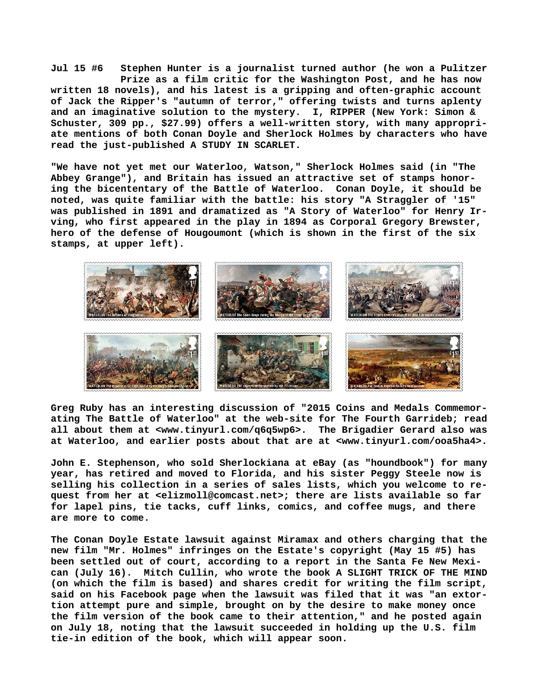**Jul 15 #6 Stephen Hunter is a journalist turned author (he won a Pulitzer Prize as a film critic for the Washington Post, and he has now written 18 novels), and his latest is a gripping and often-graphic account of Jack the Ripper's "autumn of terror," offering twists and turns aplenty and an imaginative solution to the mystery. I, RIPPER (New York: Simon & Schuster, 309 pp., \$27.99) offers a well-written story, with many appropriate mentions of both Conan Doyle and Sherlock Holmes by characters who have read the just-published A STUDY IN SCARLET.**

**"We have not yet met our Waterloo, Watson," Sherlock Holmes said (in "The Abbey Grange"), and Britain has issued an attractive set of stamps honoring the bicententary of the Battle of Waterloo. Conan Doyle, it should be noted, was quite familiar with the battle: his story "A Straggler of '15" was published in 1891 and dramatized as "A Story of Waterloo" for Henry Irving, who first appeared in the play in 1894 as Corporal Gregory Brewster, hero of the defense of Hougoumont (which is shown in the first of the six stamps, at upper left).**



**Greg Ruby has an interesting discussion of "2015 Coins and Medals Commemorating The Battle of Waterloo" at the web-site for The Fourth Garrideb; read all about them at [<www.tinyurl.com/q6q5wp6>.](http://www.tinyurl.com/q6q5wp6) The Brigadier Gerard also was at Waterloo, and earlier posts about that are at <[www.tinyurl.com/ooa5ha4>.](http://www.tinyurl.com/ooa5ha4)**

**John E. Stephenson, who sold Sherlockiana at eBay (as "houndbook") for many year, has retired and moved to Florida, and his sister Peggy Steele now is selling his collection in a series of sales lists, which you welcome to request from her at [<elizmoll@comcast.net>; t](mailto:elizmoll@comcast.net)here are lists available so far for lapel pins, tie tacks, cuff links, comics, and coffee mugs, and there are more to come.**

**The Conan Doyle Estate lawsuit against Miramax and others charging that the new film "Mr. Holmes" infringes on the Estate's copyright (May 15 #5) has been settled out of court, according to a report in the Santa Fe New Mexican (July 16). Mitch Cullin, who wrote the book A SLIGHT TRICK OF THE MIND (on which the film is based) and shares credit for writing the film script, said on his Facebook page when the lawsuit was filed that it was "an extortion attempt pure and simple, brought on by the desire to make money once the film version of the book came to their attention," and he posted again on July 18, noting that the lawsuit succeeded in holding up the U.S. film tie-in edition of the book, which will appear soon.**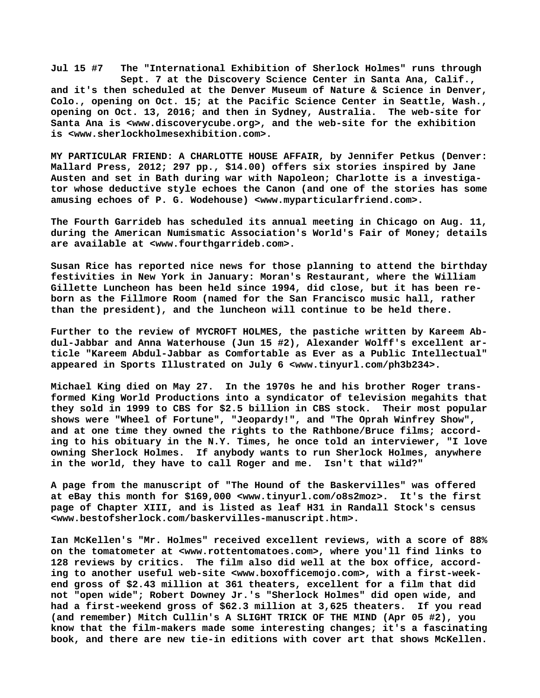**Jul 15 #7 The "International Exhibition of Sherlock Holmes" runs through Sept. 7 at the Discovery Science Center in Santa Ana, Calif., and it's then scheduled at the Denver Museum of Nature & Science in Denver, Colo., opening on Oct. 15; at the Pacific Science Center in Seattle, Wash., opening on Oct. 13, 2016; and then in Sydney, Australia. Santa Ana is [<www.discoverycube.org>, a](http://www.discoverycube.org)nd the web-site for the exhibition is [<www.sherlockholmesexhibition.com>.](http://www.sherlockholmesexhibition.com)**

**MY PARTICULAR FRIEND: A CHARLOTTE HOUSE AFFAIR, by Jennifer Petkus (Denver: Mallard Press, 2012; 297 pp., \$14.00) offers six stories inspired by Jane Austen and set in Bath during war with Napoleon; Charlotte is a investigator whose deductive style echoes the Canon (and one of the stories has some amusing echoes of P. G. Wodehouse) [<www.myparticularfriend.com>.](http://www.myparticularfriend.com)**

**The Fourth Garrideb has scheduled its annual meeting in Chicago on Aug. 11, during the American Numismatic Association's World's Fair of Money; details are available at [<www.fourthgarrideb.com>.](http://www.fourthgarrideb.com)**

**Susan Rice has reported nice news for those planning to attend the birthday festivities in New York in January: Moran's Restaurant, where the William Gillette Luncheon has been held since 1994, did close, but it has been reborn as the Fillmore Room (named for the San Francisco music hall, rather than the president), and the luncheon will continue to be held there.**

**Further to the review of MYCROFT HOLMES, the pastiche written by Kareem Abdul-Jabbar and Anna Waterhouse (Jun 15 #2), Alexander Wolff's excellent article "Kareem Abdul-Jabbar as Comfortable as Ever as a Public Intellectual" appeared in Sports Illustrated on July 6 <[www.tinyurl.com/ph3b234>.](http://www.tinyurl.com/ph3b234)**

**Michael King died on May 27. In the 1970s he and his brother Roger transformed King World Productions into a syndicator of television megahits that they sold in 1999 to CBS for \$2.5 billion in CBS stock. Their most popular shows were "Wheel of Fortune", "Jeopardy!", and "The Oprah Winfrey Show", and at one time they owned the rights to the Rathbone/Bruce films; according to his obituary in the N.Y. Times, he once told an interviewer, "I love owning Sherlock Holmes. If anybody wants to run Sherlock Holmes, anywhere in the world, they have to call Roger and me. Isn't that wild?"**

**A page from the manuscript of "The Hound of the Baskervilles" was offered at eBay this month for \$169,000 [<www.tinyurl.com/o8s2moz>.](http://www.tinyurl.com/o8s2moz) It's the first page of Chapter XIII, and is listed as leaf H31 in Randall Stock's census [<www.bestofsherlock.com/baskervilles-manuscript.htm>.](http://www.bestofsherlock.com/baskervilles-manuscript.htm)**

**Ian McKellen's "Mr. Holmes" received excellent reviews, with a score of 88% on the tomatometer at [<www.rottentomatoes.com>, w](http://www.rottentomatoes.com)here you'll find links to 128 reviews by critics. The film also did well at the box office, according to another useful web-site <[www.boxofficemojo.com>, w](http://www.boxofficemojo.com)ith a first-weekend gross of \$2.43 million at 361 theaters, excellent for a film that did not "open wide"; Robert Downey Jr.'s "Sherlock Holmes" did open wide, and had a first-weekend gross of \$62.3 million at 3,625 theaters. If you read (and remember) Mitch Cullin's A SLIGHT TRICK OF THE MIND (Apr 05 #2), you know that the film-makers made some interesting changes; it's a fascinating book, and there are new tie-in editions with cover art that shows McKellen.**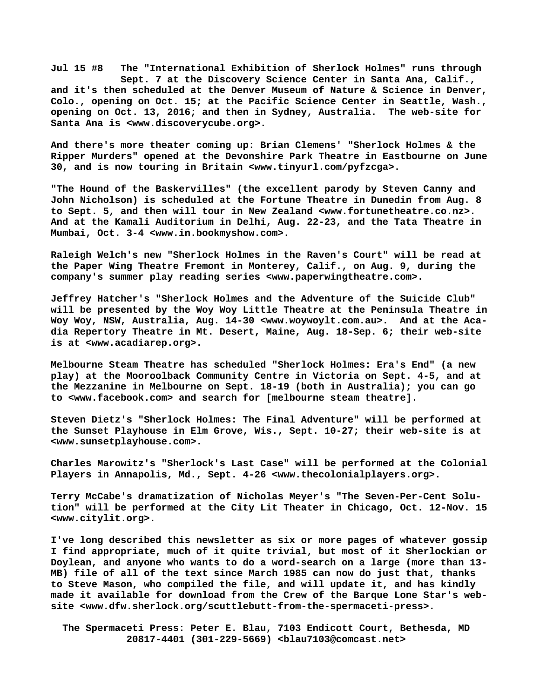**Jul 15 #8 The "International Exhibition of Sherlock Holmes" runs through Sept. 7 at the Discovery Science Center in Santa Ana, Calif., and it's then scheduled at the Denver Museum of Nature & Science in Denver, Colo., opening on Oct. 15; at the Pacific Science Center in Seattle, Wash., opening on Oct. 13, 2016; and then in Sydney, Australia. The web-site for Santa Ana is [<www.discoverycube.org>.](http://www.discoverycube.org)**

**And there's more theater coming up: Brian Clemens' "Sherlock Holmes & the Ripper Murders" opened at the Devonshire Park Theatre in Eastbourne on June 30, and is now touring in Britain <[www.tinyurl.com/pyfzcga>.](http://www.tinyurl.com/pyfzcga)**

**"The Hound of the Baskervilles" (the excellent parody by Steven Canny and John Nicholson) is scheduled at the Fortune Theatre in Dunedin from Aug. 8 to Sept. 5, and then will tour in New Zealand <[www.fortunetheatre.co.nz>.](http://www.fortunetheatre.co.nz) And at the Kamali Auditorium in Delhi, Aug. 22-23, and the Tata Theatre in Mumbai, Oct. 3-4 [<www.in.bookmyshow.com>.](http://www.in.bookmyshow.com)**

**Raleigh Welch's new "Sherlock Holmes in the Raven's Court" will be read at the Paper Wing Theatre Fremont in Monterey, Calif., on Aug. 9, during the company's summer play reading series [<www.paperwingtheatre.com>.](http://www.paperwingtheatre.com)**

**Jeffrey Hatcher's "Sherlock Holmes and the Adventure of the Suicide Club" will be presented by the Woy Woy Little Theatre at the Peninsula Theatre in Woy Woy, NSW, Australia, Aug. 14-30 <[www.woywoylt.com.au>.](http://www.woywoylt.com.au) And at the Acadia Repertory Theatre in Mt. Desert, Maine, Aug. 18-Sep. 6; their web-site is at <[www.acadiarep.org>.](http://www.acadiarep.org)**

**Melbourne Steam Theatre has scheduled "Sherlock Holmes: Era's End" (a new play) at the Mooroolback Community Centre in Victoria on Sept. 4-5, and at the Mezzanine in Melbourne on Sept. 18-19 (both in Australia); you can go to [<www.facebook.com> a](http://www.facebook.com)nd search for [melbourne steam theatre].**

**Steven Dietz's "Sherlock Holmes: The Final Adventure" will be performed at the Sunset Playhouse in Elm Grove, Wis., Sept. 10-27; their web-site is at [<www.sunsetplayhouse.com>.](http://www.sunsetplayhouse.com)**

**Charles Marowitz's "Sherlock's Last Case" will be performed at the Colonial Players in Annapolis, Md., Sept. 4-26 [<www.thecolonialplayers.org>.](http://www.thecolonialplayers.org)**

**Terry McCabe's dramatization of Nicholas Meyer's "The Seven-Per-Cent Solution" will be performed at the City Lit Theater in Chicago, Oct. 12-Nov. 15 [<www.citylit.org>.](http://www.citylit.org)**

**I've long described this newsletter as six or more pages of whatever gossip I find appropriate, much of it quite trivial, but most of it Sherlockian or Doylean, and anyone who wants to do a word-search on a large (more than 13- MB) file of all of the text since March 1985 can now do just that, thanks to Steve Mason, who compiled the file, and will update it, and has kindly made it available for download from the Crew of the Barque Lone Star's website [<www.dfw.sherlock.org/scuttlebutt-from-the-spermaceti-press>.](http://www.dfw.sherlock.org/scuttlebutt-from-the-spermaceti-press)**

 **The Spermaceti Press: Peter E. Blau, 7103 Endicott Court, Bethesda, MD 20817-4401 (301-229-5669) <[blau7103@comcast.net>](mailto:blau7103@comcast.net)**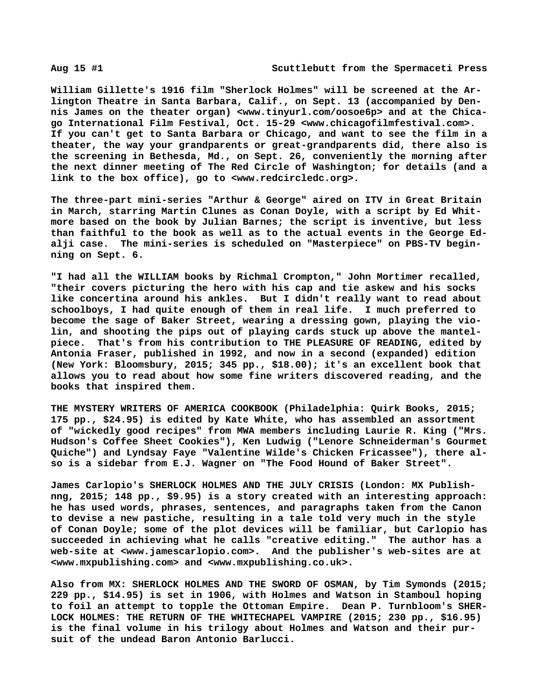**William Gillette's 1916 film "Sherlock Holmes" will be screened at the Arlington Theatre in Santa Barbara, Calif., on Sept. 13 (accompanied by Dennis James on the theater organ) [<www.tinyurl.com/oosoe6p> a](http://www.tinyurl.com/oosoe6p)nd at the Chicago International Film Festival, Oct. 15-29 [<www.chicagofilmfestival.com>.](http://www.chicagofilmfestival.com)  If you can't get to Santa Barbara or Chicago, and want to see the film in a theater, the way your grandparents or great-grandparents did, there also is the screening in Bethesda, Md., on Sept. 26, conveniently the morning after the next dinner meeting of The Red Circle of Washington; for details (and a link to the box office), go to <[www.redcircledc.org>.](http://www.redcircledc.org)**

**The three-part mini-series "Arthur & George" aired on ITV in Great Britain in March, starring Martin Clunes as Conan Doyle, with a script by Ed Whitmore based on the book by Julian Barnes; the script is inventive, but less than faithful to the book as well as to the actual events in the George Edalji case. The mini-series is scheduled on "Masterpiece" on PBS-TV beginning on Sept. 6.**

**"I had all the WILLIAM books by Richmal Crompton," John Mortimer recalled, "their covers picturing the hero with his cap and tie askew and his socks like concertina around his ankles. But I didn't really want to read about schoolboys, I had quite enough of them in real life. I much preferred to become the sage of Baker Street, wearing a dressing gown, playing the violin, and shooting the pips out of playing cards stuck up above the mantelpiece. That's from his contribution to THE PLEASURE OF READING, edited by Antonia Fraser, published in 1992, and now in a second (expanded) edition (New York: Bloomsbury, 2015; 345 pp., \$18.00); it's an excellent book that allows you to read about how some fine writers discovered reading, and the books that inspired them.**

**THE MYSTERY WRITERS OF AMERICA COOKBOOK (Philadelphia: Quirk Books, 2015; 175 pp., \$24.95) is edited by Kate White, who has assembled an assortment of "wickedly good recipes" from MWA members including Laurie R. King ("Mrs. Hudson's Coffee Sheet Cookies"), Ken Ludwig ("Lenore Schneiderman's Gourmet Quiche") and Lyndsay Faye "Valentine Wilde's Chicken Fricassee"), there also is a sidebar from E.J. Wagner on "The Food Hound of Baker Street".**

**James Carlopio's SHERLOCK HOLMES AND THE JULY CRISIS (London: MX Publishnng, 2015; 148 pp., \$9.95) is a story created with an interesting approach: he has used words, phrases, sentences, and paragraphs taken from the Canon to devise a new pastiche, resulting in a tale told very much in the style of Conan Doyle; some of the plot devices will be familiar, but Carlopio has succeeded in achieving what he calls "creative editing." The author has a web-site at [<www.jamescarlopio.com>.](http://www.jamescarlopio.com) And the publisher's web-sites are at [<www.mxpublishing.com> a](http://www.mxpublishing.com)nd [<www.mxpublishing.co.uk>.](http://www.mxpublishing.co.uk)**

**Also from MX: SHERLOCK HOLMES AND THE SWORD OF OSMAN, by Tim Symonds (2015; 229 pp., \$14.95) is set in 1906, with Holmes and Watson in Stamboul hoping to foil an attempt to topple the Ottoman Empire. Dean P. Turnbloom's SHER-LOCK HOLMES: THE RETURN OF THE WHITECHAPEL VAMPIRE (2015; 230 pp., \$16.95) is the final volume in his trilogy about Holmes and Watson and their pursuit of the undead Baron Antonio Barlucci.**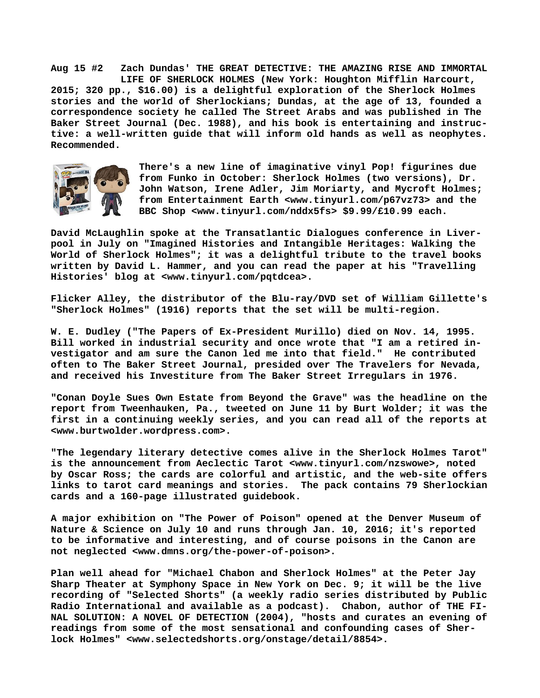**Aug 15 #2 Zach Dundas' THE GREAT DETECTIVE: THE AMAZING RISE AND IMMORTAL LIFE OF SHERLOCK HOLMES (New York: Houghton Mifflin Harcourt, 2015; 320 pp., \$16.00) is a delightful exploration of the Sherlock Holmes stories and the world of Sherlockians; Dundas, at the age of 13, founded a correspondence society he called The Street Arabs and was published in The Baker Street Journal (Dec. 1988), and his book is entertaining and instructive: a well-written guide that will inform old hands as well as neophytes. Recommended.**



**There's a new line of imaginative vinyl Pop! figurines due from Funko in October: Sherlock Holmes (two versions), Dr. John Watson, Irene Adler, Jim Moriarty, and Mycroft Holmes; from Entertainment Earth [<www.tinyurl.com/p67vz73> a](http://www.tinyurl.com/p67vz73)nd the BBC Shop <[www.tinyurl.com/nddx5fs> \\$](http://www.tinyurl.com/nddx5fs)9.99/£10.99 each.**

**David McLaughlin spoke at the Transatlantic Dialogues conference in Liverpool in July on "Imagined Histories and Intangible Heritages: Walking the World of Sherlock Holmes"; it was a delightful tribute to the travel books written by David L. Hammer, and you can read the paper at his "Travelling Histories' blog at <[www.tinyurl.com/pqtdcea>.](http://www.tinyurl.com/pqtdcea)**

**Flicker Alley, the distributor of the Blu-ray/DVD set of William Gillette's "Sherlock Holmes" (1916) reports that the set will be multi-region.**

**W. E. Dudley ("The Papers of Ex-President Murillo) died on Nov. 14, 1995. Bill worked in industrial security and once wrote that "I am a retired investigator and am sure the Canon led me into that field." He contributed often to The Baker Street Journal, presided over The Travelers for Nevada, and received his Investiture from The Baker Street Irregulars in 1976.**

**"Conan Doyle Sues Own Estate from Beyond the Grave" was the headline on the report from Tweenhauken, Pa., tweeted on June 11 by Burt Wolder; it was the first in a continuing weekly series, and you can read all of the reports at [<www.burtwolder.wordpress.com>.](http://www.burtwolder.wordpress.com)**

**"The legendary literary detective comes alive in the Sherlock Holmes Tarot" is the announcement from Aeclectic Tarot <[www.tinyurl.com/nzswowe>, n](http://www.tinyurl.com/nzswowe)oted by Oscar Ross; the cards are colorful and artistic, and the web-site offers links to tarot card meanings and stories. The pack contains 79 Sherlockian cards and a 160-page illustrated guidebook.**

**A major exhibition on "The Power of Poison" opened at the Denver Museum of Nature & Science on July 10 and runs through Jan. 10, 2016; it's reported to be informative and interesting, and of course poisons in the Canon are not neglected <[www.dmns.org/the-power-of-poison>.](http://www.dmns.org/the-power-of-poison)**

**Plan well ahead for "Michael Chabon and Sherlock Holmes" at the Peter Jay Sharp Theater at Symphony Space in New York on Dec. 9; it will be the live recording of "Selected Shorts" (a weekly radio series distributed by Public Radio International and available as a podcast). Chabon, author of THE FI-NAL SOLUTION: A NOVEL OF DETECTION (2004), "hosts and curates an evening of readings from some of the most sensational and confounding cases of Sherlock Holmes" [<www.selectedshorts.org/onstage/detail/8854>.](http://www.selectedshorts.org/onstage/detail/8854)**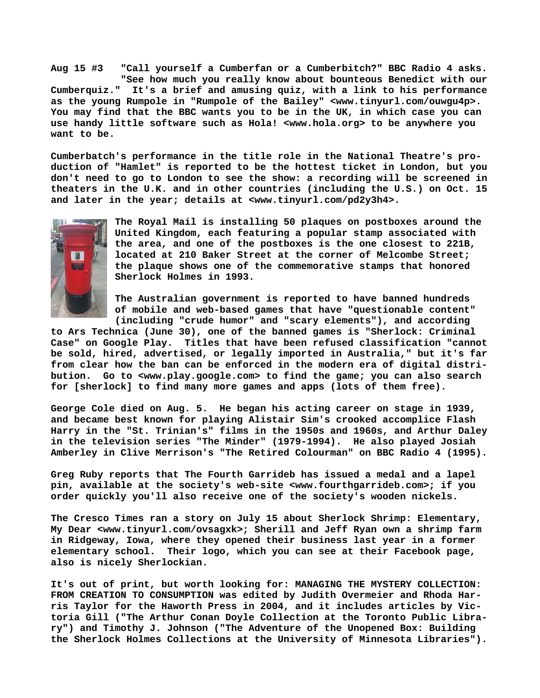**Aug 15 #3 "Call yourself a Cumberfan or a Cumberbitch?" BBC Radio 4 asks. "See how much you really know about bounteous Benedict with our Cumberquiz." It's a brief and amusing quiz, with a link to his performance as the young Rumpole in "Rumpole of the Bailey" [<www.tinyurl.com/ouwgu4p>.](http://www.tinyurl.com/ouwgu4p)  You may find that the BBC wants you to be in the UK, in which case you can use handy little software such as Hola! [<www.hola.org>](http://www.hola.org) to be anywhere you want to be.**

**Cumberbatch's performance in the title role in the National Theatre's production of "Hamlet" is reported to be the hottest ticket in London, but you don't need to go to London to see the show: a recording will be screened in theaters in the U.K. and in other countries (including the U.S.) on Oct. 15 and later in the year; details at <[www.tinyurl.com/pd2y3h4>.](http://www.tinyurl.com/pd2y3h4)**



**The Royal Mail is installing 50 plaques on postboxes around the United Kingdom, each featuring a popular stamp associated with the area, and one of the postboxes is the one closest to 221B, located at 210 Baker Street at the corner of Melcombe Street; the plaque shows one of the commemorative stamps that honored Sherlock Holmes in 1993.**

**The Australian government is reported to have banned hundreds of mobile and web-based games that have "questionable content" (including "crude humor" and "scary elements"), and according**

**to Ars Technica (June 30), one of the banned games is "Sherlock: Criminal Case" on Google Play. Titles that have been refused classification "cannot be sold, hired, advertised, or legally imported in Australia," but it's far from clear how the ban can be enforced in the modern era of digital distribution. Go to [<www.play.google.com> t](http://www.play.google.com)o find the game; you can also search for [sherlock] to find many more games and apps (lots of them free).**

**George Cole died on Aug. 5. He began his acting career on stage in 1939, and became best known for playing Alistair Sim's crooked accomplice Flash Harry in the "St. Trinian's" films in the 1950s and 1960s, and Arthur Daley in the television series "The Minder" (1979-1994). He also played Josiah Amberley in Clive Merrison's "The Retired Colourman" on BBC Radio 4 (1995).**

**Greg Ruby reports that The Fourth Garrideb has issued a medal and a lapel pin, available at the society's web-site <[www.fourthgarrideb.com>; i](http://www.fourthgarrideb.com)f you order quickly you'll also receive one of the society's wooden nickels.**

**The Cresco Times ran a story on July 15 about Sherlock Shrimp: Elementary, My Dear [<www.tinyurl.com/ovsagxk>; S](http://www.tinyurl.com/ovsagxk)herill and Jeff Ryan own a shrimp farm in Ridgeway, Iowa, where they opened their business last year in a former elementary school. Their logo, which you can see at their Facebook page, also is nicely Sherlockian.**

**It's out of print, but worth looking for: MANAGING THE MYSTERY COLLECTION: FROM CREATION TO CONSUMPTION was edited by Judith Overmeier and Rhoda Harris Taylor for the Haworth Press in 2004, and it includes articles by Victoria Gill ("The Arthur Conan Doyle Collection at the Toronto Public Library") and Timothy J. Johnson ("The Adventure of the Unopened Box: Building the Sherlock Holmes Collections at the University of Minnesota Libraries").**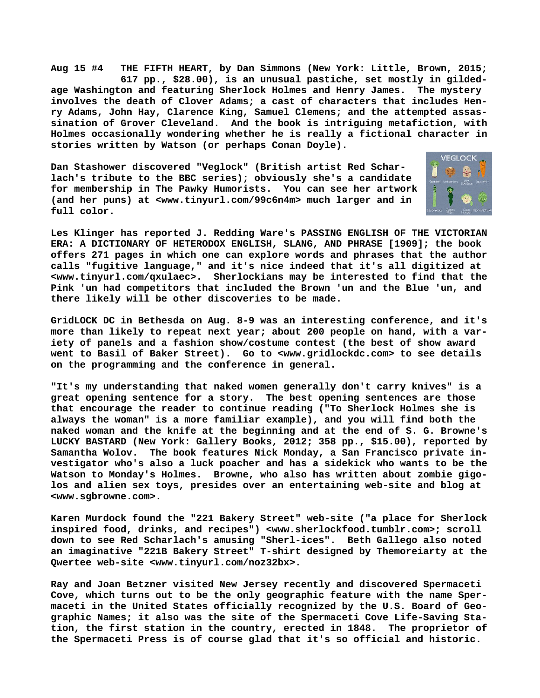**Aug 15 #4 THE FIFTH HEART, by Dan Simmons (New York: Little, Brown, 2015; 617 pp., \$28.00), is an unusual pastiche, set mostly in gildedage Washington and featuring Sherlock Holmes and Henry James. The mystery involves the death of Clover Adams; a cast of characters that includes Henry Adams, John Hay, Clarence King, Samuel Clemens; and the attempted assassination of Grover Cleveland. And the book is intriguing metafiction, with Holmes occasionally wondering whether he is really a fictional character in stories written by Watson (or perhaps Conan Doyle).**

**Dan Stashower discovered "Veglock" (British artist Red Scharlach's tribute to the BBC series); obviously she's a candidate for membership in The Pawky Humorists. You can see her artwork (and her puns) at [<www.tinyurl.com/99c6n4m> m](http://www.tinyurl.com/99c6n4m)uch larger and in full color.**



**Les Klinger has reported J. Redding Ware's PASSING ENGLISH OF THE VICTORIAN ERA: A DICTIONARY OF HETERODOX ENGLISH, SLANG, AND PHRASE [1909]; the book offers 271 pages in which one can explore words and phrases that the author calls "fugitive language," and it's nice indeed that it's all digitized at [<www.tinyurl.com/qxulaec>.](http://www.tinyurl.com/qxulaec) Sherlockians may be interested to find that the Pink 'un had competitors that included the Brown 'un and the Blue 'un, and there likely will be other discoveries to be made.**

**GridLOCK DC in Bethesda on Aug. 8-9 was an interesting conference, and it's more than likely to repeat next year; about 200 people on hand, with a variety of panels and a fashion show/costume contest (the best of show award went to Basil of Baker Street). Go to <[www.gridlockdc.com> t](http://www.gridlockdc.com)o see details on the programming and the conference in general.**

**"It's my understanding that naked women generally don't carry knives" is a great opening sentence for a story. The best opening sentences are those that encourage the reader to continue reading ("To Sherlock Holmes she is always the woman" is a more familiar example), and you will find both the naked woman and the knife at the beginning and at the end of S. G. Browne's LUCKY BASTARD (New York: Gallery Books, 2012; 358 pp., \$15.00), reported by Samantha Wolov. The book features Nick Monday, a San Francisco private investigator who's also a luck poacher and has a sidekick who wants to be the Watson to Monday's Holmes. Browne, who also has written about zombie gigolos and alien sex toys, presides over an entertaining web-site and blog at [<www.sgbrowne.com>.](http://www.sgbrowne.com)**

**Karen Murdock found the "221 Bakery Street" web-site ("a place for Sherlock inspired food, drinks, and recipes") [<www.sherlockfood.tumblr.com>; s](http://www.sherlockfood.tumblr.com)croll down to see Red Scharlach's amusing "Sherl-ices". Beth Gallego also noted an imaginative "221B Bakery Street" T-shirt designed by Themoreiarty at the Qwertee web-site [<www.tinyurl.com/noz32bx>.](http://www.tinyurl.com/noz32bx)**

**Ray and Joan Betzner visited New Jersey recently and discovered Spermaceti Cove, which turns out to be the only geographic feature with the name Spermaceti in the United States officially recognized by the U.S. Board of Geographic Names; it also was the site of the Spermaceti Cove Life-Saving Station, the first station in the country, erected in 1848. The proprietor of the Spermaceti Press is of course glad that it's so official and historic.**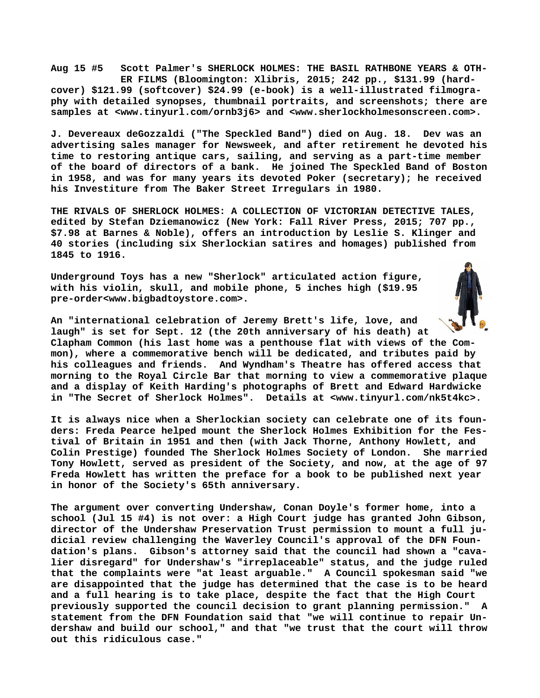**Aug 15 #5 Scott Palmer's SHERLOCK HOLMES: THE BASIL RATHBONE YEARS & OTH- ER FILMS (Bloomington: Xlibris, 2015; 242 pp., \$131.99 (hardcover) \$121.99 (softcover) \$24.99 (e-book) is a well-illustrated filmography with detailed synopses, thumbnail portraits, and screenshots; there are samples at <[www.tinyurl.com/ornb3j6> a](http://www.tinyurl.com/ornb3j6)nd <[www.sherlockholmesonscreen.com>.](http://www.sherlockholmesonscreen.com)**

**J. Devereaux deGozzaldi ("The Speckled Band") died on Aug. 18. Dev was an advertising sales manager for Newsweek, and after retirement he devoted his time to restoring antique cars, sailing, and serving as a part-time member of the board of directors of a bank. He joined The Speckled Band of Boston in 1958, and was for many years its devoted Poker (secretary); he received his Investiture from The Baker Street Irregulars in 1980.**

**THE RIVALS OF SHERLOCK HOLMES: A COLLECTION OF VICTORIAN DETECTIVE TALES, edited by Stefan Dziemanowicz (New York: Fall River Press, 2015; 707 pp., \$7.98 at Barnes & Noble), offers an introduction by Leslie S. Klinger and 40 stories (including six Sherlockian satires and homages) published from 1845 to 1916.**

**Underground Toys has a new "Sherlock" articulated action figure, with his violin, skull, and mobile phone, 5 inches high (\$19.95 pre-order<[www.bigbadtoystore.com>.](http://www.bigbadtoystore.com)**



**An "international celebration of Jeremy Brett's life, love, and laugh" is set for Sept. 12 (the 20th anniversary of his death) at Clapham Common (his last home was a penthouse flat with views of the Common), where a commemorative bench will be dedicated, and tributes paid by his colleagues and friends. And Wyndham's Theatre has offered access that morning to the Royal Circle Bar that morning to view a commemorative plaque and a display of Keith Harding's photographs of Brett and Edward Hardwicke in "The Secret of Sherlock Holmes". Details at [<www.tinyurl.com/nk5t4kc>.](http://www.tinyurl.com/nk5t4kc)**

**It is always nice when a Sherlockian society can celebrate one of its founders: Freda Pearce helped mount the Sherlock Holmes Exhibition for the Festival of Britain in 1951 and then (with Jack Thorne, Anthony Howlett, and Colin Prestige) founded The Sherlock Holmes Society of London. She married Tony Howlett, served as president of the Society, and now, at the age of 97 Freda Howlett has written the preface for a book to be published next year in honor of the Society's 65th anniversary.**

**The argument over converting Undershaw, Conan Doyle's former home, into a school (Jul 15 #4) is not over: a High Court judge has granted John Gibson, director of the Undershaw Preservation Trust permission to mount a full judicial review challenging the Waverley Council's approval of the DFN Foundation's plans. Gibson's attorney said that the council had shown a "cavalier disregard" for Undershaw's "irreplaceable" status, and the judge ruled that the complaints were "at least arguable." A Council spokesman said "we are disappointed that the judge has determined that the case is to be heard and a full hearing is to take place, despite the fact that the High Court previously supported the council decision to grant planning permission." A statement from the DFN Foundation said that "we will continue to repair Undershaw and build our school," and that "we trust that the court will throw out this ridiculous case."**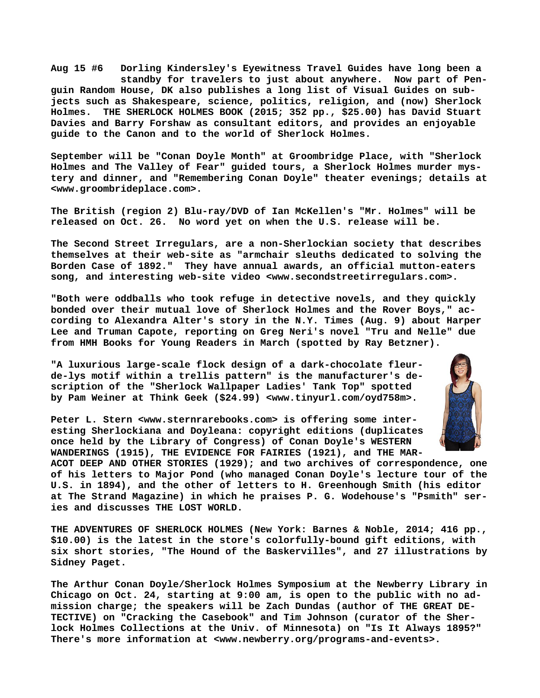**Aug 15 #6 Dorling Kindersley's Eyewitness Travel Guides have long been a standby for travelers to just about anywhere. Now part of Penguin Random House, DK also publishes a long list of Visual Guides on subjects such as Shakespeare, science, politics, religion, and (now) Sherlock Holmes. THE SHERLOCK HOLMES BOOK (2015; 352 pp., \$25.00) has David Stuart Davies and Barry Forshaw as consultant editors, and provides an enjoyable guide to the Canon and to the world of Sherlock Holmes.**

**September will be "Conan Doyle Month" at Groombridge Place, with "Sherlock Holmes and The Valley of Fear" guided tours, a Sherlock Holmes murder mystery and dinner, and "Remembering Conan Doyle" theater evenings; details at [<www.groombrideplace.com>.](http://www.groombrideplace.com)**

**The British (region 2) Blu-ray/DVD of Ian McKellen's "Mr. Holmes" will be released on Oct. 26. No word yet on when the U.S. release will be.**

**The Second Street Irregulars, are a non-Sherlockian society that describes themselves at their web-site as "armchair sleuths dedicated to solving the Borden Case of 1892." They have annual awards, an official mutton-eaters song, and interesting web-site video [<www.secondstreetirregulars.com>.](http://www.secondstreetirregulars.com)**

**"Both were oddballs who took refuge in detective novels, and they quickly bonded over their mutual love of Sherlock Holmes and the Rover Boys," according to Alexandra Alter's story in the N.Y. Times (Aug. 9) about Harper Lee and Truman Capote, reporting on Greg Neri's novel "Tru and Nelle" due from HMH Books for Young Readers in March (spotted by Ray Betzner).**

**"A luxurious large-scale flock design of a dark-chocolate fleurde-lys motif within a trellis pattern" is the manufacturer's description of the "Sherlock Wallpaper Ladies' Tank Top" spotted by Pam Weiner at Think Geek (\$24.99) [<www.tinyurl.com/oyd758m>.](http://www.tinyurl.com/oyd758m)**

**Peter L. Stern [<www.sternrarebooks.com> i](http://www.sternrarebooks.com)s offering some interesting Sherlockiana and Doyleana: copyright editions (duplicates once held by the Library of Congress) of Conan Doyle's WESTERN WANDERINGS (1915), THE EVIDENCE FOR FAIRIES (1921), and THE MAR-**



**ACOT DEEP AND OTHER STORIES (1929); and two archives of correspondence, one of his letters to Major Pond (who managed Conan Doyle's lecture tour of the U.S. in 1894), and the other of letters to H. Greenhough Smith (his editor at The Strand Magazine) in which he praises P. G. Wodehouse's "Psmith" series and discusses THE LOST WORLD.**

**THE ADVENTURES OF SHERLOCK HOLMES (New York: Barnes & Noble, 2014; 416 pp., \$10.00) is the latest in the store's colorfully-bound gift editions, with six short stories, "The Hound of the Baskervilles", and 27 illustrations by Sidney Paget.**

**The Arthur Conan Doyle/Sherlock Holmes Symposium at the Newberry Library in Chicago on Oct. 24, starting at 9:00 am, is open to the public with no admission charge; the speakers will be Zach Dundas (author of THE GREAT DE-TECTIVE) on "Cracking the Casebook" and Tim Johnson (curator of the Sherlock Holmes Collections at the Univ. of Minnesota) on "Is It Always 1895?" There's more information at [<www.newberry.org/programs-and-events>.](http://www.newberry.org/programs-and-events)**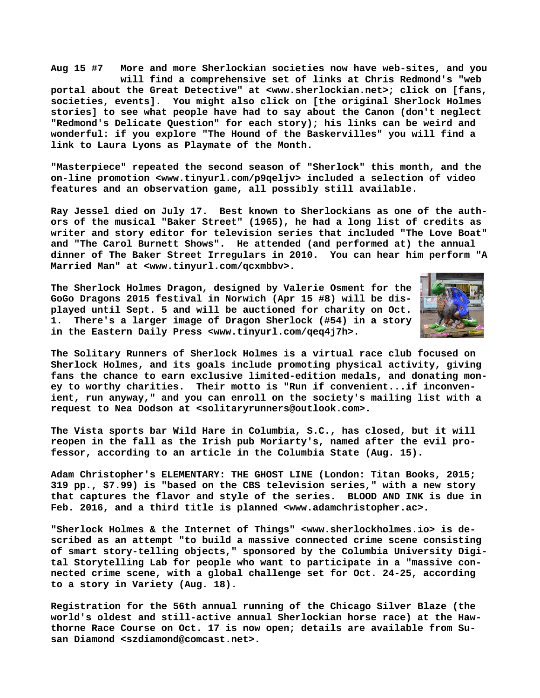**Aug 15 #7 More and more Sherlockian societies now have web-sites, and you will find a comprehensive set of links at Chris Redmond's "web portal about the Great Detective" at [<www.sherlockian.net>; c](http://www.sherlockian.net)lick on [fans, societies, events]. You might also click on [the original Sherlock Holmes stories] to see what people have had to say about the Canon (don't neglect "Redmond's Delicate Question" for each story); his links can be weird and wonderful: if you explore "The Hound of the Baskervilles" you will find a link to Laura Lyons as Playmate of the Month.**

**"Masterpiece" repeated the second season of "Sherlock" this month, and the on-line promotion [<www.tinyurl.com/p9qeljv> i](http://www.tinyurl.com/p9qeljv)ncluded a selection of video features and an observation game, all possibly still available.**

**Ray Jessel died on July 17. Best known to Sherlockians as one of the authors of the musical "Baker Street" (1965), he had a long list of credits as writer and story editor for television series that included "The Love Boat" and "The Carol Burnett Shows". He attended (and performed at) the annual dinner of The Baker Street Irregulars in 2010. You can hear him perform "A Married Man" at <[www.tinyurl.com/qcxmbbv>.](http://www.tinyurl.com/qcxmbbv)**

**The Sherlock Holmes Dragon, designed by Valerie Osment for the GoGo Dragons 2015 festival in Norwich (Apr 15 #8) will be displayed until Sept. 5 and will be auctioned for charity on Oct. 1. There's a larger image of Dragon Sherlock (#54) in a story in the Eastern Daily Press [<www.tinyurl.com/qeq4j7h>.](http://www.tinyurl.com/qeq4j7h)**



**The Solitary Runners of Sherlock Holmes is a virtual race club focused on Sherlock Holmes, and its goals include promoting physical activity, giving fans the chance to earn exclusive limited-edition medals, and donating money to worthy charities. Their motto is "Run if convenient...if inconvenient, run anyway," and you can enroll on the society's mailing list with a request to Nea Dodson at [<solitaryrunners@outlook.com>.](mailto:solitaryrunners@outlook.com)**

**The Vista sports bar Wild Hare in Columbia, S.C., has closed, but it will reopen in the fall as the Irish pub Moriarty's, named after the evil professor, according to an article in the Columbia State (Aug. 15).**

**Adam Christopher's ELEMENTARY: THE GHOST LINE (London: Titan Books, 2015; 319 pp., \$7.99) is "based on the CBS television series," with a new story that captures the flavor and style of the series. BLOOD AND INK is due in Feb. 2016, and a third title is planned [<www.adamchristopher.ac>.](http://www.adamchristopher.ac)**

**"Sherlock Holmes & the Internet of Things" [<www.sherlockholmes.io> i](http://www.sherlockholmes.io)s described as an attempt "to build a massive connected crime scene consisting of smart story-telling objects," sponsored by the Columbia University Digital Storytelling Lab for people who want to participate in a "massive connected crime scene, with a global challenge set for Oct. 24-25, according to a story in Variety (Aug. 18).**

**Registration for the 56th annual running of the Chicago Silver Blaze (the world's oldest and still-active annual Sherlockian horse race) at the Hawthorne Race Course on Oct. 17 is now open; details are available from Susan Diamond [<szdiamond@comcast.net>.](mailto:szdiamond@comcast.net)**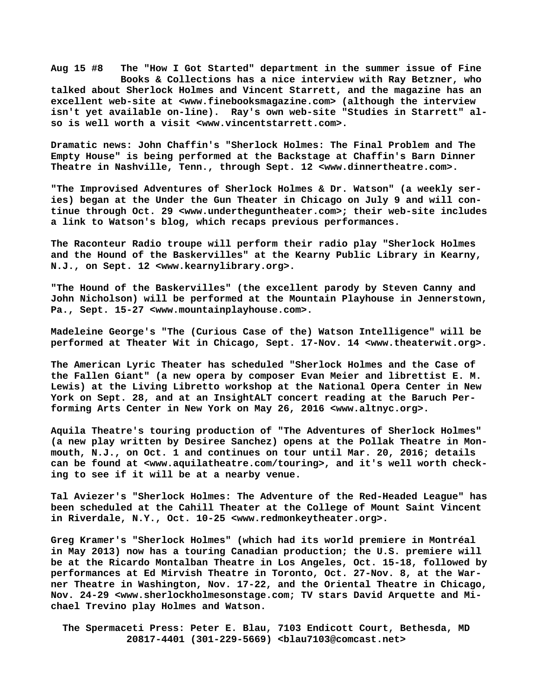**Aug 15 #8 The "How I Got Started" department in the summer issue of Fine Books & Collections has a nice interview with Ray Betzner, who talked about Sherlock Holmes and Vincent Starrett, and the magazine has an excellent web-site at [<www.finebooksmagazine.com> \(](http://www.finebooksmagazine.com)although the interview isn't yet available on-line). Ray's own web-site "Studies in Starrett" also is well worth a visit [<www.vincentstarrett.com>.](http://www.vincentstarrett.com)**

**Dramatic [news: John C](news:John)haffin's "Sherlock Holmes: The Final Problem and The Empty House" is being performed at the Backstage at Chaffin's Barn Dinner Theatre in Nashville, Tenn., through Sept. 12 <[www.dinnertheatre.com>.](http://www.dinnertheatre.com)**

**"The Improvised Adventures of Sherlock Holmes & Dr. Watson" (a weekly series) began at the Under the Gun Theater in Chicago on July 9 and will continue through Oct. 29 [<www.undertheguntheater.com>; t](http://www.undertheguntheater.com)heir web-site includes a link to Watson's blog, which recaps previous performances.**

**The Raconteur Radio troupe will perform their radio play "Sherlock Holmes and the Hound of the Baskervilles" at the Kearny Public Library in Kearny, N.J., on Sept. 12 [<www.kearnylibrary.org>.](http://www.kearnylibrary.org)**

**"The Hound of the Baskervilles" (the excellent parody by Steven Canny and John Nicholson) will be performed at the Mountain Playhouse in Jennerstown, Pa., Sept. 15-27 [<www.mountainplayhouse.com>.](http://www.mountainplayhouse.com)**

**Madeleine George's "The (Curious Case of the) Watson Intelligence" will be performed at Theater Wit in Chicago, Sept. 17-Nov. 14 <[www.theaterwit.org>.](http://www.theaterwit.org)**

**The American Lyric Theater has scheduled "Sherlock Holmes and the Case of the Fallen Giant" (a new opera by composer Evan Meier and librettist E. M. Lewis) at the Living Libretto workshop at the National Opera Center in New York on Sept. 28, and at an InsightALT concert reading at the Baruch Performing Arts Center in New York on May 26, 2016 [<www.altnyc.org>.](http://www.altnyc.org)**

**Aquila Theatre's touring production of "The Adventures of Sherlock Holmes" (a new play written by Desiree Sanchez) opens at the Pollak Theatre in Monmouth, N.J., on Oct. 1 and continues on tour until Mar. 20, 2016; details can be found at <[www.aquilatheatre.com/touring>, a](http://www.aquilatheatre.com/touring)nd it's well worth checking to see if it will be at a nearby venue.**

**Tal Aviezer's "Sherlock Holmes: The Adventure of the Red-Headed League" has been scheduled at the Cahill Theater at the College of Mount Saint Vincent in Riverdale, N.Y., Oct. 10-25 <[www.redmonkeytheater.org>.](http://www.redmonkeytheater.org)**

**Greg Kramer's "Sherlock Holmes" (which had its world premiere in Montréal in May 2013) now has a touring Canadian production; the U.S. premiere will be at the Ricardo Montalban Theatre in Los Angeles, Oct. 15-18, followed by performances at Ed Mirvish Theatre in Toronto, Oct. 27-Nov. 8, at the Warner Theatre in Washington, Nov. 17-22, and the Oriental Theatre in Chicago, Nov. 24-29 <[www.sherlockholmesonstage.com; T](http://www.sherlockholmesonstage.com)V stars David Arquette and Michael Trevino play Holmes and Watson.**

 **The Spermaceti Press: Peter E. Blau, 7103 Endicott Court, Bethesda, MD 20817-4401 (301-229-5669) <[blau7103@comcast.net>](mailto:blau7103@comcast.net)**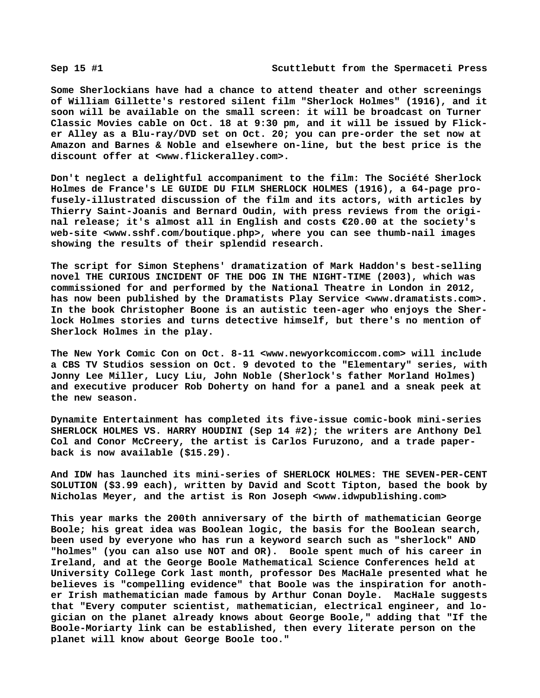**Some Sherlockians have had a chance to attend theater and other screenings of William Gillette's restored silent film "Sherlock Holmes" (1916), and it soon will be available on the small screen: it will be broadcast on Turner Classic Movies cable on Oct. 18 at 9:30 pm, and it will be issued by Flicker Alley as a Blu-ray/DVD set on Oct. 20; you can pre-order the set now at Amazon and Barnes & Noble and elsewhere on-line, but the best price is the discount offer at [<www.flickeralley.com>.](http://www.flickeralley.com)**

**Don't neglect a delightful accompaniment to the film: The Société Sherlock Holmes de France's LE GUIDE DU FILM SHERLOCK HOLMES (1916), a 64-page profusely-illustrated discussion of the film and its actors, with articles by Thierry Saint-Joanis and Bernard Oudin, with press reviews from the original release; it's almost all in English and costs €20.00 at the society's web-site <[www.sshf.com/boutique.php>, w](http://www.sshf.com/boutique.php)here you can see thumb-nail images showing the results of their splendid research.**

**The script for Simon Stephens' dramatization of Mark Haddon's best-selling novel THE CURIOUS INCIDENT OF THE DOG IN THE NIGHT-TIME (2003), which was commissioned for and performed by the National Theatre in London in 2012, has now been published by the Dramatists Play Service <[www.dramatists.com>.](http://www.dramatists.com)  In the book Christopher Boone is an autistic teen-ager who enjoys the Sherlock Holmes stories and turns detective himself, but there's no mention of Sherlock Holmes in the play.**

**The New York Comic Con on Oct. 8-11 <[www.newyorkcomiccom.com> w](http://www.newyorkcomiccom.com)ill include a CBS TV Studios session on Oct. 9 devoted to the "Elementary" series, with Jonny Lee Miller, Lucy Liu, John Noble (Sherlock's father Morland Holmes) and executive producer Rob Doherty on hand for a panel and a sneak peek at the new season.**

**Dynamite Entertainment has completed its five-issue comic-book mini-series SHERLOCK HOLMES VS. HARRY HOUDINI (Sep 14 #2); the writers are Anthony Del Col and Conor McCreery, the artist is Carlos Furuzono, and a trade paperback is now available (\$15.29).**

**And IDW has launched its mini-series of SHERLOCK HOLMES: THE SEVEN-PER-CENT SOLUTION (\$3.99 each), written by David and Scott Tipton, based the book by Nicholas Meyer, and the artist is Ron Joseph [<www.idwpublishing.com>](http://www.idwpublishing.com)**

**This year marks the 200th anniversary of the birth of mathematician George Boole; his great idea was Boolean logic, the basis for the Boolean search, been used by everyone who has run a keyword search such as "sherlock" AND "holmes" (you can also use NOT and OR). Boole spent much of his career in Ireland, and at the George Boole Mathematical Science Conferences held at University College Cork last month, professor Des MacHale presented what he believes is "compelling evidence" that Boole was the inspiration for another Irish mathematician made famous by Arthur Conan Doyle. MacHale suggests that "Every computer scientist, mathematician, electrical engineer, and logician on the planet already knows about George Boole," adding that "If the Boole-Moriarty link can be established, then every literate person on the planet will know about George Boole too."**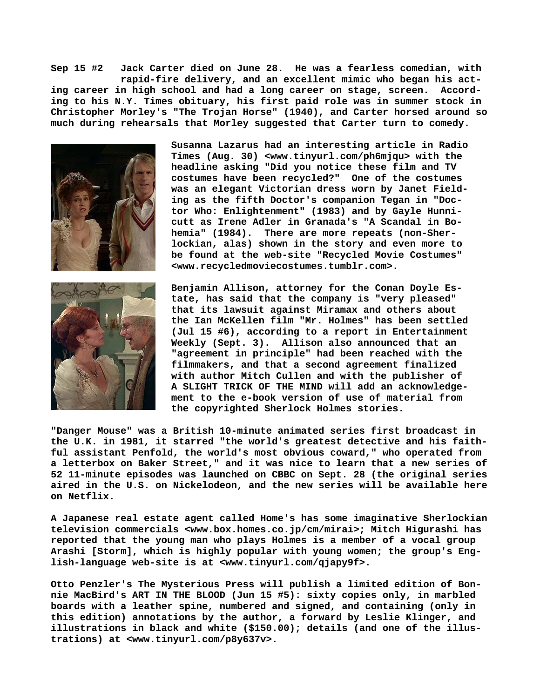**Sep 15 #2 Jack Carter died on June 28. He was a fearless comedian, with rapid-fire delivery, and an excellent mimic who began his acting career in high school and had a long career on stage, screen. According to his N.Y. Times obituary, his first paid role was in summer stock in Christopher Morley's "The Trojan Horse" (1940), and Carter horsed around so much during rehearsals that Morley suggested that Carter turn to comedy.**







**Benjamin Allison, attorney for the Conan Doyle Estate, has said that the company is "very pleased" that its lawsuit against Miramax and others about the Ian McKellen film "Mr. Holmes" has been settled (Jul 15 #6), according to a report in Entertainment Weekly (Sept. 3). Allison also announced that an "agreement in principle" had been reached with the filmmakers, and that a second agreement finalized with author Mitch Cullen and with the publisher of A SLIGHT TRICK OF THE MIND will add an acknowledgement to the e-book version of use of material from the copyrighted Sherlock Holmes stories.**

**"Danger Mouse" was a British 10-minute animated series first broadcast in the U.K. in 1981, it starred "the world's greatest detective and his faithful assistant Penfold, the world's most obvious coward," who operated from a letterbox on Baker Street," and it was nice to learn that a new series of 52 11-minute episodes was launched on CBBC on Sept. 28 (the original series aired in the U.S. on Nickelodeon, and the new series will be available here on Netflix.**

**A Japanese real estate agent called Home's has some imaginative Sherlockian television commercials [<www.box.homes.co.jp/cm/mirai>; M](http://www.box.homes.co.jp/cm/mirai)itch Higurashi has reported that the young man who plays Holmes is a member of a vocal group Arashi [Storm], which is highly popular with young women; the group's English-language web-site is at <[www.tinyurl.com/qjapy9f>.](http://www.tinyurl.com/qjapy9f)**

**Otto Penzler's The Mysterious Press will publish a limited edition of Bonnie MacBird's ART IN THE BLOOD (Jun 15 #5): sixty copies only, in marbled boards with a leather spine, numbered and signed, and containing (only in this edition) annotations by the author, a forward by Leslie Klinger, and illustrations in black and white (\$150.00); details (and one of the illustrations) at [<www.tinyurl.com/p8y637v>.](http://www.tinyurl.com/p8y637v)**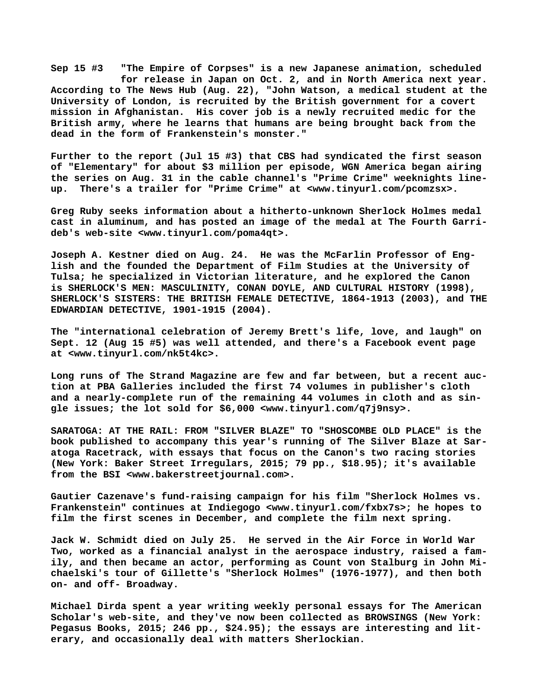**Sep 15 #3 "The Empire of Corpses" is a new Japanese animation, scheduled for release in Japan on Oct. 2, and in North America next year. According to The News Hub (Aug. 22), "John Watson, a medical student at the University of London, is recruited by the British government for a covert mission in Afghanistan. His cover job is a newly recruited medic for the British army, where he learns that humans are being brought back from the dead in the form of Frankenstein's monster."**

**Further to the report (Jul 15 #3) that CBS had syndicated the first season of "Elementary" for about \$3 million per episode, WGN America began airing the series on Aug. 31 in the cable channel's "Prime Crime" weeknights lineup. There's a trailer for "Prime Crime" at <[www.tinyurl.com/pcomzsx>.](http://www.tinyurl.com/pcomzsx)**

**Greg Ruby seeks information about a hitherto-unknown Sherlock Holmes medal cast in aluminum, and has posted an image of the medal at The Fourth Garrideb's web-site [<www.tinyurl.com/poma4qt>.](http://www.tinyurl.com/poma4qt)**

**Joseph A. Kestner died on Aug. 24. He was the McFarlin Professor of English and the founded the Department of Film Studies at the University of Tulsa; he specialized in Victorian literature, and he explored the Canon is SHERLOCK'S MEN: MASCULINITY, CONAN DOYLE, AND CULTURAL HISTORY (1998), SHERLOCK'S SISTERS: THE BRITISH FEMALE DETECTIVE, 1864-1913 (2003), and THE EDWARDIAN DETECTIVE, 1901-1915 (2004).**

**The "international celebration of Jeremy Brett's life, love, and laugh" on Sept. 12 (Aug 15 #5) was well attended, and there's a Facebook event page at [<www.tinyurl.com/nk5t4kc>.](http://www.tinyurl.com/nk5t4kc)**

**Long runs of The Strand Magazine are few and far between, but a recent auction at PBA Galleries included the first 74 volumes in publisher's cloth and a nearly-complete run of the remaining 44 volumes in cloth and as single issues; the lot sold for \$6,000 <[www.tinyurl.com/q7j9nsy>.](http://www.tinyurl.com/q7j9nsy)**

**SARATOGA: AT THE RAIL: FROM "SILVER BLAZE" TO "SHOSCOMBE OLD PLACE" is the book published to accompany this year's running of The Silver Blaze at Saratoga Racetrack, with essays that focus on the Canon's two racing stories (New York: Baker Street Irregulars, 2015; 79 pp., \$18.95); it's available from the BSI [<www.bakerstreetjournal.com>.](http://www.bakerstreetjournal.com)**

**Gautier Cazenave's fund-raising campaign for his film "Sherlock Holmes vs. Frankenstein" continues at Indiegogo [<www.tinyurl.com/fxbx7s>; h](http://www.tinyurl.com/fxbx7s)e hopes to film the first scenes in December, and complete the film next spring.**

**Jack W. Schmidt died on July 25. He served in the Air Force in World War Two, worked as a financial analyst in the aerospace industry, raised a family, and then became an actor, performing as Count von Stalburg in John Michaelski's tour of Gillette's "Sherlock Holmes" (1976-1977), and then both on- and off- Broadway.**

**Michael Dirda spent a year writing weekly personal essays for The American Scholar's web-site, and they've now been collected as BROWSINGS (New York: Pegasus Books, 2015; 246 pp., \$24.95); the essays are interesting and literary, and occasionally deal with matters Sherlockian.**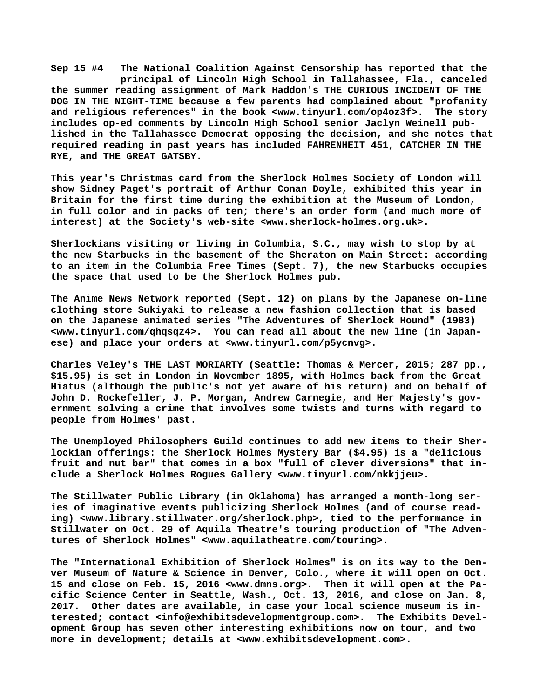**Sep 15 #4 The National Coalition Against Censorship has reported that the principal of Lincoln High School in Tallahassee, Fla., canceled the summer reading assignment of Mark Haddon's THE CURIOUS INCIDENT OF THE DOG IN THE NIGHT-TIME because a few parents had complained about "profanity and religious references" in the book [<www.tinyurl.com/op4oz3f>.](http://www.tinyurl.com/op4oz3f) The story includes op-ed comments by Lincoln High School senior Jaclyn Weinell published in the Tallahassee Democrat opposing the decision, and she notes that required reading in past years has included FAHRENHEIT 451, CATCHER IN THE RYE, and THE GREAT GATSBY.**

**This year's Christmas card from the Sherlock Holmes Society of London will show Sidney Paget's portrait of Arthur Conan Doyle, exhibited this year in Britain for the first time during the exhibition at the Museum of London, in full color and in packs of ten; there's an order form (and much more of interest) at the Society's web-site <[www.sherlock-holmes.org.uk>.](http://www.sherlock-holmes.org.uk)**

**Sherlockians visiting or living in Columbia, S.C., may wish to stop by at the new Starbucks in the basement of the Sheraton on Main Street: according to an item in the Columbia Free Times (Sept. 7), the new Starbucks occupies the space that used to be the Sherlock Holmes pub.**

**The Anime News Network reported (Sept. 12) on plans by the Japanese on-line clothing store Sukiyaki to release a new fashion collection that is based on the Japanese animated series "The Adventures of Sherlock Hound" (1983) [<www.tinyurl.com/qhqsqz4>.](http://www.tinyurl.com/qhqsqz4) You can read all about the new line (in Japanese) and place your orders at [<www.tinyurl.com/p5ycnvg>.](http://www.tinyurl.com/p5ycnvg)**

**Charles Veley's THE LAST MORIARTY (Seattle: Thomas & Mercer, 2015; 287 pp., \$15.95) is set in London in November 1895, with Holmes back from the Great Hiatus (although the public's not yet aware of his return) and on behalf of John D. Rockefeller, J. P. Morgan, Andrew Carnegie, and Her Majesty's government solving a crime that involves some twists and turns with regard to people from Holmes' past.**

**The Unemployed Philosophers Guild continues to add new items to their Sherlockian offerings: the Sherlock Holmes Mystery Bar (\$4.95) is a "delicious fruit and nut bar" that comes in a box "full of clever diversions" that include a Sherlock Holmes Rogues Gallery <[www.tinyurl.com/nkkjjeu>.](http://www.tinyurl.com/nkkjjeu)**

**The Stillwater Public Library (in Oklahoma) has arranged a month-long series of imaginative events publicizing Sherlock Holmes (and of course reading) [<www.library.stillwater.org/sherlock.php>, t](http://www.library.stillwater.org/sherlock.php)ied to the performance in Stillwater on Oct. 29 of Aquila Theatre's touring production of "The Adventures of Sherlock Holmes" <[www.aquilatheatre.com/touring>.](http://www.aquilatheatre.com/touring)**

**The "International Exhibition of Sherlock Holmes" is on its way to the Denver Museum of Nature & Science in Denver, Colo., where it will open on Oct. 15 and close on Feb. 15, 2016 [<www.dmns.org>.](http://www.dmns.org) Then it will open at the Pacific Science Center in Seattle, Wash., Oct. 13, 2016, and close on Jan. 8, 2017. Other dates are available, in case your local science museum is interested; contact [<info@exhibitsdevelopmentgroup.com>.](mailto:info@exhibitsdevelopmentgroup.com) The Exhibits Development Group has seven other interesting exhibitions now on tour, and two more in development; details at [<www.exhibitsdevelopment.com>.](http://www.exhibitsdevelopment.com)**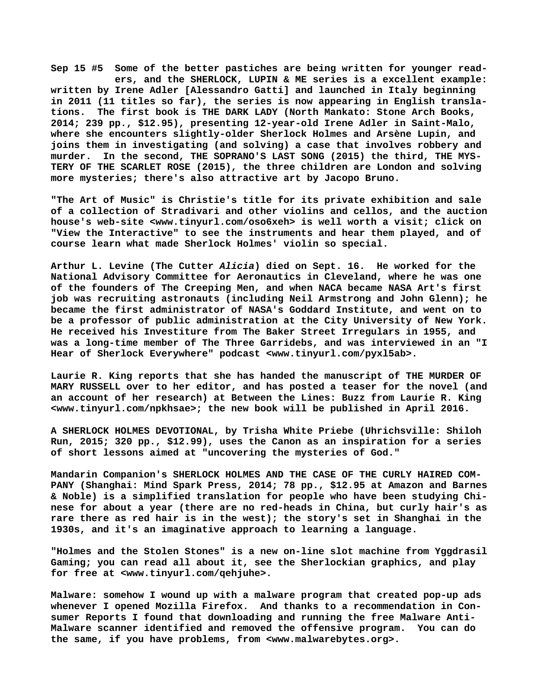**Sep 15 #5 Some of the better pastiches are being written for younger read ers, and the SHERLOCK, LUPIN & ME series is a excellent example: written by Irene Adler [Alessandro Gatti] and launched in Italy beginning in 2011 (11 titles so far), the series is now appearing in English translations. The first book is THE DARK LADY (North Mankato: Stone Arch Books, 2014; 239 pp., \$12.95), presenting 12-year-old Irene Adler in Saint-Malo, where she encounters slightly-older Sherlock Holmes and Arsène Lupin, and joins them in investigating (and solving) a case that involves robbery and murder. In the second, THE SOPRANO'S LAST SONG (2015) the third, THE MYS-TERY OF THE SCARLET ROSE (2015), the three children are London and solving more mysteries; there's also attractive art by Jacopo Bruno.**

**"The Art of Music" is Christie's title for its private exhibition and sale of a collection of Stradivari and other violins and cellos, and the auction house's web-site [<www.tinyurl.com/oso6xeh> i](http://www.tinyurl.com/oso6xeh)s well worth a visit; click on "View the Interactive" to see the instruments and hear them played, and of course learn what made Sherlock Holmes' violin so special.**

**Arthur L. Levine (The Cutter** *Alicia***) died on Sept. 16. He worked for the National Advisory Committee for Aeronautics in Cleveland, where he was one of the founders of The Creeping Men, and when NACA became NASA Art's first job was recruiting astronauts (including Neil Armstrong and John Glenn); he became the first administrator of NASA's Goddard Institute, and went on to be a professor of public administration at the City University of New York. He received his Investiture from The Baker Street Irregulars in 1955, and was a long-time member of The Three Garridebs, and was interviewed in an "I Hear of Sherlock Everywhere" podcast [<www.tinyurl.com/pyxl5ab>.](http://www.tinyurl.com/pyxl5ab)**

**Laurie R. King reports that she has handed the manuscript of THE MURDER OF MARY RUSSELL over to her editor, and has posted a teaser for the novel (and an account of her research) at Between the Lines: Buzz from Laurie R. King [<www.tinyurl.com/npkhsae>; t](http://www.tinyurl.com/npkhsae)he new book will be published in April 2016.**

**A SHERLOCK HOLMES DEVOTIONAL, by Trisha White Priebe (Uhrichsville: Shiloh Run, 2015; 320 pp., \$12.99), uses the Canon as an inspiration for a series of short lessons aimed at "uncovering the mysteries of God."**

**Mandarin Companion's SHERLOCK HOLMES AND THE CASE OF THE CURLY HAIRED COM-PANY (Shanghai: Mind Spark Press, 2014; 78 pp., \$12.95 at Amazon and Barnes & Noble) is a simplified translation for people who have been studying Chinese for about a year (there are no red-heads in China, but curly hair's as rare there as red hair is in the west); the story's set in Shanghai in the 1930s, and it's an imaginative approach to learning a language.**

**"Holmes and the Stolen Stones" is a new on-line slot machine from Yggdrasil Gaming; you can read all about it, see the Sherlockian graphics, and play for free at [<www.tinyurl.com/qehjuhe>.](http://www.tinyurl.com/qehjuhe)**

**Malware: somehow I wound up with a malware program that created pop-up ads whenever I opened Mozilla Firefox. And thanks to a recommendation in Consumer Reports I found that downloading and running the free Malware Anti-Malware scanner identified and removed the offensive program. You can do the same, if you have problems, from [<www.malwarebytes.org>.](http://www.malwarebytes.org)**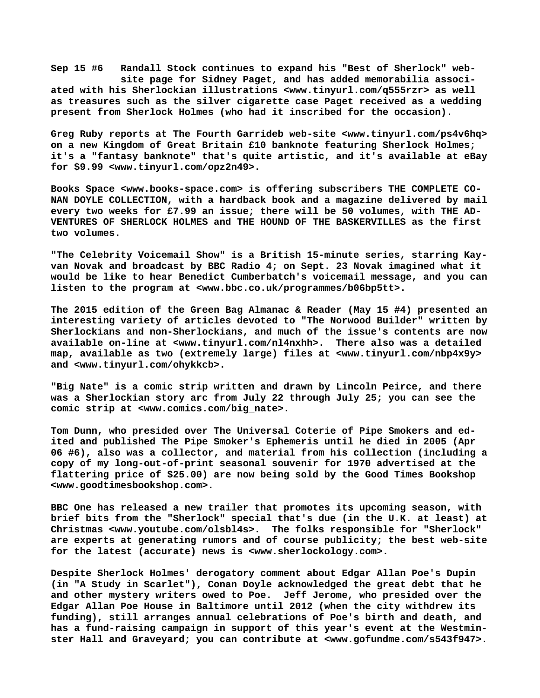**Sep 15 #6 Randall Stock continues to expand his "Best of Sherlock" web site page for Sidney Paget, and has added memorabilia associated with his Sherlockian illustrations [<www.tinyurl.com/q555rzr> a](http://www.tinyurl.com/q555rzr)s well as treasures such as the silver cigarette case Paget received as a wedding present from Sherlock Holmes (who had it inscribed for the occasion).**

**Greg Ruby reports at The Fourth Garrideb web-site [<www.tinyurl.com/ps4v6hq>](http://www.tinyurl.com/ps4v6hq) on a new Kingdom of Great Britain £10 banknote featuring Sherlock Holmes; it's a "fantasy banknote" that's quite artistic, and it's available at eBay for \$9.99 [<www.tinyurl.com/opz2n49>.](http://www.tinyurl.com/opz2n49)**

**Books Space [<www.books-space.com> i](http://www.books-space.com)s offering subscribers THE COMPLETE CO-NAN DOYLE COLLECTION, with a hardback book and a magazine delivered by mail every two weeks for £7.99 an issue; there will be 50 volumes, with THE AD-VENTURES OF SHERLOCK HOLMES and THE HOUND OF THE BASKERVILLES as the first two volumes.**

**"The Celebrity Voicemail Show" is a British 15-minute series, starring Kayvan Novak and broadcast by BBC Radio 4; on Sept. 23 Novak imagined what it would be like to hear Benedict Cumberbatch's voicemail message, and you can listen to the program at [<www.bbc.co.uk/programmes/b06bp5tt>.](http://www.bbc.co.uk/programmes/b06bp5tt)**

**The 2015 edition of the Green Bag Almanac & Reader (May 15 #4) presented an interesting variety of articles devoted to "The Norwood Builder" written by Sherlockians and non-Sherlockians, and much of the issue's contents are now available on-line at <[www.tinyurl.com/nl4nxhh>.](http://www.tinyurl.com/nl4nxhh) There also was a detailed map, available as two (extremely large) files at <[www.tinyurl.com/nbp4x9y>](http://www.tinyurl.com/nbp4x9y) and <[www.tinyurl.com/ohykkcb>.](http://www.tinyurl.com/ohykkcb)**

**"Big Nate" is a comic strip written and drawn by Lincoln Peirce, and there was a Sherlockian story arc from July 22 through July 25; you can see the comic strip at [<www.comics.com/big\\_nate>.](http://www.comics.com/big_nate)**

**Tom Dunn, who presided over The Universal Coterie of Pipe Smokers and edited and published The Pipe Smoker's Ephemeris until he died in 2005 (Apr 06 #6), also was a collector, and material from his collection (including a copy of my long-out-of-print seasonal souvenir for 1970 advertised at the flattering price of \$25.00) are now being sold by the Good Times Bookshop [<www.goodtimesbookshop.com>.](http://www.goodtimesbookshop.com)**

**BBC One has released a new trailer that promotes its upcoming season, with brief bits from the "Sherlock" special that's due (in the U.K. at least) at Christmas [<www.youtube.com/olsbl4s>.](http://www.youtube.com/olsbl4s) The folks responsible for "Sherlock" are experts at generating rumors and of course publicity; the best web-site for the latest (accurate) news is <[www.sherlockology.com>.](http://www.sherlockology.com)**

**Despite Sherlock Holmes' derogatory comment about Edgar Allan Poe's Dupin (in "A Study in Scarlet"), Conan Doyle acknowledged the great debt that he and other mystery writers owed to Poe. Jeff Jerome, who presided over the Edgar Allan Poe House in Baltimore until 2012 (when the city withdrew its funding), still arranges annual celebrations of Poe's birth and death, and has a fund-raising campaign in support of this year's event at the Westminster Hall and Graveyard; you can contribute at [<www.gofundme.com/s543f947>.](http://www.gofundme.com/s543f947)**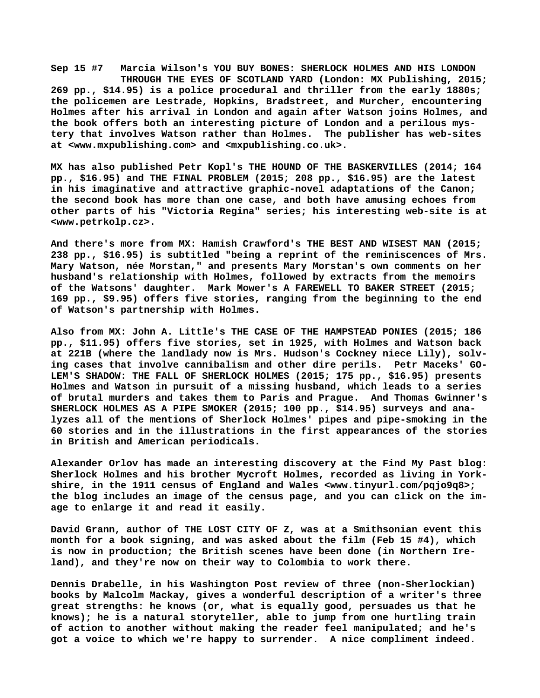**Sep 15 #7 Marcia Wilson's YOU BUY BONES: SHERLOCK HOLMES AND HIS LONDON THROUGH THE EYES OF SCOTLAND YARD (London: MX Publishing, 2015; 269 pp., \$14.95) is a police procedural and thriller from the early 1880s; the policemen are Lestrade, Hopkins, Bradstreet, and Murcher, encountering Holmes after his arrival in London and again after Watson joins Holmes, and the book offers both an interesting picture of London and a perilous mystery that involves Watson rather than Holmes. The publisher has web-sites at [<www.mxpublishing.com> a](http://www.mxpublishing.com)nd <mxpublishing.co.uk>.**

**MX has also published Petr Kopl's THE HOUND OF THE BASKERVILLES (2014; 164 pp., \$16.95) and THE FINAL PROBLEM (2015; 208 pp., \$16.95) are the latest in his imaginative and attractive graphic-novel adaptations of the Canon; the second book has more than one case, and both have amusing echoes from other parts of his "Victoria Regina" series; his interesting web-site is at [<www.petrkolp.cz>.](http://www.petrkolp.cz)**

**And there's more from MX: Hamish Crawford's THE BEST AND WISEST MAN (2015; 238 pp., \$16.95) is subtitled "being a reprint of the reminiscences of Mrs. Mary Watson, née Morstan," and presents Mary Morstan's own comments on her husband's relationship with Holmes, followed by extracts from the memoirs of the Watsons' daughter. Mark Mower's A FAREWELL TO BAKER STREET (2015; 169 pp., \$9.95) offers five stories, ranging from the beginning to the end of Watson's partnership with Holmes.**

**Also from MX: John A. Little's THE CASE OF THE HAMPSTEAD PONIES (2015; 186 pp., \$11.95) offers five stories, set in 1925, with Holmes and Watson back at 221B (where the landlady now is Mrs. Hudson's Cockney niece Lily), solving cases that involve cannibalism and other dire perils. Petr Maceks' GO-LEM'S SHADOW: THE FALL OF SHERLOCK HOLMES (2015; 175 pp., \$16.95) presents Holmes and Watson in pursuit of a missing husband, which leads to a series of brutal murders and takes them to Paris and Prague. And Thomas Gwinner's SHERLOCK HOLMES AS A PIPE SMOKER (2015; 100 pp., \$14.95) surveys and analyzes all of the mentions of Sherlock Holmes' pipes and pipe-smoking in the 60 stories and in the illustrations in the first appearances of the stories in British and American periodicals.**

**Alexander Orlov has made an interesting discovery at the Find My Past blog: Sherlock Holmes and his brother Mycroft Holmes, recorded as living in Yorkshire, in the 1911 census of England and Wales [<www.tinyurl.com/pqjo9q8>;](http://www.tinyurl.com/pqjo9q8) the blog includes an image of the census page, and you can click on the image to enlarge it and read it easily.**

**David Grann, author of THE LOST CITY OF Z, was at a Smithsonian event this month for a book signing, and was asked about the film (Feb 15 #4), which is now in production; the British scenes have been done (in Northern Ireland), and they're now on their way to Colombia to work there.**

**Dennis Drabelle, in his Washington Post review of three (non-Sherlockian) books by Malcolm Mackay, gives a wonderful description of a writer's three great strengths: he knows (or, what is equally good, persuades us that he knows); he is a natural storyteller, able to jump from one hurtling train of action to another without making the reader feel manipulated; and he's got a voice to which we're happy to surrender. A nice compliment indeed.**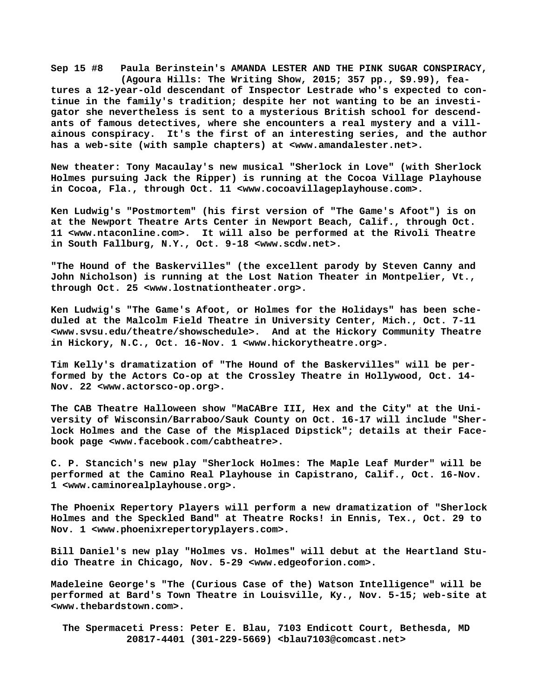**Sep 15 #8 Paula Berinstein's AMANDA LESTER AND THE PINK SUGAR CONSPIRACY, (Agoura Hills: The Writing Show, 2015; 357 pp., \$9.99), features a 12-year-old descendant of Inspector Lestrade who's expected to continue in the family's tradition; despite her not wanting to be an investigator she nevertheless is sent to a mysterious British school for descendants of famous detectives, where she encounters a real mystery and a villainous conspiracy. It's the first of an interesting series, and the author has a web-site (with sample chapters) at <[www.amandalester.net>.](http://www.amandalester.net)**

**New theater: Tony Macaulay's new musical "Sherlock in Love" (with Sherlock Holmes pursuing Jack the Ripper) is running at the Cocoa Village Playhouse in Cocoa, Fla., through Oct. 11 [<www.cocoavillageplayhouse.com>.](http://www.cocoavillageplayhouse.com)**

**Ken Ludwig's "Postmortem" (his first version of "The Game's Afoot") is on at the Newport Theatre Arts Center in Newport Beach, Calif., through Oct. 11 [<www.ntaconline.com>.](http://www.ntaconline.com) It will also be performed at the Rivoli Theatre in South Fallburg, N.Y., Oct. 9-18 [<www.scdw.net>.](http://www.scdw.net)**

**"The Hound of the Baskervilles" (the excellent parody by Steven Canny and John Nicholson) is running at the Lost Nation Theater in Montpelier, Vt., through Oct. 25 <[www.lostnationtheater.org>.](http://www.lostnationtheater.org)**

**Ken Ludwig's "The Game's Afoot, or Holmes for the Holidays" has been scheduled at the Malcolm Field Theatre in University Center, Mich., Oct. 7-11 [<www.svsu.edu/theatre/showschedule>.](http://www.svsu.edu/theatre/showschedule) And at the Hickory Community Theatre in Hickory, N.C., Oct. 16-Nov. 1 [<www.hickorytheatre.org>.](http://www.hickorytheatre.org)**

**Tim Kelly's dramatization of "The Hound of the Baskervilles" will be performed by the Actors Co-op at the Crossley Theatre in Hollywood, Oct. 14- Nov. 22 [<www.actorsco-op.org>.](http://www.actorsco-op.org)**

**The CAB Theatre Halloween show "MaCABre III, Hex and the City" at the University of Wisconsin/Barraboo/Sauk County on Oct. 16-17 will include "Sherlock Holmes and the Case of the Misplaced Dipstick"; details at their Facebook page [<www.facebook.com/cabtheatre>.](http://www.facebook.com/cabtheatre)**

**C. P. Stancich's new play "Sherlock Holmes: The Maple Leaf Murder" will be performed at the Camino Real Playhouse in Capistrano, Calif., Oct. 16-Nov. 1 [<www.caminorealplayhouse.org>.](http://www.caminorealplayhouse.org)**

**The Phoenix Repertory Players will perform a new dramatization of "Sherlock Holmes and the Speckled Band" at Theatre Rocks! in Ennis, Tex., Oct. 29 to Nov. 1 [<www.phoenixrepertoryplayers.com>.](http://www.phoenixrepertoryplayers.com)**

**Bill Daniel's new play "Holmes vs. Holmes" will debut at the Heartland Studio Theatre in Chicago, Nov. 5-29 <[www.edgeoforion.com>.](http://www.edgeoforion.com)**

**Madeleine George's "The (Curious Case of the) Watson Intelligence" will be performed at Bard's Town Theatre in Louisville, Ky., Nov. 5-15; web-site at [<www.thebardstown.com>.](http://www.thebardstown.com)**

 **The Spermaceti Press: Peter E. Blau, 7103 Endicott Court, Bethesda, MD 20817-4401 (301-229-5669) <[blau7103@comcast.net>](mailto:blau7103@comcast.net)**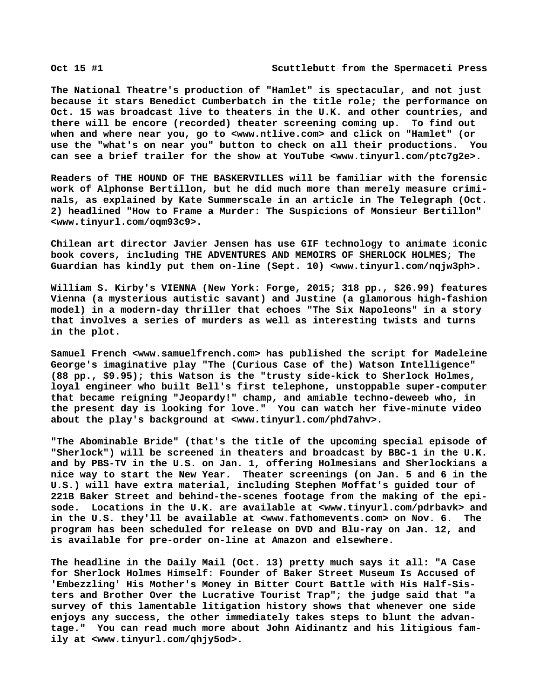**The National Theatre's production of "Hamlet" is spectacular, and not just because it stars Benedict Cumberbatch in the title role; the performance on Oct. 15 was broadcast live to theaters in the U.K. and other countries, and there will be encore (recorded) theater screening coming up. To find out when and where near you, go to <[www.ntlive.com>](http://www.ntlive.com) and click on "Hamlet" (or use the "what's on near you" button to check on all their productions. You can see a brief trailer for the show at YouTube [<www.tinyurl.com/ptc7g2e>.](http://www.tinyurl.com/ptc7g2e)**

**Readers of THE HOUND OF THE BASKERVILLES will be familiar with the forensic work of Alphonse Bertillon, but he did much more than merely measure criminals, as explained by Kate Summerscale in an article in The Telegraph (Oct. 2) headlined "How to Frame a Murder: The Suspicions of Monsieur Bertillon" [<www.tinyurl.com/oqm93c9>.](http://www.tinyurl.com/oqm93c9)**

**Chilean art director Javier Jensen has use GIF technology to animate iconic book covers, including THE ADVENTURES AND MEMOIRS OF SHERLOCK HOLMES; The Guardian has kindly put them on-line (Sept. 10) [<www.tinyurl.com/nqjw3ph>.](http://www.tinyurl.com/nqjw3ph)**

**William S. Kirby's VIENNA (New York: Forge, 2015; 318 pp., \$26.99) features Vienna (a mysterious autistic savant) and Justine (a glamorous high-fashion model) in a modern-day thriller that echoes "The Six Napoleons" in a story that involves a series of murders as well as interesting twists and turns in the plot.**

**Samuel French <[www.samuelfrench.com> h](http://www.samuelfrench.com)as published the script for Madeleine George's imaginative play "The (Curious Case of the) Watson Intelligence" (88 pp., \$9.95); this Watson is the "trusty side-kick to Sherlock Holmes, loyal engineer who built Bell's first telephone, unstoppable super-computer that became reigning "Jeopardy!" champ, and amiable techno-deweeb who, in the present day is looking for love." You can watch her five-minute video about the play's background at <[www.tinyurl.com/phd7ahv>.](http://www.tinyurl.com/phd7ahv)**

**"The Abominable Bride" (that's the title of the upcoming special episode of "Sherlock") will be screened in theaters and broadcast by BBC-1 in the U.K. and by PBS-TV in the U.S. on Jan. 1, offering Holmesians and Sherlockians a nice way to start the New Year. Theater screenings (on Jan. 5 and 6 in the U.S.) will have extra material, including Stephen Moffat's guided tour of 221B Baker Street and behind-the-scenes footage from the making of the episode. Locations in the U.K. are available at <[www.tinyurl.com/pdrbavk> a](http://www.tinyurl.com/pdrbavk)nd in the U.S. they'll be available at <[www.fathomevents.com> o](http://www.fathomevents.com)n Nov. 6. The program has been scheduled for release on DVD and Blu-ray on Jan. 12, and is available for pre-order on-line at Amazon and elsewhere.**

**The headline in the Daily Mail (Oct. 13) pretty much says it all: "A Case for Sherlock Holmes Himself: Founder of Baker Street Museum Is Accused of 'Embezzling' His Mother's Money in Bitter Court Battle with His Half-Sisters and Brother Over the Lucrative Tourist Trap"; the judge said that "a survey of this lamentable litigation history shows that whenever one side enjoys any success, the other immediately takes steps to blunt the advantage." You can read much more about John Aidinantz and his litigious family at [<www.tinyurl.com/qhjy5od>.](http://www.tinyurl.com/qhjy5od)**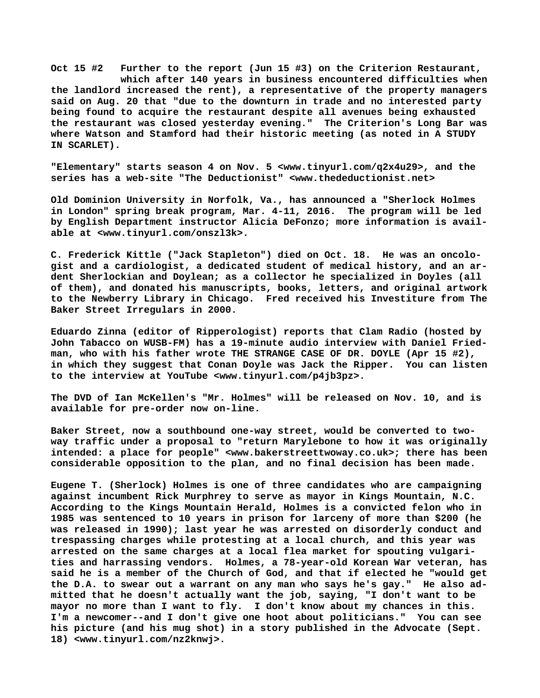**Oct 15 #2 Further to the report (Jun 15 #3) on the Criterion Restaurant, which after 140 years in business encountered difficulties when the landlord increased the rent), a representative of the property managers said on Aug. 20 that "due to the downturn in trade and no interested party being found to acquire the restaurant despite all avenues being exhausted the restaurant was closed yesterday evening." The Criterion's Long Bar was where Watson and Stamford had their historic meeting (as noted in A STUDY IN SCARLET).**

**"Elementary" starts season 4 on Nov. 5 <[www.tinyurl.com/q2x4u29>, a](http://www.tinyurl.com/q2x4u29)nd the series has a web-site "The Deductionist" <[www.thedeductionist.net>](http://www.thedeductionist.net)**

**Old Dominion University in Norfolk, Va., has announced a "Sherlock Holmes in London" spring break program, Mar. 4-11, 2016. The program will be led by English Department instructor Alicia DeFonzo; more information is available at [<www.tinyurl.com/onszl3k>.](http://www.tinyurl.com/onszl3k)**

**C. Frederick Kittle ("Jack Stapleton") died on Oct. 18. He was an oncologist and a cardiologist, a dedicated student of medical history, and an ardent Sherlockian and Doylean; as a collector he specialized in Doyles (all of them), and donated his manuscripts, books, letters, and original artwork to the Newberry Library in Chicago. Fred received his Investiture from The Baker Street Irregulars in 2000.**

**Eduardo Zinna (editor of Ripperologist) reports that Clam Radio (hosted by John Tabacco on WUSB-FM) has a 19-minute audio interview with Daniel Friedman, who with his father wrote THE STRANGE CASE OF DR. DOYLE (Apr 15 #2), in which they suggest that Conan Doyle was Jack the Ripper. You can listen to the interview at YouTube [<www.tinyurl.com/p4jb3pz>.](http://www.tinyurl.com/p4jb3pz)**

**The DVD of Ian McKellen's "Mr. Holmes" will be released on Nov. 10, and is available for pre-order now on-line.**

**Baker Street, now a southbound one-way street, would be converted to twoway traffic under a proposal to "return Marylebone to how it was originally intended: a place for people" [<www.bakerstreettwoway.co.uk>; t](http://www.bakerstreettwoway.co.uk)here has been considerable opposition to the plan, and no final decision has been made.**

**Eugene T. (Sherlock) Holmes is one of three candidates who are campaigning against incumbent Rick Murphrey to serve as mayor in Kings Mountain, N.C. According to the Kings Mountain Herald, Holmes is a convicted felon who in 1985 was sentenced to 10 years in prison for larceny of more than \$200 (he was released in 1990); last year he was arrested on disorderly conduct and trespassing charges while protesting at a local church, and this year was arrested on the same charges at a local flea market for spouting vulgarities and harrassing vendors. Holmes, a 78-year-old Korean War veteran, has said he is a member of the Church of God, and that if elected he "would get the D.A. to swear out a warrant on any man who says he's gay." He also admitted that he doesn't actually want the job, saying, "I don't want to be mayor no more than I want to fly. I don't know about my chances in this. I'm a newcomer--and I don't give one hoot about politicians." You can see his picture (and his mug shot) in a story published in the Advocate (Sept. 18) <[www.tinyurl.com/nz2knwj>.](http://www.tinyurl.com/nz2knwj)**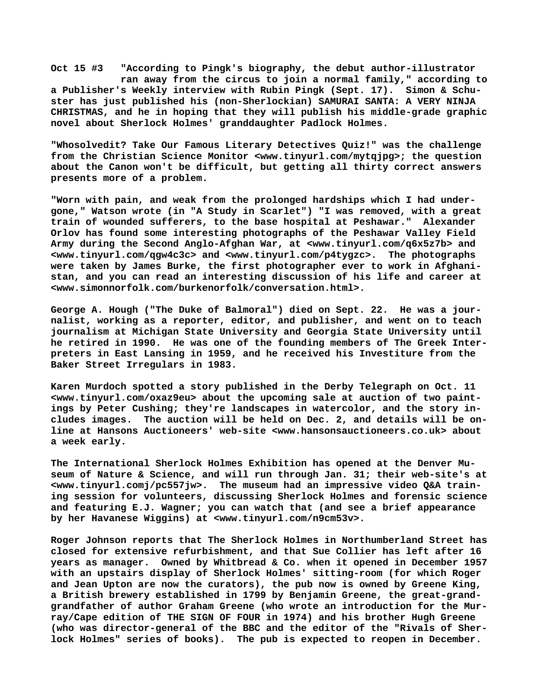**Oct 15 #3 "According to Pingk's biography, the debut author-illustrator ran away from the circus to join a normal family," according to a Publisher's Weekly interview with Rubin Pingk (Sept. 17). Simon & Schuster has just published his (non-Sherlockian) SAMURAI SANTA: A VERY NINJA CHRISTMAS, and he in hoping that they will publish his middle-grade graphic novel about Sherlock Holmes' granddaughter Padlock Holmes.**

**"Whosolvedit? Take Our Famous Literary Detectives Quiz!" was the challenge from the Christian Science Monitor [<www.tinyurl.com/mytqjpg>; t](http://www.tinyurl.com/mytqjpg)he question about the Canon won't be difficult, but getting all thirty correct answers presents more of a problem.**

**"Worn with pain, and weak from the prolonged hardships which I had undergone," Watson wrote (in "A Study in Scarlet") "I was removed, with a great train of wounded sufferers, to the base hospital at Peshawar." Alexander Orlov has found some interesting photographs of the Peshawar Valley Field Army during the Second Anglo-Afghan War, at <[www.tinyurl.com/q6x5z7b> a](http://www.tinyurl.com/q6x5z7b)nd [<www.tinyurl.com/qgw4c3c> a](http://www.tinyurl.com/qgw4c3c)nd [<www.tinyurl.com/p4tygzc>.](http://www.tinyurl.com/p4tygzc) The photographs were taken by James Burke, the first photographer ever to work in Afghanistan, and you can read an interesting discussion of his life and career at [<www.simonnorfolk.com/burkenorfolk/conversation.html>.](http://www.simonnorfolk.com/burkenorfolk/conversation.html)**

**George A. Hough ("The Duke of Balmoral") died on Sept. 22. He was a journalist, working as a reporter, editor, and publisher, and went on to teach journalism at Michigan State University and Georgia State University until he retired in 1990. He was one of the founding members of The Greek Interpreters in East Lansing in 1959, and he received his Investiture from the Baker Street Irregulars in 1983.**

**Karen Murdoch spotted a story published in the Derby Telegraph on Oct. 11 [<www.tinyurl.com/oxaz9eu> a](http://www.tinyurl.com/oxaz9eu)bout the upcoming sale at auction of two paintings by Peter Cushing; they're landscapes in watercolor, and the story includes images. The auction will be held on Dec. 2, and details will be online at Hansons Auctioneers' web-site [<www.hansonsauctioneers.co.uk> a](http://www.hansonsauctioneers.co.uk)bout a week early.**

**The International Sherlock Holmes Exhibition has opened at the Denver Museum of Nature & Science, and will run through Jan. 31; their web-site's at [<www.tinyurl.comj/pc557jw>.](http://www.tinyurl.comj/pc557jw) The museum had an impressive video Q&A training session for volunteers, discussing Sherlock Holmes and forensic science and featuring E.J. Wagner; you can watch that (and see a brief appearance by her Havanese Wiggins) at [<www.tinyurl.com/n9cm53v>.](http://www.tinyurl.com/n9cm53v)**

**Roger Johnson reports that The Sherlock Holmes in Northumberland Street has closed for extensive refurbishment, and that Sue Collier has left after 16 years as manager. Owned by Whitbread & Co. when it opened in December 1957 with an upstairs display of Sherlock Holmes' sitting-room (for which Roger and Jean Upton are now the curators), the pub now is owned by Greene King, a British brewery established in 1799 by Benjamin Greene, the great-grandgrandfather of author Graham Greene (who wrote an introduction for the Murray/Cape edition of THE SIGN OF FOUR in 1974) and his brother Hugh Greene (who was director-general of the BBC and the editor of the "Rivals of Sherlock Holmes" series of books). The pub is expected to reopen in December.**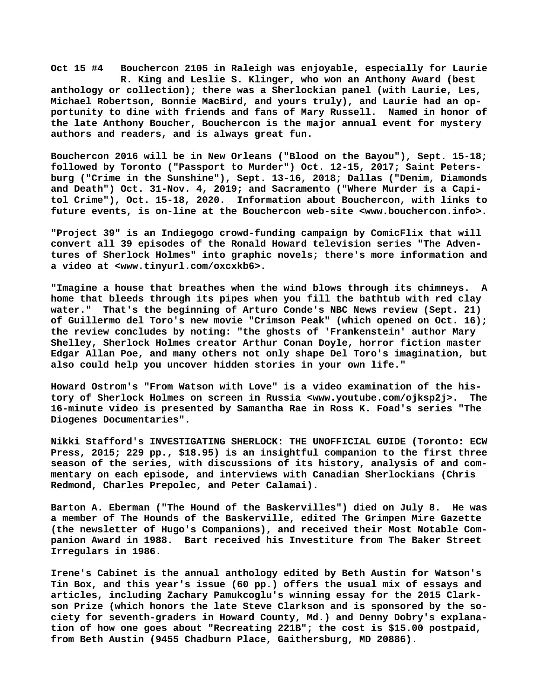**Oct 15 #4 Bouchercon 2105 in Raleigh was enjoyable, especially for Laurie R. King and Leslie S. Klinger, who won an Anthony Award (best anthology or collection); there was a Sherlockian panel (with Laurie, Les, Michael Robertson, Bonnie MacBird, and yours truly), and Laurie had an opportunity to dine with friends and fans of Mary Russell. Named in honor of the late Anthony Boucher, Bouchercon is the major annual event for mystery authors and readers, and is always great fun.**

**Bouchercon 2016 will be in New Orleans ("Blood on the Bayou"), Sept. 15-18; followed by Toronto ("Passport to Murder") Oct. 12-15, 2017; Saint Petersburg ("Crime in the Sunshine"), Sept. 13-16, 2018; Dallas ("Denim, Diamonds and Death") Oct. 31-Nov. 4, 2019; and Sacramento ("Where Murder is a Capitol Crime"), Oct. 15-18, 2020. Information about Bouchercon, with links to future events, is on-line at the Bouchercon web-site [<www.bouchercon.info>.](http://www.bouchercon.info)**

**"Project 39" is an Indiegogo crowd-funding campaign by ComicFlix that will convert all 39 episodes of the Ronald Howard television series "The Adventures of Sherlock Holmes" into graphic novels; there's more information and a video at <[www.tinyurl.com/oxcxkb6>.](http://www.tinyurl.com/oxcxkb6)**

**"Imagine a house that breathes when the wind blows through its chimneys. A home that bleeds through its pipes when you fill the bathtub with red clay water." That's the beginning of Arturo Conde's NBC News review (Sept. 21) of Guillermo del Toro's new movie "Crimson Peak" (which opened on Oct. 16); the review concludes by noting: "the ghosts of 'Frankenstein' author Mary Shelley, Sherlock Holmes creator Arthur Conan Doyle, horror fiction master Edgar Allan Poe, and many others not only shape Del Toro's imagination, but also could help you uncover hidden stories in your own life."**

**Howard Ostrom's "From Watson with Love" is a video examination of the history of Sherlock Holmes on screen in Russia <[www.youtube.com/ojksp2j>.](http://www.youtube.com/ojksp2j) The 16-minute video is presented by Samantha Rae in Ross K. Foad's series "The Diogenes Documentaries".**

**Nikki Stafford's INVESTIGATING SHERLOCK: THE UNOFFICIAL GUIDE (Toronto: ECW Press, 2015; 229 pp., \$18.95) is an insightful companion to the first three season of the series, with discussions of its history, analysis of and commentary on each episode, and interviews with Canadian Sherlockians (Chris Redmond, Charles Prepolec, and Peter Calamai).**

**Barton A. Eberman ("The Hound of the Baskervilles") died on July 8. He was a member of The Hounds of the Baskerville, edited The Grimpen Mire Gazette (the newsletter of Hugo's Companions), and received their Most Notable Companion Award in 1988. Bart received his Investiture from The Baker Street Irregulars in 1986.**

**Irene's Cabinet is the annual anthology edited by Beth Austin for Watson's Tin Box, and this year's issue (60 pp.) offers the usual mix of essays and articles, including Zachary Pamukcoglu's winning essay for the 2015 Clarkson Prize (which honors the late Steve Clarkson and is sponsored by the society for seventh-graders in Howard County, Md.) and Denny Dobry's explanation of how one goes about "Recreating 221B"; the cost is \$15.00 postpaid, from Beth Austin (9455 Chadburn Place, Gaithersburg, MD 20886).**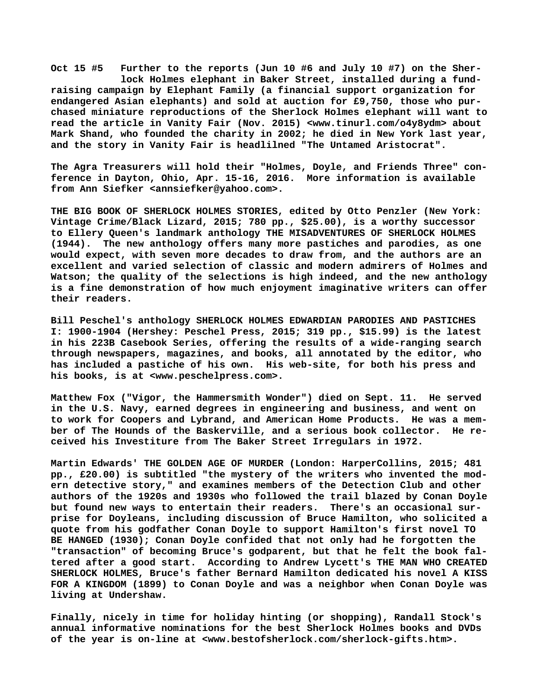**Oct 15 #5 Further to the reports (Jun 10 #6 and July 10 #7) on the Sher lock Holmes elephant in Baker Street, installed during a fundraising campaign by Elephant Family (a financial support organization for endangered Asian elephants) and sold at auction for £9,750, those who purchased miniature reproductions of the Sherlock Holmes elephant will want to read the article in Vanity Fair (Nov. 2015) <[www.tinurl.com/o4y8ydm> a](http://www.tinurl.com/o4y8ydm)bout Mark Shand, who founded the charity in 2002; he died in New York last year, and the story in Vanity Fair is headlilned "The Untamed Aristocrat".**

**The Agra Treasurers will hold their "Holmes, Doyle, and Friends Three" conference in Dayton, Ohio, Apr. 15-16, 2016. More information is available from Ann Siefker [<annsiefker@yahoo.com>.](mailto:annsiefker@yahoo.com)**

**THE BIG BOOK OF SHERLOCK HOLMES STORIES, edited by Otto Penzler (New York: Vintage Crime/Black Lizard, 2015; 780 pp., \$25.00), is a worthy successor to Ellery Queen's landmark anthology THE MISADVENTURES OF SHERLOCK HOLMES (1944). The new anthology offers many more pastiches and parodies, as one would expect, with seven more decades to draw from, and the authors are an excellent and varied selection of classic and modern admirers of Holmes and Watson; the quality of the selections is high indeed, and the new anthology is a fine demonstration of how much enjoyment imaginative writers can offer their readers.**

**Bill Peschel's anthology SHERLOCK HOLMES EDWARDIAN PARODIES AND PASTICHES I: 1900-1904 (Hershey: Peschel Press, 2015; 319 pp., \$15.99) is the latest in his 223B Casebook Series, offering the results of a wide-ranging search through newspapers, magazines, and books, all annotated by the editor, who has included a pastiche of his own. His web-site, for both his press and his books, is at [<www.peschelpress.com>.](http://www.peschelpress.com)**

**Matthew Fox ("Vigor, the Hammersmith Wonder") died on Sept. 11. He served in the U.S. Navy, earned degrees in engineering and business, and went on to work for Coopers and Lybrand, and American Home Products. He was a member of The Hounds of the Baskerville, and a serious book collector. He received his Investiture from The Baker Street Irregulars in 1972.**

**Martin Edwards' THE GOLDEN AGE OF MURDER (London: HarperCollins, 2015; 481 pp., £20.00) is subtitled "the mystery of the writers who invented the modern detective story," and examines members of the Detection Club and other authors of the 1920s and 1930s who followed the trail blazed by Conan Doyle but found new ways to entertain their readers. There's an occasional surprise for Doyleans, including discussion of Bruce Hamilton, who solicited a quote from his godfather Conan Doyle to support Hamilton's first novel TO BE HANGED (1930); Conan Doyle confided that not only had he forgotten the "transaction" of becoming Bruce's godparent, but that he felt the book faltered after a good start. According to Andrew Lycett's THE MAN WHO CREATED SHERLOCK HOLMES, Bruce's father Bernard Hamilton dedicated his novel A KISS FOR A KINGDOM (1899) to Conan Doyle and was a neighbor when Conan Doyle was living at Undershaw.**

**Finally, nicely in time for holiday hinting (or shopping), Randall Stock's annual informative nominations for the best Sherlock Holmes books and DVDs of the year is on-line at <[www.bestofsherlock.com/sherlock-gifts.htm>.](http://www.bestofsherlock.com/sherlock-gifts.htm)**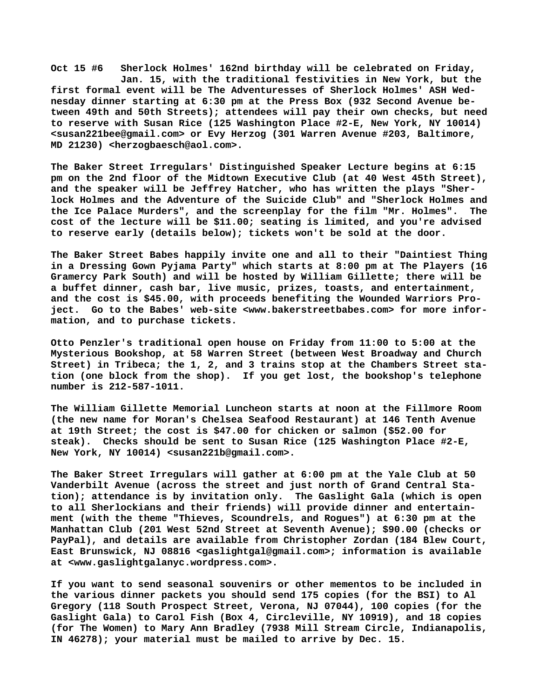**Oct 15 #6 Sherlock Holmes' 162nd birthday will be celebrated on Friday, Jan. 15, with the traditional festivities in New York, but the first formal event will be The Adventuresses of Sherlock Holmes' ASH Wednesday dinner starting at 6:30 pm at the Press Box (932 Second Avenue between 49th and 50th Streets); attendees will pay their own checks, but need to reserve with Susan Rice (125 Washington Place #2-E, New York, NY 10014) [<susan221bee@gmail.com> o](mailto:susan221bee@gmail.com)r Evy Herzog (301 Warren Avenue #203, Baltimore, MD 21230) [<herzogbaesch@aol.com>.](mailto:herzogbaesch@aol.com)**

**The Baker Street Irregulars' Distinguished Speaker Lecture begins at 6:15 pm on the 2nd floor of the Midtown Executive Club (at 40 West 45th Street), and the speaker will be Jeffrey Hatcher, who has written the plays "Sherlock Holmes and the Adventure of the Suicide Club" and "Sherlock Holmes and the Ice Palace Murders", and the screenplay for the film "Mr. Holmes". The cost of the lecture will be \$11.00; seating is limited, and you're advised to reserve early (details below); tickets won't be sold at the door.**

**The Baker Street Babes happily invite one and all to their "Daintiest Thing in a Dressing Gown Pyjama Party" which starts at 8:00 pm at The Players (16 Gramercy Park South) and will be hosted by William Gillette; there will be a buffet dinner, cash bar, live music, prizes, toasts, and entertainment, and the cost is \$45.00, with proceeds benefiting the Wounded Warriors Project. Go to the Babes' web-site [<www.bakerstreetbabes.com> f](http://www.bakerstreetbabes.com)or more information, and to purchase tickets.**

**Otto Penzler's traditional open house on Friday from 11:00 to 5:00 at the Mysterious Bookshop, at 58 Warren Street (between West Broadway and Church Street) in Tribeca; the 1, 2, and 3 trains stop at the Chambers Street station (one block from the shop). If you get lost, the bookshop's telephone number is 212-587-1011.**

**The William Gillette Memorial Luncheon starts at noon at the Fillmore Room (the new name for Moran's Chelsea Seafood Restaurant) at 146 Tenth Avenue at 19th Street; the cost is \$47.00 for chicken or salmon (\$52.00 for steak). Checks should be sent to Susan Rice (125 Washington Place #2-E, New York, NY 10014) [<susan221b@gmail.com>.](mailto:susan221b@gmail.com)**

**The Baker Street Irregulars will gather at 6:00 pm at the Yale Club at 50 Vanderbilt Avenue (across the street and just north of Grand Central Station); attendance is by invitation only. The Gaslight Gala (which is open to all Sherlockians and their friends) will provide dinner and entertainment (with the theme "Thieves, Scoundrels, and Rogues") at 6:30 pm at the Manhattan Club (201 West 52nd Street at Seventh Avenue); \$90.00 (checks or PayPal), and details are available from Christopher Zordan (184 Blew Court, East Brunswick, NJ 08816 [<gaslightgal@gmail.com>; i](mailto:gaslightgal@gmail.com)nformation is available at [<www.gaslightgalanyc.wordpress.com>.](http://www.gaslightgalanyc.wordpress.com)**

**If you want to send seasonal souvenirs or other mementos to be included in the various dinner packets you should send 175 copies (for the BSI) to Al Gregory (118 South Prospect Street, Verona, NJ 07044), 100 copies (for the Gaslight Gala) to Carol Fish (Box 4, Circleville, NY 10919), and 18 copies (for The Women) to Mary Ann Bradley (7938 Mill Stream Circle, Indianapolis, IN 46278); your material must be mailed to arrive by Dec. 15.**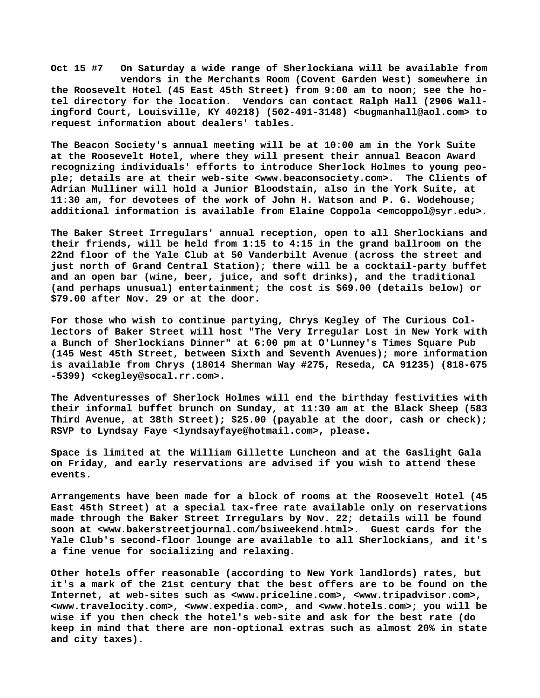**Oct 15 #7 On Saturday a wide range of Sherlockiana will be available from vendors in the Merchants Room (Covent Garden West) somewhere in the Roosevelt Hotel (45 East 45th Street) from 9:00 am to noon; see the hotel directory for the location. Vendors can contact Ralph Hall (2906 Wallingford Court, Louisville, KY 40218) (502-491-3148) [<bugmanhall@aol.com> t](mailto:bugmanhall@aol.com)o request information about dealers' tables.**

**The Beacon Society's annual meeting will be at 10:00 am in the York Suite at the Roosevelt Hotel, where they will present their annual Beacon Award recognizing individuals' efforts to introduce Sherlock Holmes to young people; details are at their web-site [<www.beaconsociety.com>.](http://www.beaconsociety.com) The Clients of Adrian Mulliner will hold a Junior Bloodstain, also in the York Suite, at 11:30 am, for devotees of the work of John H. Watson and P. G. Wodehouse; additional information is available from Elaine Coppola <[emcoppol@syr.edu>.](mailto:emcoppol@syr.edu)**

**The Baker Street Irregulars' annual reception, open to all Sherlockians and their friends, will be held from 1:15 to 4:15 in the grand ballroom on the 22nd floor of the Yale Club at 50 Vanderbilt Avenue (across the street and just north of Grand Central Station); there will be a cocktail-party buffet and an open bar (wine, beer, juice, and soft drinks), and the traditional (and perhaps unusual) entertainment; the cost is \$69.00 (details below) or \$79.00 after Nov. 29 or at the door.**

**For those who wish to continue partying, Chrys Kegley of The Curious Collectors of Baker Street will host "The Very Irregular Lost in New York with a Bunch of Sherlockians Dinner" at 6:00 pm at O'Lunney's Times Square Pub (145 West 45th Street, between Sixth and Seventh Avenues); more information is available from Chrys (18014 Sherman Way #275, Reseda, CA 91235) (818-675 -5399) [<ckegley@socal.rr.com>.](mailto:ckegley@socal.rr.com)**

**The Adventuresses of Sherlock Holmes will end the birthday festivities with their informal buffet brunch on Sunday, at 11:30 am at the Black Sheep (583 Third Avenue, at 38th Street); \$25.00 (payable at the door, cash or check); RSVP to Lyndsay Faye <[lyndsayfaye@hotmail.com>, p](mailto:lyndsayfaye@hotmail.com)lease.**

**Space is limited at the William Gillette Luncheon and at the Gaslight Gala on Friday, and early reservations are advised if you wish to attend these events.**

**Arrangements have been made for a block of rooms at the Roosevelt Hotel (45 East 45th Street) at a special tax-free rate available only on reservations made through the Baker Street Irregulars by Nov. 22; details will be found soon at [<www.bakerstreetjournal.com/bsiweekend.html>.](http://www.bakerstreetjournal.com/bsiweekend.html) Guest cards for the Yale Club's second-floor lounge are available to all Sherlockians, and it's a fine venue for socializing and relaxing.**

**Other hotels offer reasonable (according to New York landlords) rates, but it's a mark of the 21st century that the best offers are to be found on the Internet, at web-sites such as <[www.priceline.com>, <](http://www.priceline.com)[www.tripadvisor.com>,](http://www.tripadvisor.com) [<www.travelocity.com>, <](http://www.travelocity.com)[www.expedia.com>, a](http://www.expedia.com)nd <[www.hotels.com>; y](http://www.hotels.com)ou will be wise if you then check the hotel's web-site and ask for the best rate (do keep in mind that there are non-optional extras such as almost 20% in state and city taxes).**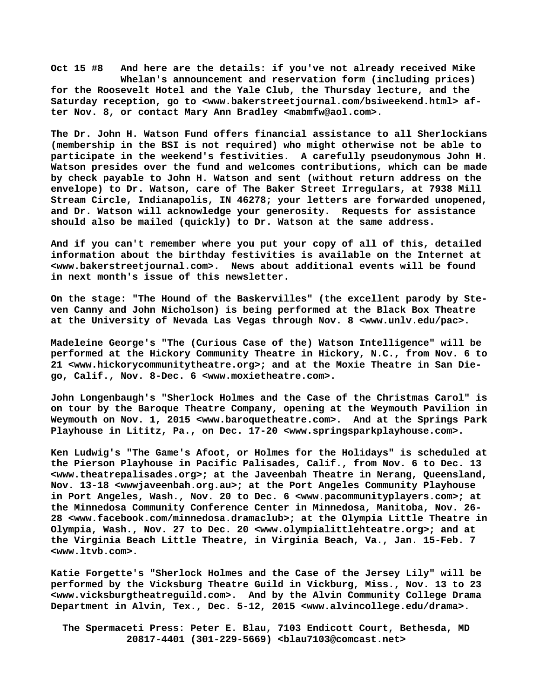**Oct 15 #8 And here are the details: if you've not already received Mike Whelan's announcement and reservation form (including prices) for the Roosevelt Hotel and the Yale Club, the Thursday lecture, and the Saturday reception, go to <[www.bakerstreetjournal.com/bsiweekend.html> a](http://www.bakerstreetjournal.com/bsiweekend.html)fter Nov. 8, or contact Mary Ann Bradley [<mabmfw@aol.com>.](mailto:mabmfw@aol.com)**

**The Dr. John H. Watson Fund offers financial assistance to all Sherlockians (membership in the BSI is not required) who might otherwise not be able to participate in the weekend's festivities. A carefully pseudonymous John H. Watson presides over the fund and welcomes contributions, which can be made by check payable to John H. Watson and sent (without return address on the envelope) to Dr. Watson, care of The Baker Street Irregulars, at 7938 Mill Stream Circle, Indianapolis, IN 46278; your letters are forwarded unopened, and Dr. Watson will acknowledge your generosity. Requests for assistance should also be mailed (quickly) to Dr. Watson at the same address.**

**And if you can't remember where you put your copy of all of this, detailed information about the birthday festivities is available on the Internet at [<www.bakerstreetjournal.com>.](http://www.bakerstreetjournal.com) News about additional events will be found in next month's issue of this newsletter.**

**On the stage: "The Hound of the Baskervilles" (the excellent parody by Steven Canny and John Nicholson) is being performed at the Black Box Theatre at the University of Nevada Las Vegas through Nov. 8 [<www.unlv.edu/pac>.](http://www.unlv.edu/pac)**

**Madeleine George's "The (Curious Case of the) Watson Intelligence" will be performed at the Hickory Community Theatre in Hickory, N.C., from Nov. 6 to 21 [<www.hickorycommunitytheatre.org>; a](http://www.hickorycommunitytheatre.org)nd at the Moxie Theatre in San Diego, Calif., Nov. 8-Dec. 6 <[www.moxietheatre.com>.](http://www.moxietheatre.com)**

**John Longenbaugh's "Sherlock Holmes and the Case of the Christmas Carol" is on tour by the Baroque Theatre Company, opening at the Weymouth Pavilion in Weymouth on Nov. 1, 2015 [<www.baroquetheatre.com>.](http://www.baroquetheatre.com) And at the Springs Park Playhouse in Lititz, Pa., on Dec. 17-20 [<www.springsparkplayhouse.com>.](http://www.springsparkplayhouse.com)**

**Ken Ludwig's "The Game's Afoot, or Holmes for the Holidays" is scheduled at the Pierson Playhouse in Pacific Palisades, Calif., from Nov. 6 to Dec. 13 [<www.theatrepalisades.org>; a](http://www.theatrepalisades.org)t the Javeenbah Theatre in Nerang, Queensland, Nov. 13-18 <wwwjaveenbah.org.au>; at the Port Angeles Community Playhouse in Port Angeles, Wash., Nov. 20 to Dec. 6 [<www.pacommunityplayers.com>; a](http://www.pacommunityplayers.com)t the Minnedosa Community Conference Center in Minnedosa, Manitoba, Nov. 26- 28 [<www.facebook.com/minnedosa.dramaclub>; a](http://www.facebook.com/minnedosa.dramaclub)t the Olympia Little Theatre in Olympia, Wash., Nov. 27 to Dec. 20 [<www.olympialittlehteatre.org>; a](http://www.olympialittlehteatre.org)nd at the Virginia Beach Little Theatre, in Virginia Beach, Va., Jan. 15-Feb. 7 [<www.ltvb.com>.](http://www.ltvb.com)**

**Katie Forgette's "Sherlock Holmes and the Case of the Jersey Lily" will be performed by the Vicksburg Theatre Guild in Vickburg, Miss., Nov. 13 to 23 [<www.vicksburgtheatreguild.com>.](http://www.vicksburgtheatreguild.com) And by the Alvin Community College Drama Department in Alvin, Tex., Dec. 5-12, 2015 [<www.alvincollege.edu/drama>.](http://www.alvincollege.edu/drama)**

 **The Spermaceti Press: Peter E. Blau, 7103 Endicott Court, Bethesda, MD 20817-4401 (301-229-5669) <[blau7103@comcast.net>](mailto:blau7103@comcast.net)**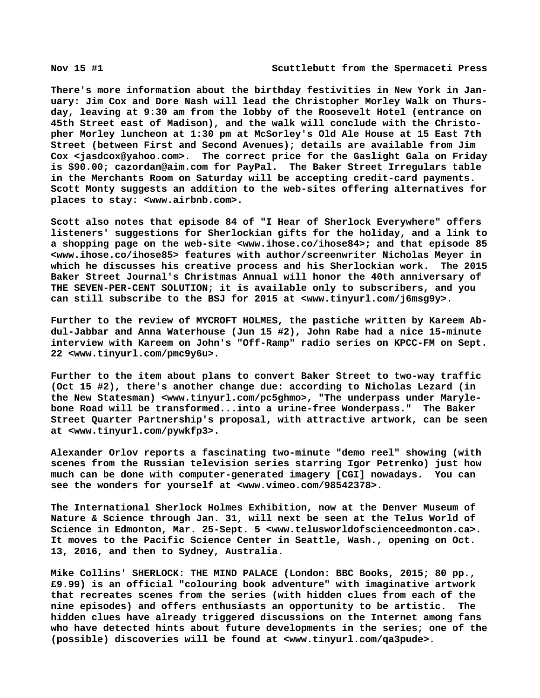**There's more information about the birthday festivities in New York in January: Jim Cox and Dore Nash will lead the Christopher Morley Walk on Thursday, leaving at 9:30 am from the lobby of the Roosevelt Hotel (entrance on 45th Street east of Madison), and the walk will conclude with the Christopher Morley luncheon at 1:30 pm at McSorley's Old Ale House at 15 East 7th Street (between First and Second Avenues); details are available from Jim Cox <[jasdcox@yahoo.com>.](mailto:jasdcox@yahoo.com) The correct price for the Gaslight Gala on Friday is \$90.00; [cazordan@aim.com f](mailto:cazordan@aim.com)or PayPal. The Baker Street Irregulars table in the Merchants Room on Saturday will be accepting credit-card payments. Scott Monty suggests an addition to the web-sites offering alternatives for places to stay: <[www.airbnb.com>.](http://www.airbnb.com)**

**Scott also notes that episode 84 of "I Hear of Sherlock Everywhere" offers listeners' suggestions for Sherlockian gifts for the holiday, and a link to a shopping page on the web-site [<www.ihose.co/ihose84>; a](http://www.ihose.co/ihose84)nd that episode 85 [<www.ihose.co/ihose85> f](http://www.ihose.co/ihose85)eatures with author/screenwriter Nicholas Meyer in which he discusses his creative process and his Sherlockian work. The 2015 Baker Street Journal's Christmas Annual will honor the 40th anniversary of THE SEVEN-PER-CENT SOLUTION; it is available only to subscribers, and you can still subscribe to the BSJ for 2015 at [<www.tinyurl.com/j6msg9y>.](http://www.tinyurl.com/j6msg9y)** 

**Further to the review of MYCROFT HOLMES, the pastiche written by Kareem Abdul-Jabbar and Anna Waterhouse (Jun 15 #2), John Rabe had a nice 15-minute interview with Kareem on John's "Off-Ramp" radio series on KPCC-FM on Sept. 22 [<www.tinyurl.com/pmc9y6u>.](http://www.tinyurl.com/pmc9y6u)**

**Further to the item about plans to convert Baker Street to two-way traffic (Oct 15 #2), there's another change due: according to Nicholas Lezard (in the New Statesman) <[www.tinyurl.com/pc5ghmo>, "](http://www.tinyurl.com/pc5ghmo)The underpass under Marylebone Road will be transformed...into a urine-free Wonderpass." The Baker Street Quarter Partnership's proposal, with attractive artwork, can be seen at [<www.tinyurl.com/pywkfp3>.](http://www.tinyurl.com/pywkfp3)**

**Alexander Orlov reports a fascinating two-minute "demo reel" showing (with scenes from the Russian television series starring Igor Petrenko) just how much can be done with computer-generated imagery [CGI] nowadays. You can see the wonders for yourself at [<www.vimeo.com/98542378>.](http://www.vimeo.com/98542378)**

**The International Sherlock Holmes Exhibition, now at the Denver Museum of Nature & Science through Jan. 31, will next be seen at the Telus World of Science in Edmonton, Mar. 25-Sept. 5 [<www.telusworldofscienceedmonton.ca>.](http://www.telusworldofscienceedmonton.ca) It moves to the Pacific Science Center in Seattle, Wash., opening on Oct. 13, 2016, and then to Sydney, Australia.**

**Mike Collins' SHERLOCK: THE MIND PALACE (London: BBC Books, 2015; 80 pp., £9.99) is an official "colouring book adventure" with imaginative artwork that recreates scenes from the series (with hidden clues from each of the nine episodes) and offers enthusiasts an opportunity to be artistic. The hidden clues have already triggered discussions on the Internet among fans who have detected hints about future developments in the series; one of the (possible) discoveries will be found at [<www.tinyurl.com/qa3pude>.](http://www.tinyurl.com/qa3pude)**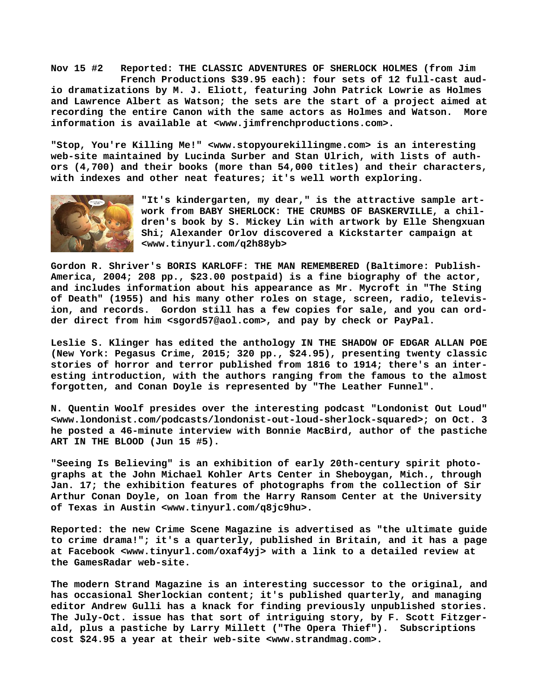**Nov 15 #2 Reported: THE CLASSIC ADVENTURES OF SHERLOCK HOLMES (from Jim French Productions \$39.95 each): four sets of 12 full-cast audio dramatizations by M. J. Eliott, featuring John Patrick Lowrie as Holmes and Lawrence Albert as Watson; the sets are the start of a project aimed at recording the entire Canon with the same actors as Holmes and Watson. More information is available at [<www.jimfrenchproductions.com>.](http://www.jimfrenchproductions.com)**

**"Stop, You're Killing Me!" [<www.stopyourekillingme.com> i](http://www.stopyourekillingme.com)s an interesting web-site maintained by Lucinda Surber and Stan Ulrich, with lists of authors (4,700) and their books (more than 54,000 titles) and their characters, with indexes and other neat features; it's well worth exploring.**



**"It's kindergarten, my dear," is the attractive sample artwork from BABY SHERLOCK: THE CRUMBS OF BASKERVILLE, a children's book by S. Mickey Lin with artwork by Elle Shengxuan Shi; Alexander Orlov discovered a Kickstarter campaign at <[www.tinyurl.com/q2h88yb>](http://www.tinyurl.com/q2h88yb)**

**Gordon R. Shriver's BORIS KARLOFF: THE MAN REMEMBERED (Baltimore: Publish-America, 2004; 208 pp., \$23.00 postpaid) is a fine biography of the actor, and includes information about his appearance as Mr. Mycroft in "The Sting of Death" (1955) and his many other roles on stage, screen, radio, television, and records. Gordon still has a few copies for sale, and you can ordder direct from him [<sgord57@aol.com>, a](mailto:sgord57@aol.com)nd pay by check or PayPal.**

**Leslie S. Klinger has edited the anthology IN THE SHADOW OF EDGAR ALLAN POE (New York: Pegasus Crime, 2015; 320 pp., \$24.95), presenting twenty classic stories of horror and terror published from 1816 to 1914; there's an interesting introduction, with the authors ranging from the famous to the almost forgotten, and Conan Doyle is represented by "The Leather Funnel".**

**N. Quentin Woolf presides over the interesting podcast "Londonist Out Loud" [<www.londonist.com/podcasts/londonist-out-loud-sherlock-squared>; o](http://www.londonist.com/podcasts/londonist-out-loud-sherlock-squared)n Oct. 3 he posted a 46-minute interview with Bonnie MacBird, author of the pastiche ART IN THE BLOOD (Jun 15 #5).**

**"Seeing Is Believing" is an exhibition of early 20th-century spirit photographs at the John Michael Kohler Arts Center in Sheboygan, Mich., through Jan. 17; the exhibition features of photographs from the collection of Sir Arthur Conan Doyle, on loan from the Harry Ransom Center at the University of Texas in Austin <[www.tinyurl.com/q8jc9hu>.](http://www.tinyurl.com/q8jc9hu)**

**Reported: the new Crime Scene Magazine is advertised as "the ultimate guide to crime drama!"; it's a quarterly, published in Britain, and it has a page at Facebook [<www.tinyurl.com/oxaf4yj> w](http://www.tinyurl.com/oxaf4yj)ith a link to a detailed review at the GamesRadar web-site.**

**The modern Strand Magazine is an interesting successor to the original, and has occasional Sherlockian content; it's published quarterly, and managing editor Andrew Gulli has a knack for finding previously unpublished stories. The July-Oct. issue has that sort of intriguing story, by F. Scott Fitzgerald, plus a pastiche by Larry Millett ("The Opera Thief"). Subscriptions cost \$24.95 a year at their web-site [<www.strandmag.com>.](http://www.strandmag.com)**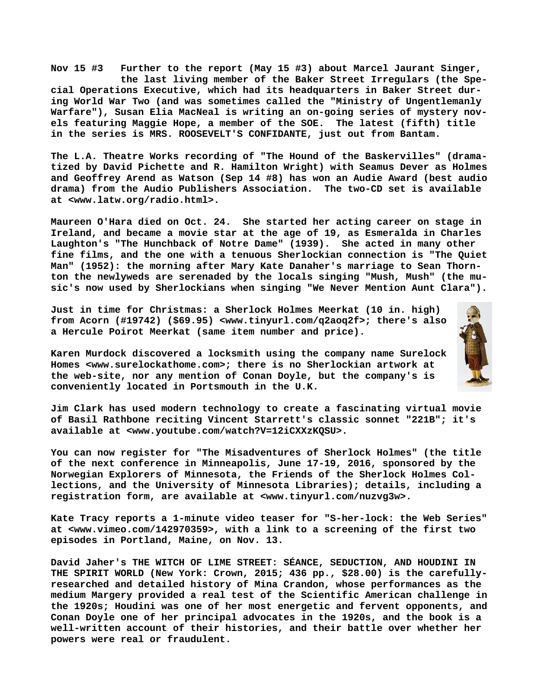**Nov 15 #3 Further to the report (May 15 #3) about Marcel Jaurant Singer, the last living member of the Baker Street Irregulars (the Special Operations Executive, which had its headquarters in Baker Street during World War Two (and was sometimes called the "Ministry of Ungentlemanly Warfare"), Susan Elia MacNeal is writing an on-going series of mystery novels featuring Maggie Hope, a member of the SOE. The latest (fifth) title in the series is MRS. ROOSEVELT'S CONFIDANTE, just out from Bantam.**

**The L.A. Theatre Works recording of "The Hound of the Baskervilles" (dramatized by David Pichette and R. Hamilton Wright) with Seamus Dever as Holmes and Geoffrey Arend as Watson (Sep 14 #8) has won an Audie Award (best audio drama) from the Audio Publishers Association. The two-CD set is available at [<www.latw.org/radio.html>.](http://www.latw.org/radio.html)**

**Maureen O'Hara died on Oct. 24. She started her acting career on stage in Ireland, and became a movie star at the age of 19, as Esmeralda in Charles Laughton's "The Hunchback of Notre Dame" (1939). She acted in many other fine films, and the one with a tenuous Sherlockian connection is "The Quiet Man" (1952): the morning after Mary Kate Danaher's marriage to Sean Thornton the newlyweds are serenaded by the locals singing "Mush, Mush" (the music's now used by Sherlockians when singing "We Never Mention Aunt Clara").**

**Just in time for Christmas: a Sherlock Holmes Meerkat (10 in. high) from Acorn (#19742) (\$69.95) <[www.tinyurl.com/q2aoq2f>; t](http://www.tinyurl.com/q2aoq2f)here's also a Hercule Poirot Meerkat (same item number and price).**

**Karen Murdock discovered a locksmith using the company name Surelock Homes <[www.surelockathome.com>; t](http://www.surelockathome.com)here is no Sherlockian artwork at the web-site, nor any mention of Conan Doyle, but the company's is conveniently located in Portsmouth in the U.K.**

**Jim Clark has used modern technology to create a fascinating virtual movie of Basil Rathbone reciting Vincent Starrett's classic sonnet "221B"; it's available at [<www.youtube.com/watch?V=12iCXXzKQSU>.](http://www.youtube.com/watch?V=12iCXXzKQSU)**

**You can now register for "The Misadventures of Sherlock Holmes" (the title of the next conference in Minneapolis, June 17-19, 2016, sponsored by the Norwegian Explorers of Minnesota, the Friends of the Sherlock Holmes Collections, and the University of Minnesota Libraries); details, including a registration form, are available at <[www.tinyurl.com/nuzvg3w>.](http://www.tinyurl.com/nuzvg3w)**

**Kate Tracy reports a 1-minute video teaser for "S-her-lock: the Web Series" at [<www.vimeo.com/142970359>, w](http://www.vimeo.com/142970359)ith a link to a screening of the first two episodes in Portland, Maine, on Nov. 13.**

**David Jaher's THE WITCH OF LIME STREET: SÉANCE, SEDUCTION, AND HOUDINI IN THE SPIRIT WORLD (New York: Crown, 2015; 436 pp., \$28.00) is the carefullyresearched and detailed history of Mina Crandon, whose performances as the medium Margery provided a real test of the Scientific American challenge in the 1920s; Houdini was one of her most energetic and fervent opponents, and Conan Doyle one of her principal advocates in the 1920s, and the book is a well-written account of their histories, and their battle over whether her powers were real or fraudulent.**

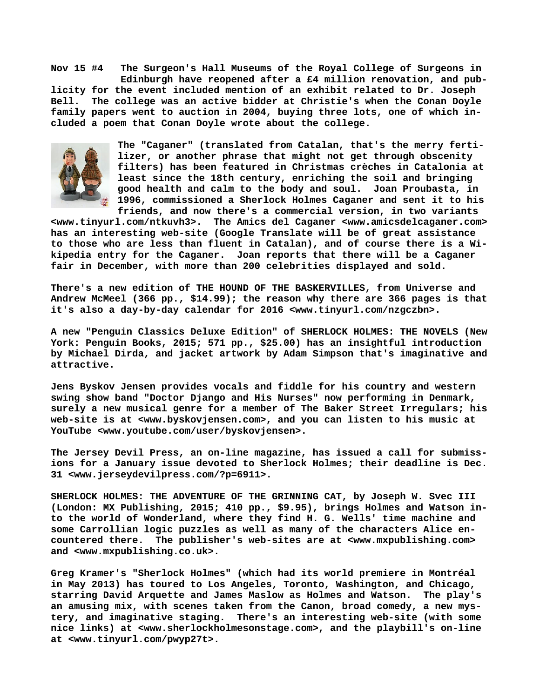**Nov 15 #4 The Surgeon's Hall Museums of the Royal College of Surgeons in Edinburgh have reopened after a £4 million renovation, and publicity for the event included mention of an exhibit related to Dr. Joseph Bell. The college was an active bidder at Christie's when the Conan Doyle family papers went to auction in 2004, buying three lots, one of which included a poem that Conan Doyle wrote about the college.**



**The "Caganer" (translated from Catalan, that's the merry fertilizer, or another phrase that might not get through obscenity filters) has been featured in Christmas crèches in Catalonia at least since the 18th century, enriching the soil and bringing good health and calm to the body and soul. Joan Proubasta, in 1996, commissioned a Sherlock Holmes Caganer and sent it to his friends, and now there's a commercial version, in two variants**

**[<www.tinyurl.com/ntkuvh3>.](http://www.tinyurl.com/ntkuvh3) The Amics del Caganer [<www.amicsdelcaganer.com>](http://www.amicsdelcaganer.com) has an interesting web-site (Google Translate will be of great assistance to those who are less than fluent in Catalan), and of course there is a Wikipedia entry for the Caganer. Joan reports that there will be a Caganer fair in December, with more than 200 celebrities displayed and sold.** 

**There's a new edition of THE HOUND OF THE BASKERVILLES, from Universe and Andrew McMeel (366 pp., \$14.99); the reason why there are 366 pages is that it's also a day-by-day calendar for 2016 <[www.tinyurl.com/nzgczbn>.](http://www.tinyurl.com/nzgczbn)**

**A new "Penguin Classics Deluxe Edition" of SHERLOCK HOLMES: THE NOVELS (New York: Penguin Books, 2015; 571 pp., \$25.00) has an insightful introduction by Michael Dirda, and jacket artwork by Adam Simpson that's imaginative and attractive.**

**Jens Byskov Jensen provides vocals and fiddle for his country and western swing show band "Doctor Django and His Nurses" now performing in Denmark, surely a new musical genre for a member of The Baker Street Irregulars; his web-site is at [<www.byskovjensen.com>, a](http://www.byskovjensen.com)nd you can listen to his music at YouTube [<www.youtube.com/user/byskovjensen>.](http://www.youtube.com/user/byskovjensen)**

**The Jersey Devil Press, an on-line magazine, has issued a call for submissions for a January issue devoted to Sherlock Holmes; their deadline is Dec. 31 [<www.jerseydevilpress.com/?p=6911>.](http://www.jerseydevilpress.com/?p=6911)**

**SHERLOCK HOLMES: THE ADVENTURE OF THE GRINNING CAT, by Joseph W. Svec III (London: MX Publishing, 2015; 410 pp., \$9.95), brings Holmes and Watson into the world of Wonderland, where they find H. G. Wells' time machine and some Carrollian logic puzzles as well as many of the characters Alice encountered there. The publisher's web-sites are at <[www.mxpublishing.com>](http://www.mxpublishing.com) and <[www.mxpublishing.co.uk>.](http://www.mxpublishing.co.uk)**

**Greg Kramer's "Sherlock Holmes" (which had its world premiere in Montréal in May 2013) has toured to Los Angeles, Toronto, Washington, and Chicago, starring David Arquette and James Maslow as Holmes and Watson. The play's an amusing mix, with scenes taken from the Canon, broad comedy, a new mystery, and imaginative staging. There's an interesting web-site (with some nice links) at [<www.sherlockholmesonstage.com>, a](http://www.sherlockholmesonstage.com)nd the playbill's on-line at [<www.tinyurl.com/pwyp27t>.](http://www.tinyurl.com/pwyp27t)**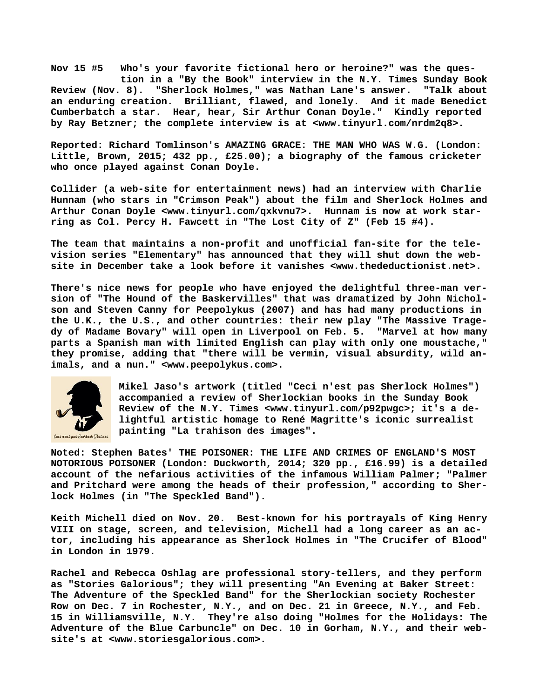**Nov 15 #5 Who's your favorite fictional hero or heroine?" was the ques tion in a "By the Book" interview in the N.Y. Times Sunday Book Review (Nov. 8). "Sherlock Holmes," was Nathan Lane's answer. "Talk about an enduring creation. Brilliant, flawed, and lonely. And it made Benedict Cumberbatch a star. Hear, hear, Sir Arthur Conan Doyle." Kindly reported by Ray Betzner; the complete interview is at [<www.tinyurl.com/nrdm2q8>.](http://www.tinyurl.com/nrdm2q8)**

**Reported: Richard Tomlinson's AMAZING GRACE: THE MAN WHO WAS W.G. (London: Little, Brown, 2015; 432 pp., £25.00); a biography of the famous cricketer who once played against Conan Doyle.**

**Collider (a web-site for entertainment news) had an interview with Charlie Hunnam (who stars in "Crimson Peak") about the film and Sherlock Holmes and Arthur Conan Doyle <[www.tinyurl.com/qxkvnu7>.](http://www.tinyurl.com/qxkvnu7) Hunnam is now at work starring as Col. Percy H. Fawcett in "The Lost City of Z" (Feb 15 #4).**

**The team that maintains a non-profit and unofficial fan-site for the television series "Elementary" has announced that they will shut down the website in December take a look before it vanishes [<www.thedeductionist.net>.](http://www.thedeductionist.net)**

**There's nice news for people who have enjoyed the delightful three-man version of "The Hound of the Baskervilles" that was dramatized by John Nicholson and Steven Canny for Peepolykus (2007) and has had many productions in the U.K., the U.S., and other countries: their new play "The Massive Tragedy of Madame Bovary" will open in Liverpool on Feb. 5. "Marvel at how many parts a Spanish man with limited English can play with only one moustache," they promise, adding that "there will be vermin, visual absurdity, wild animals, and a nun." <[www.peepolykus.com>.](http://www.peepolykus.com)**



**Mikel Jaso's artwork (titled "Ceci n'est pas Sherlock Holmes") accompanied a review of Sherlockian books in the Sunday Book Review of the N.Y. Times <[www.tinyurl.com/p92pwgc>; i](http://www.tinyurl.com/p92pwgc)t's a delightful artistic homage to René Magritte's iconic surrealist painting "La trahison des images".**

**Noted: Stephen Bates' THE POISONER: THE LIFE AND CRIMES OF ENGLAND'S MOST NOTORIOUS POISONER (London: Duckworth, 2014; 320 pp., £16.99) is a detailed account of the nefarious activities of the infamous William Palmer; "Palmer and Pritchard were among the heads of their profession," according to Sherlock Holmes (in "The Speckled Band").**

**Keith Michell died on Nov. 20. Best-known for his portrayals of King Henry VIII on stage, screen, and television, Michell had a long career as an actor, including his appearance as Sherlock Holmes in "The Crucifer of Blood" in London in 1979.**

**Rachel and Rebecca Oshlag are professional story-tellers, and they perform as "Stories Galorious"; they will presenting "An Evening at Baker Street: The Adventure of the Speckled Band" for the Sherlockian society Rochester Row on Dec. 7 in Rochester, N.Y., and on Dec. 21 in Greece, N.Y., and Feb. 15 in Williamsville, N.Y. They're also doing "Holmes for the Holidays: The Adventure of the Blue Carbuncle" on Dec. 10 in Gorham, N.Y., and their website's at [<www.storiesgalorious.com>.](http://www.storiesgalorious.com)**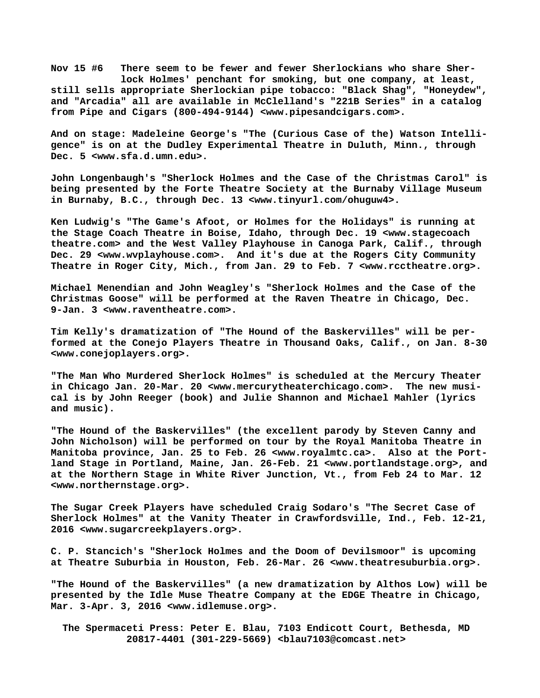**Nov 15 #6 There seem to be fewer and fewer Sherlockians who share Sher lock Holmes' penchant for smoking, but one company, at least, still sells appropriate Sherlockian pipe tobacco: "Black Shag", "Honeydew", and "Arcadia" all are available in McClelland's "221B Series" in a catalog from Pipe and Cigars (800-494-9144) <[www.pipesandcigars.com>.](http://www.pipesandcigars.com)**

**And on stage: Madeleine George's "The (Curious Case of the) Watson Intelligence" is on at the Dudley Experimental Theatre in Duluth, Minn., through Dec. 5 [<www.sfa.d.umn.edu>.](http://www.sfa.d.umn.edu)**

**John Longenbaugh's "Sherlock Holmes and the Case of the Christmas Carol" is being presented by the Forte Theatre Society at the Burnaby Village Museum in Burnaby, B.C., through Dec. 13 <[www.tinyurl.com/ohuguw4>.](http://www.tinyurl.com/ohuguw4)**

**Ken Ludwig's "The Game's Afoot, or Holmes for the Holidays" is running at the Stage Coach Theatre in Boise, Idaho, through Dec. 19 [<www.stagecoach](http://www.stagecoachtheatre.com/) [theatre.com>](http://www.stagecoachtheatre.com/) and the West Valley Playhouse in Canoga Park, Calif., through Dec. 29 [<www.wvplayhouse.com>.](http://www.wvplayhouse.com) And it's due at the Rogers City Community Theatre in Roger City, Mich., from Jan. 29 to Feb. 7 [<www.rcctheatre.org>.](http://www.rcctheatre.org)**

**Michael Menendian and John Weagley's "Sherlock Holmes and the Case of the Christmas Goose" will be performed at the Raven Theatre in Chicago, Dec. 9-Jan. 3 <[www.raventheatre.com>.](http://www.raventheatre.com)**

**Tim Kelly's dramatization of "The Hound of the Baskervilles" will be performed at the Conejo Players Theatre in Thousand Oaks, Calif., on Jan. 8-30 [<www.conejoplayers.org>.](http://www.conejoplayers.org)**

**"The Man Who Murdered Sherlock Holmes" is scheduled at the Mercury Theater in Chicago Jan. 20-Mar. 20 [<www.mercurytheaterchicago.com>.](http://www.mercurytheaterchicago.com) The new musical is by John Reeger (book) and Julie Shannon and Michael Mahler (lyrics and music).**

**"The Hound of the Baskervilles" (the excellent parody by Steven Canny and John Nicholson) will be performed on tour by the Royal Manitoba Theatre in Manitoba province, Jan. 25 to Feb. 26 [<www.royalmtc.ca>.](http://www.royalmtc.ca) Also at the Portland Stage in Portland, Maine, Jan. 26-Feb. 21 [<www.portlandstage.org>, a](http://www.portlandstage.org)nd at the Northern Stage in White River Junction, Vt., from Feb 24 to Mar. 12 [<www.northernstage.org>.](http://www.northernstage.org)**

**The Sugar Creek Players have scheduled Craig Sodaro's "The Secret Case of Sherlock Holmes" at the Vanity Theater in Crawfordsville, Ind., Feb. 12-21, 2016 [<www.sugarcreekplayers.org>.](http://www.sugarcreekplayers.org)**

**C. P. Stancich's "Sherlock Holmes and the Doom of Devilsmoor" is upcoming at Theatre Suburbia in Houston, Feb. 26-Mar. 26 [<www.theatresuburbia.org>.](http://www.theatresuburbia.org)**

**"The Hound of the Baskervilles" (a new dramatization by Althos Low) will be presented by the Idle Muse Theatre Company at the EDGE Theatre in Chicago, Mar. 3-Apr. 3, 2016 [<www.idlemuse.org>.](http://www.idlemuse.org)**

 **The Spermaceti Press: Peter E. Blau, 7103 Endicott Court, Bethesda, MD 20817-4401 (301-229-5669) <[blau7103@comcast.net>](mailto:blau7103@comcast.net)**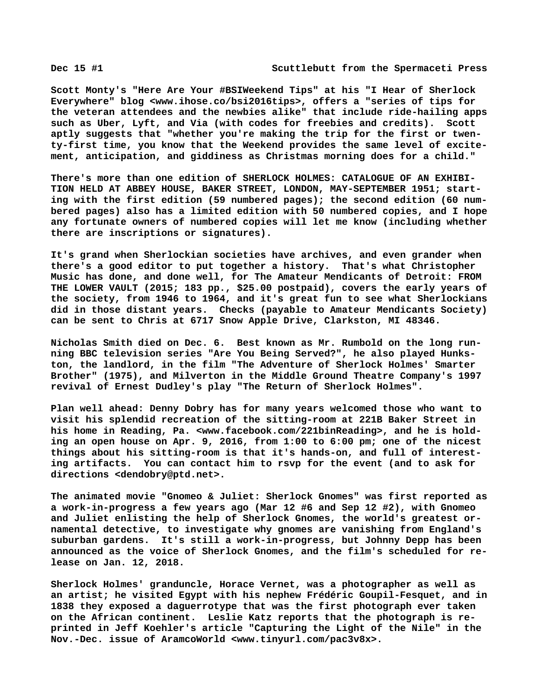**Scott Monty's "Here Are Your #BSIWeekend Tips" at his "I Hear of Sherlock Everywhere" blog [<www.ihose.co/bsi2016tips>, o](http://www.ihose.co/bsi2016tips)ffers a "series of tips for the veteran attendees and the newbies alike" that include ride-hailing apps such as Uber, Lyft, and Via (with codes for freebies and credits). Scott aptly suggests that "whether you're making the trip for the first or twenty-first time, you know that the Weekend provides the same level of excitement, anticipation, and giddiness as Christmas morning does for a child."**

**There's more than one edition of SHERLOCK HOLMES: CATALOGUE OF AN EXHIBI-TION HELD AT ABBEY HOUSE, BAKER STREET, LONDON, MAY-SEPTEMBER 1951; starting with the first edition (59 numbered pages); the second edition (60 numbered pages) also has a limited edition with 50 numbered copies, and I hope any fortunate owners of numbered copies will let me know (including whether there are inscriptions or signatures).**

**It's grand when Sherlockian societies have archives, and even grander when there's a good editor to put together a history. That's what Christopher Music has done, and done well, for The Amateur Mendicants of Detroit: FROM THE LOWER VAULT (2015; 183 pp., \$25.00 postpaid), covers the early years of the society, from 1946 to 1964, and it's great fun to see what Sherlockians did in those distant years. Checks (payable to Amateur Mendicants Society) can be sent to Chris at 6717 Snow Apple Drive, Clarkston, MI 48346.**

**Nicholas Smith died on Dec. 6. Best known as Mr. Rumbold on the long running BBC television series "Are You Being Served?", he also played Hunkston, the landlord, in the film "The Adventure of Sherlock Holmes' Smarter Brother" (1975), and Milverton in the Middle Ground Theatre Company's 1997 revival of Ernest Dudley's play "The Return of Sherlock Holmes".**

**Plan well ahead: Denny Dobry has for many years welcomed those who want to visit his splendid recreation of the sitting-room at 221B Baker Street in his home in Reading, Pa. [<www.facebook.com/221binReading>, a](http://www.facebook.com/221binReading)nd he is holding an open house on Apr. 9, 2016, from 1:00 to 6:00 pm; one of the nicest things about his sitting-room is that it's hands-on, and full of interesting artifacts. You can contact him to rsvp for the event (and to ask for directions <[dendobry@ptd.net>.](mailto:dendobry@ptd.net)**

**The animated movie "Gnomeo & Juliet: Sherlock Gnomes" was first reported as a work-in-progress a few years ago (Mar 12 #6 and Sep 12 #2), with Gnomeo and Juliet enlisting the help of Sherlock Gnomes, the world's greatest ornamental detective, to investigate why gnomes are vanishing from England's suburban gardens. It's still a work-in-progress, but Johnny Depp has been announced as the voice of Sherlock Gnomes, and the film's scheduled for release on Jan. 12, 2018.**

**Sherlock Holmes' granduncle, Horace Vernet, was a photographer as well as an artist; he visited Egypt with his nephew Frédéric Goupil-Fesquet, and in 1838 they exposed a daguerrotype that was the first photograph ever taken on the African continent. Leslie Katz reports that the photograph is reprinted in Jeff Koehler's article "Capturing the Light of the Nile" in the Nov.-Dec. issue of AramcoWorld <[www.tinyurl.com/pac3v8x>.](http://www.tinyurl.com/pac3v8x)**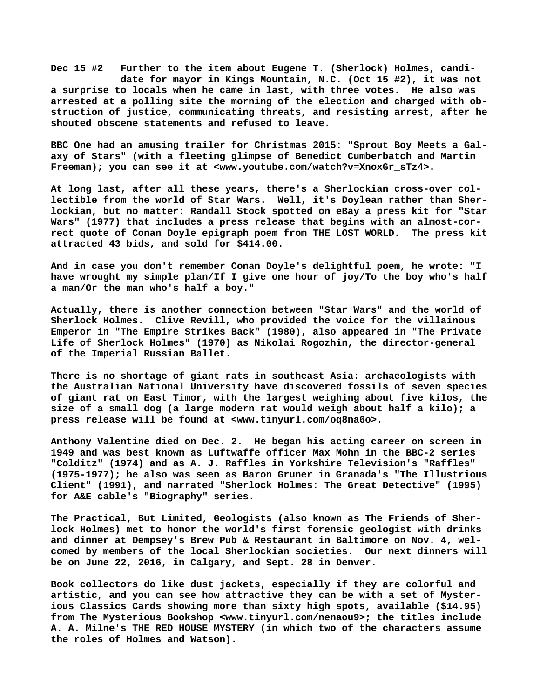**Dec 15 #2 Further to the item about Eugene T. (Sherlock) Holmes, candi date for mayor in Kings Mountain, N.C. (Oct 15 #2), it was not a surprise to locals when he came in last, with three votes. He also was arrested at a polling site the morning of the election and charged with obstruction of justice, communicating threats, and resisting arrest, after he shouted obscene statements and refused to leave.**

**BBC One had an amusing trailer for Christmas 2015: "Sprout Boy Meets a Galaxy of Stars" (with a fleeting glimpse of Benedict Cumberbatch and Martin Freeman); you can see it at [<www.youtube.com/watch?v=XnoxGr\\_sTz4>.](http://www.youtube.com/watch?v=XnoxGr_sTz4)**

**At long last, after all these years, there's a Sherlockian cross-over collectible from the world of Star Wars. Well, it's Doylean rather than Sherlockian, but no matter: Randall Stock spotted on eBay a press kit for "Star Wars" (1977) that includes a press release that begins with an almost-correct quote of Conan Doyle epigraph poem from THE LOST WORLD. The press kit attracted 43 bids, and sold for \$414.00.**

**And in case you don't remember Conan Doyle's delightful poem, he wrote: "I have wrought my simple plan/If I give one hour of joy/To the boy who's half a man/Or the man who's half a boy."**

**Actually, there is another connection between "Star Wars" and the world of Sherlock Holmes. Clive Revill, who provided the voice for the villainous Emperor in "The Empire Strikes Back" (1980), also appeared in "The Private Life of Sherlock Holmes" (1970) as Nikolai Rogozhin, the director-general of the Imperial Russian Ballet.**

**There is no shortage of giant rats in southeast Asia: archaeologists with the Australian National University have discovered fossils of seven species of giant rat on East Timor, with the largest weighing about five kilos, the size of a small dog (a large modern rat would weigh about half a kilo); a press release will be found at <[www.tinyurl.com/oq8na6o>.](http://www.tinyurl.com/oq8na6o)**

**Anthony Valentine died on Dec. 2. He began his acting career on screen in 1949 and was best known as Luftwaffe officer Max Mohn in the BBC-2 series "Colditz" (1974) and as A. J. Raffles in Yorkshire Television's "Raffles" (1975-1977); he also was seen as Baron Gruner in Granada's "The Illustrious Client" (1991), and narrated "Sherlock Holmes: The Great Detective" (1995) for A&E cable's "Biography" series.**

**The Practical, But Limited, Geologists (also known as The Friends of Sherlock Holmes) met to honor the world's first forensic geologist with drinks and dinner at Dempsey's Brew Pub & Restaurant in Baltimore on Nov. 4, welcomed by members of the local Sherlockian societies. Our next dinners will be on June 22, 2016, in Calgary, and Sept. 28 in Denver.**

**Book collectors do like dust jackets, especially if they are colorful and artistic, and you can see how attractive they can be with a set of Mysterious Classics Cards showing more than sixty high spots, available (\$14.95) from The Mysterious Bookshop <[www.tinyurl.com/nenaou9>; t](http://www.tinyurl.com/nenaou9)he titles include A. A. Milne's THE RED HOUSE MYSTERY (in which two of the characters assume the roles of Holmes and Watson).**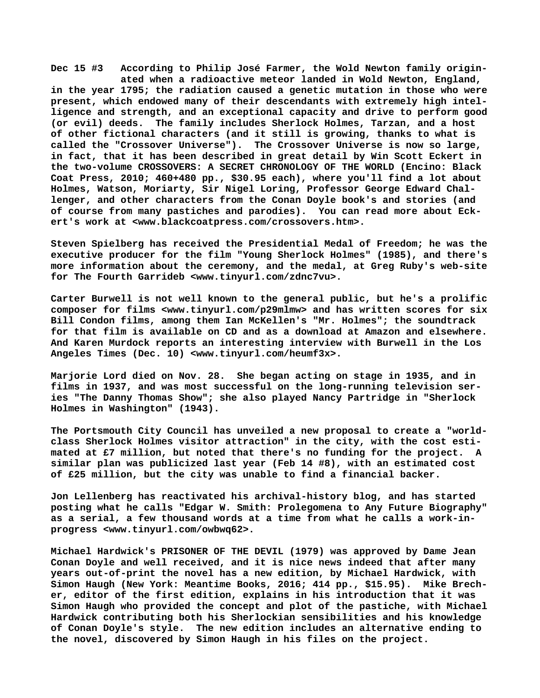**Dec 15 #3 According to Philip José Farmer, the Wold Newton family origin ated when a radioactive meteor landed in Wold Newton, England, in the year 1795; the radiation caused a genetic mutation in those who were present, which endowed many of their descendants with extremely high intelligence and strength, and an exceptional capacity and drive to perform good (or evil) deeds. The family includes Sherlock Holmes, Tarzan, and a host of other fictional characters (and it still is growing, thanks to what is called the "Crossover Universe"). The Crossover Universe is now so large, in fact, that it has been described in great detail by Win Scott Eckert in the two-volume CROSSOVERS: A SECRET CHRONOLOGY OF THE WORLD (Encino: Black Coat Press, 2010; 460+480 pp., \$30.95 each), where you'll find a lot about Holmes, Watson, Moriarty, Sir Nigel Loring, Professor George Edward Challenger, and other characters from the Conan Doyle book's and stories (and of course from many pastiches and parodies). You can read more about Eckert's work at <[www.blackcoatpress.com/crossovers.htm>.](http://www.blackcoatpress.com/crossovers.htm)**

**Steven Spielberg has received the Presidential Medal of Freedom; he was the executive producer for the film "Young Sherlock Holmes" (1985), and there's more information about the ceremony, and the medal, at Greg Ruby's web-site for The Fourth Garrideb <[www.tinyurl.com/zdnc7vu>.](http://www.tinyurl.com/zdnc7vu)**

**Carter Burwell is not well known to the general public, but he's a prolific composer for films <[www.tinyurl.com/p29mlmw> a](http://www.tinyurl.com/p29mlmw)nd has written scores for six Bill Condon films, among them Ian McKellen's "Mr. Holmes"; the soundtrack for that film is available on CD and as a download at Amazon and elsewhere. And Karen Murdock reports an interesting interview with Burwell in the Los Angeles Times (Dec. 10) <[www.tinyurl.com/heumf3x>.](http://www.tinyurl.com/heumf3x)**

**Marjorie Lord died on Nov. 28. She began acting on stage in 1935, and in films in 1937, and was most successful on the long-running television series "The Danny Thomas Show"; she also played Nancy Partridge in "Sherlock Holmes in Washington" (1943).**

**The Portsmouth City Council has unveiled a new proposal to create a "worldclass Sherlock Holmes visitor attraction" in the city, with the cost estimated at £7 million, but noted that there's no funding for the project. A similar plan was publicized last year (Feb 14 #8), with an estimated cost of £25 million, but the city was unable to find a financial backer.**

**Jon Lellenberg has reactivated his archival-history blog, and has started posting what he calls "Edgar W. Smith: Prolegomena to Any Future Biography" as a serial, a few thousand words at a time from what he calls a work-inprogress <[www.tinyurl.com/owbwq62>.](http://www.tinyurl.com/owbwq62)**

**Michael Hardwick's PRISONER OF THE DEVIL (1979) was approved by Dame Jean Conan Doyle and well received, and it is nice news indeed that after many years out-of-print the novel has a new edition, by Michael Hardwick, with Simon Haugh (New York: Meantime Books, 2016; 414 pp., \$15.95). Mike Brecher, editor of the first edition, explains in his introduction that it was Simon Haugh who provided the concept and plot of the pastiche, with Michael Hardwick contributing both his Sherlockian sensibilities and his knowledge of Conan Doyle's style. The new edition includes an alternative ending to the novel, discovered by Simon Haugh in his files on the project.**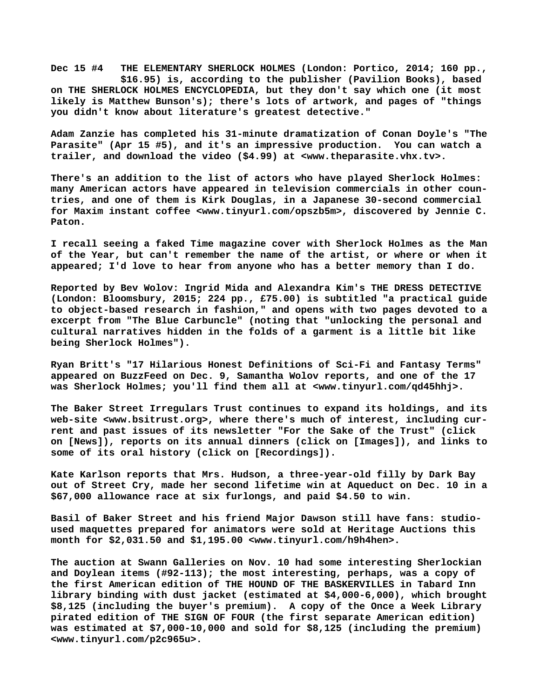**Dec 15 #4 THE ELEMENTARY SHERLOCK HOLMES (London: Portico, 2014; 160 pp., \$16.95) is, according to the publisher (Pavilion Books), based on THE SHERLOCK HOLMES ENCYCLOPEDIA, but they don't say which one (it most likely is Matthew Bunson's); there's lots of artwork, and pages of "things you didn't know about literature's greatest detective."**

**Adam Zanzie has completed his 31-minute dramatization of Conan Doyle's "The Parasite" (Apr 15 #5), and it's an impressive production. You can watch a trailer, and download the video (\$4.99) at [<www.theparasite.vhx.tv>.](http://www.theparasite.vhx.tv)**

**There's an addition to the list of actors who have played Sherlock Holmes: many American actors have appeared in television commercials in other countries, and one of them is Kirk Douglas, in a Japanese 30-second commercial for Maxim instant coffee [<www.tinyurl.com/opszb5m>, d](http://www.tinyurl.com/opszb5m)iscovered by Jennie C. Paton.**

**I recall seeing a faked Time magazine cover with Sherlock Holmes as the Man of the Year, but can't remember the name of the artist, or where or when it appeared; I'd love to hear from anyone who has a better memory than I do.**

**Reported by Bev Wolov: Ingrid Mida and Alexandra Kim's THE DRESS DETECTIVE (London: Bloomsbury, 2015; 224 pp., £75.00) is subtitled "a practical guide to object-based research in fashion," and opens with two pages devoted to a excerpt from "The Blue Carbuncle" (noting that "unlocking the personal and cultural narratives hidden in the folds of a garment is a little bit like being Sherlock Holmes").**

**Ryan Britt's "17 Hilarious Honest Definitions of Sci-Fi and Fantasy Terms" appeared on BuzzFeed on Dec. 9, Samantha Wolov reports, and one of the 17 was Sherlock Holmes; you'll find them all at [<www.tinyurl.com/qd45hhj>.](http://www.tinyurl.com/qd45hhj)**

**The Baker Street Irregulars Trust continues to expand its holdings, and its web-site <[www.bsitrust.org>, w](http://www.bsitrust.org)here there's much of interest, including current and past issues of its newsletter "For the Sake of the Trust" (click on [News]), reports on its annual dinners (click on [Images]), and links to some of its oral history (click on [Recordings]).**

**Kate Karlson reports that Mrs. Hudson, a three-year-old filly by Dark Bay out of Street Cry, made her second lifetime win at Aqueduct on Dec. 10 in a \$67,000 allowance race at six furlongs, and paid \$4.50 to win.**

**Basil of Baker Street and his friend Major Dawson still have fans: studioused maquettes prepared for animators were sold at Heritage Auctions this month for \$2,031.50 and \$1,195.00 <[www.tinyurl.com/h9h4hen>.](http://www.tinyurl.com/h9h4hen)**

**The auction at Swann Galleries on Nov. 10 had some interesting Sherlockian and Doylean items (#92-113); the most interesting, perhaps, was a copy of the first American edition of THE HOUND OF THE BASKERVILLES in Tabard Inn library binding with dust jacket (estimated at \$4,000-6,000), which brought \$8,125 (including the buyer's premium). A copy of the Once a Week Library pirated edition of THE SIGN OF FOUR (the first separate American edition) was estimated at \$7,000-10,000 and sold for \$8,125 (including the premium) [<www.tinyurl.com/p2c965u>.](http://www.tinyurl.com/p2c965u)**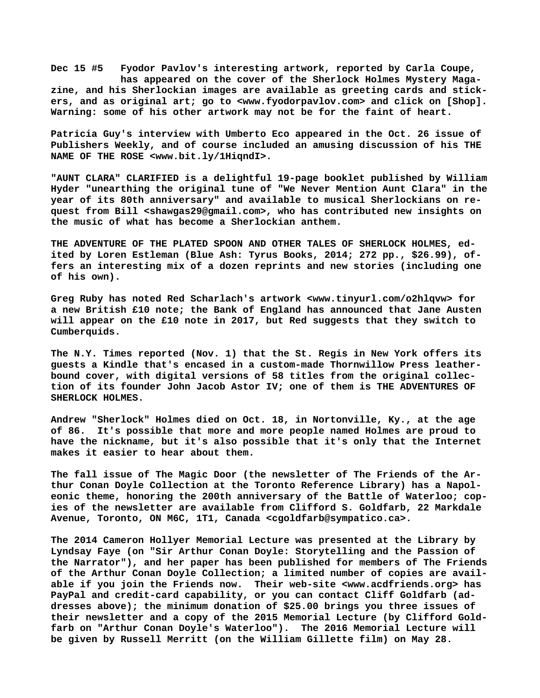**Dec 15 #5 Fyodor Pavlov's interesting artwork, reported by Carla Coupe, has appeared on the cover of the Sherlock Holmes Mystery Magazine, and his Sherlockian images are available as greeting cards and stickers, and as original art; go to [<www.fyodorpavlov.com> a](http://www.fyodorpavlov.com)nd click on [Shop]. Warning: some of his other artwork may not be for the faint of heart.**

**Patricia Guy's interview with Umberto Eco appeared in the Oct. 26 issue of Publishers Weekly, and of course included an amusing discussion of his THE NAME OF THE ROSE [<www.bit.ly/1HiqndI>.](http://www.bit.ly/1HiqndI)**

**"AUNT CLARA" CLARIFIED is a delightful 19-page booklet published by William Hyder "unearthing the original tune of "We Never Mention Aunt Clara" in the year of its 80th anniversary" and available to musical Sherlockians on request from Bill <[shawgas29@gmail.com>, w](mailto:shawgas29@gmail.com)ho has contributed new insights on the music of what has become a Sherlockian anthem.**

**THE ADVENTURE OF THE PLATED SPOON AND OTHER TALES OF SHERLOCK HOLMES, edited by Loren Estleman (Blue Ash: Tyrus Books, 2014; 272 pp., \$26.99), offers an interesting mix of a dozen reprints and new stories (including one of his own).**

**Greg Ruby has noted Red Scharlach's artwork <[www.tinyurl.com/o2hlqvw> f](http://www.tinyurl.com/o2hlqvw)or a new British £10 note; the Bank of England has announced that Jane Austen will appear on the £10 note in 2017, but Red suggests that they switch to Cumberquids.**

**The N.Y. Times reported (Nov. 1) that the St. Regis in New York offers its guests a Kindle that's encased in a custom-made Thornwillow Press leatherbound cover, with digital versions of 58 titles from the original collection of its founder John Jacob Astor IV; one of them is THE ADVENTURES OF SHERLOCK HOLMES.**

**Andrew "Sherlock" Holmes died on Oct. 18, in Nortonville, Ky., at the age of 86. It's possible that more and more people named Holmes are proud to have the nickname, but it's also possible that it's only that the Internet makes it easier to hear about them.**

**The fall issue of The Magic Door (the newsletter of The Friends of the Arthur Conan Doyle Collection at the Toronto Reference Library) has a Napoleonic theme, honoring the 200th anniversary of the Battle of Waterloo; copies of the newsletter are available from Clifford S. Goldfarb, 22 Markdale Avenue, Toronto, ON M6C, 1T1, Canada [<cgoldfarb@sympatico.ca>.](mailto:cgoldfarb@sympatico.ca)**

**The 2014 Cameron Hollyer Memorial Lecture was presented at the Library by Lyndsay Faye (on "Sir Arthur Conan Doyle: Storytelling and the Passion of the Narrator"), and her paper has been published for members of The Friends of the Arthur Conan Doyle Collection; a limited number of copies are available if you join the Friends now. Their web-site [<www.acdfriends.org> h](http://www.acdfriends.org)as PayPal and credit-card capability, or you can contact Cliff Goldfarb (addresses above); the minimum donation of \$25.00 brings you three issues of their newsletter and a copy of the 2015 Memorial Lecture (by Clifford Goldfarb on "Arthur Conan Doyle's Waterloo"). The 2016 Memorial Lecture will be given by Russell Merritt (on the William Gillette film) on May 28.**